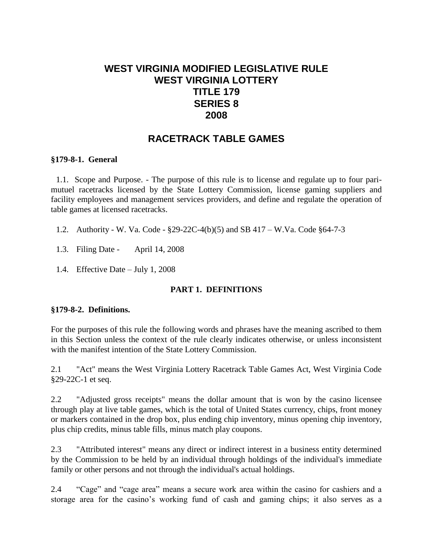# **WEST VIRGINIA MODIFIED LEGISLATIVE RULE WEST VIRGINIA LOTTERY TITLE 179 SERIES 8 2008**

# **RACETRACK TABLE GAMES**

#### **§179-8-1. General**

1.1. Scope and Purpose. - The purpose of this rule is to license and regulate up to four parimutuel racetracks licensed by the State Lottery Commission, license gaming suppliers and facility employees and management services providers, and define and regulate the operation of table games at licensed racetracks.

- 1.2. Authority W. Va. Code §29-22C-4(b)(5) and SB 417 W.Va. Code §64-7-3
- 1.3. Filing Date April 14, 2008
- 1.4. Effective Date July 1, 2008

#### **PART 1. DEFINITIONS**

#### **§179-8-2. Definitions.**

For the purposes of this rule the following words and phrases have the meaning ascribed to them in this Section unless the context of the rule clearly indicates otherwise, or unless inconsistent with the manifest intention of the State Lottery Commission.

2.1 "Act" means the West Virginia Lottery Racetrack Table Games Act, West Virginia Code §29-22C-1 et seq.

2.2 "Adjusted gross receipts" means the dollar amount that is won by the casino licensee through play at live table games, which is the total of United States currency, chips, front money or markers contained in the drop box, plus ending chip inventory, minus opening chip inventory, plus chip credits, minus table fills, minus match play coupons.

2.3 "Attributed interest" means any direct or indirect interest in a business entity determined by the Commission to be held by an individual through holdings of the individual's immediate family or other persons and not through the individual's actual holdings.

2.4 "Cage" and "cage area" means a secure work area within the casino for cashiers and a storage area for the casino's working fund of cash and gaming chips; it also serves as a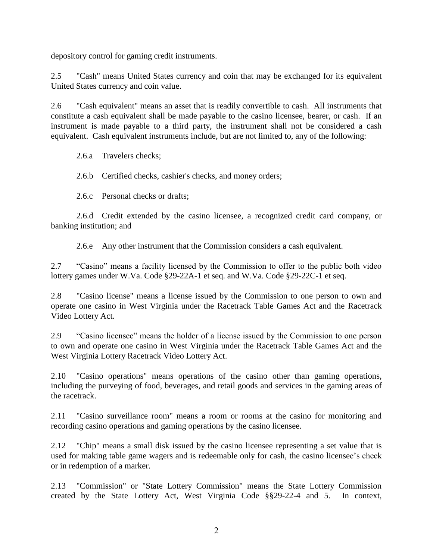depository control for gaming credit instruments.

2.5 "Cash" means United States currency and coin that may be exchanged for its equivalent United States currency and coin value.

2.6 "Cash equivalent" means an asset that is readily convertible to cash. All instruments that constitute a cash equivalent shall be made payable to the casino licensee, bearer, or cash. If an instrument is made payable to a third party, the instrument shall not be considered a cash equivalent. Cash equivalent instruments include, but are not limited to, any of the following:

2.6.a Travelers checks;

2.6.b Certified checks, cashier's checks, and money orders;

2.6.c Personal checks or drafts;

2.6.d Credit extended by the casino licensee, a recognized credit card company, or banking institution; and

2.6.e Any other instrument that the Commission considers a cash equivalent.

2.7 "Casino" means a facility licensed by the Commission to offer to the public both video lottery games under W.Va. Code §29-22A-1 et seq. and W.Va. Code §29-22C-1 et seq.

2.8 "Casino license" means a license issued by the Commission to one person to own and operate one casino in West Virginia under the Racetrack Table Games Act and the Racetrack Video Lottery Act.

2.9 "Casino licensee" means the holder of a license issued by the Commission to one person to own and operate one casino in West Virginia under the Racetrack Table Games Act and the West Virginia Lottery Racetrack Video Lottery Act.

2.10 "Casino operations" means operations of the casino other than gaming operations, including the purveying of food, beverages, and retail goods and services in the gaming areas of the racetrack.

2.11 "Casino surveillance room" means a room or rooms at the casino for monitoring and recording casino operations and gaming operations by the casino licensee.

2.12 "Chip" means a small disk issued by the casino licensee representing a set value that is used for making table game wagers and is redeemable only for cash, the casino licensee's check or in redemption of a marker.

2.13 "Commission" or "State Lottery Commission" means the State Lottery Commission created by the State Lottery Act, West Virginia Code §§29-22-4 and 5. In context,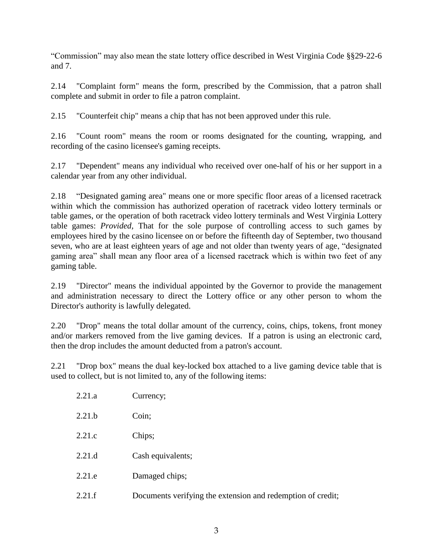"Commission" may also mean the state lottery office described in West Virginia Code §§29-22-6 and 7.

2.14 "Complaint form" means the form, prescribed by the Commission, that a patron shall complete and submit in order to file a patron complaint.

2.15 "Counterfeit chip" means a chip that has not been approved under this rule.

2.16 "Count room" means the room or rooms designated for the counting, wrapping, and recording of the casino licensee's gaming receipts.

2.17 "Dependent" means any individual who received over one-half of his or her support in a calendar year from any other individual.

2.18 "Designated gaming area" means one or more specific floor areas of a licensed racetrack within which the commission has authorized operation of racetrack video lottery terminals or table games, or the operation of both racetrack video lottery terminals and West Virginia Lottery table games: *Provided,* That for the sole purpose of controlling access to such games by employees hired by the casino licensee on or before the fifteenth day of September, two thousand seven, who are at least eighteen years of age and not older than twenty years of age, "designated gaming area" shall mean any floor area of a licensed racetrack which is within two feet of any gaming table.

2.19 "Director" means the individual appointed by the Governor to provide the management and administration necessary to direct the Lottery office or any other person to whom the Director's authority is lawfully delegated.

2.20 "Drop" means the total dollar amount of the currency, coins, chips, tokens, front money and/or markers removed from the live gaming devices. If a patron is using an electronic card, then the drop includes the amount deducted from a patron's account.

2.21 "Drop box" means the dual key-locked box attached to a live gaming device table that is used to collect, but is not limited to, any of the following items:

| 2.21.a | Currency;                                                   |
|--------|-------------------------------------------------------------|
| 2.21.b | Coin;                                                       |
| 2.21.c | Chips;                                                      |
| 2.21.d | Cash equivalents;                                           |
| 2.21.e | Damaged chips;                                              |
| 2.21.f | Documents verifying the extension and redemption of credit; |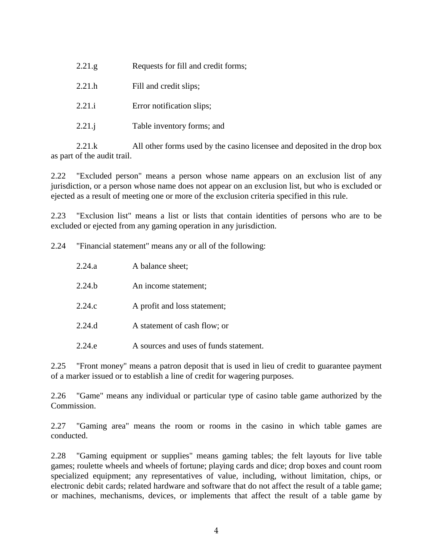| 2.21.g. | Requests for fill and credit forms; |
|---------|-------------------------------------|
| 2.21.h  | Fill and credit slips;              |
| 2.21.i  | Error notification slips;           |
| 2.21.1  | Table inventory forms; and          |

2.21.k All other forms used by the casino licensee and deposited in the drop box as part of the audit trail.

2.22 "Excluded person" means a person whose name appears on an exclusion list of any jurisdiction, or a person whose name does not appear on an exclusion list, but who is excluded or ejected as a result of meeting one or more of the exclusion criteria specified in this rule.

2.23 "Exclusion list" means a list or lists that contain identities of persons who are to be excluded or ejected from any gaming operation in any jurisdiction.

2.24 "Financial statement" means any or all of the following:

| 2.24.a | A balance sheet;                       |
|--------|----------------------------------------|
| 2.24 h | An income statement;                   |
| 2.24.c | A profit and loss statement;           |
| 2.24.d | A statement of cash flow; or           |
| 2.24 e | A sources and uses of funds statement. |

2.25 "Front money" means a patron deposit that is used in lieu of credit to guarantee payment of a marker issued or to establish a line of credit for wagering purposes.

2.26 "Game" means any individual or particular type of casino table game authorized by the Commission.

2.27 "Gaming area" means the room or rooms in the casino in which table games are conducted.

2.28 "Gaming equipment or supplies" means gaming tables; the felt layouts for live table games; roulette wheels and wheels of fortune; playing cards and dice; drop boxes and count room specialized equipment; any representatives of value, including, without limitation, chips, or electronic debit cards; related hardware and software that do not affect the result of a table game; or machines, mechanisms, devices, or implements that affect the result of a table game by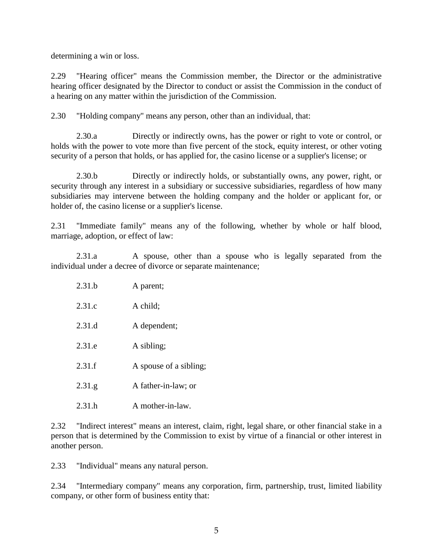determining a win or loss.

2.29 "Hearing officer" means the Commission member, the Director or the administrative hearing officer designated by the Director to conduct or assist the Commission in the conduct of a hearing on any matter within the jurisdiction of the Commission.

2.30 "Holding company" means any person, other than an individual, that:

2.30.a Directly or indirectly owns, has the power or right to vote or control, or holds with the power to vote more than five percent of the stock, equity interest, or other voting security of a person that holds, or has applied for, the casino license or a supplier's license; or

2.30.b Directly or indirectly holds, or substantially owns, any power, right, or security through any interest in a subsidiary or successive subsidiaries, regardless of how many subsidiaries may intervene between the holding company and the holder or applicant for, or holder of, the casino license or a supplier's license.

2.31 "Immediate family" means any of the following, whether by whole or half blood, marriage, adoption, or effect of law:

2.31.a A spouse, other than a spouse who is legally separated from the individual under a decree of divorce or separate maintenance;

| 2.31.b | A parent;              |
|--------|------------------------|
| 2.31.c | A child;               |
| 2.31.d | A dependent;           |
| 2.31.e | A sibling;             |
| 2.31.f | A spouse of a sibling; |
| 2.31.g | A father-in-law; or    |
| 2.31.h | A mother-in-law.       |

2.32 "Indirect interest" means an interest, claim, right, legal share, or other financial stake in a person that is determined by the Commission to exist by virtue of a financial or other interest in another person.

2.33 "Individual" means any natural person.

2.34 "Intermediary company" means any corporation, firm, partnership, trust, limited liability company, or other form of business entity that: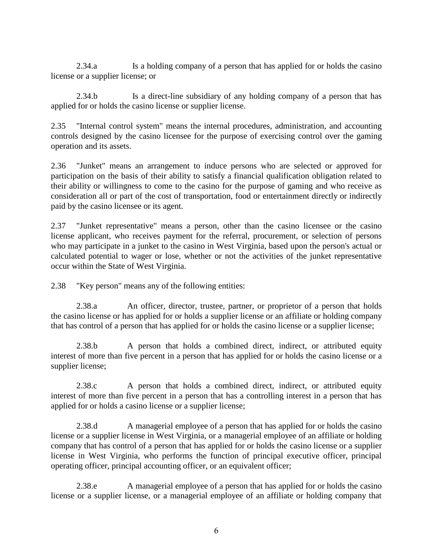2.34.a Is a holding company of a person that has applied for or holds the casino license or a supplier license; or

2.34.b Is a direct-line subsidiary of any holding company of a person that has applied for or holds the casino license or supplier license.

2.35 "Internal control system" means the internal procedures, administration, and accounting controls designed by the casino licensee for the purpose of exercising control over the gaming operation and its assets.

2.36 "Junket" means an arrangement to induce persons who are selected or approved for participation on the basis of their ability to satisfy a financial qualification obligation related to their ability or willingness to come to the casino for the purpose of gaming and who receive as consideration all or part of the cost of transportation, food or entertainment directly or indirectly paid by the casino licensee or its agent.

2.37 "Junket representative" means a person, other than the casino licensee or the casino license applicant, who receives payment for the referral, procurement, or selection of persons who may participate in a junket to the casino in West Virginia, based upon the person's actual or calculated potential to wager or lose, whether or not the activities of the junket representative occur within the State of West Virginia.

2.38 "Key person" means any of the following entities:

2.38.a An officer, director, trustee, partner, or proprietor of a person that holds the casino license or has applied for or holds a supplier license or an affiliate or holding company that has control of a person that has applied for or holds the casino license or a supplier license;

2.38.b A person that holds a combined direct, indirect, or attributed equity interest of more than five percent in a person that has applied for or holds the casino license or a supplier license;

2.38.c A person that holds a combined direct, indirect, or attributed equity interest of more than five percent in a person that has a controlling interest in a person that has applied for or holds a casino license or a supplier license;

2.38.d A managerial employee of a person that has applied for or holds the casino license or a supplier license in West Virginia, or a managerial employee of an affiliate or holding company that has control of a person that has applied for or holds the casino license or a supplier license in West Virginia, who performs the function of principal executive officer, principal operating officer, principal accounting officer, or an equivalent officer;

2.38.e A managerial employee of a person that has applied for or holds the casino license or a supplier license, or a managerial employee of an affiliate or holding company that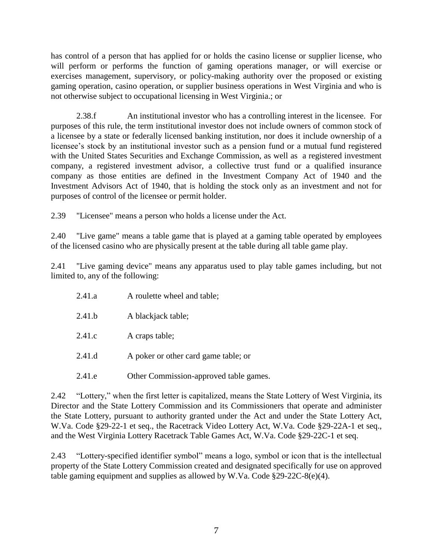has control of a person that has applied for or holds the casino license or supplier license, who will perform or performs the function of gaming operations manager, or will exercise or exercises management, supervisory, or policy-making authority over the proposed or existing gaming operation, casino operation, or supplier business operations in West Virginia and who is not otherwise subject to occupational licensing in West Virginia.; or

2.38.f An institutional investor who has a controlling interest in the licensee. For purposes of this rule, the term institutional investor does not include owners of common stock of a licensee by a state or federally licensed banking institution, nor does it include ownership of a licensee's stock by an institutional investor such as a pension fund or a mutual fund registered with the United States Securities and Exchange Commission, as well as a registered investment company, a registered investment advisor, a collective trust fund or a qualified insurance company as those entities are defined in the Investment Company Act of 1940 and the Investment Advisors Act of 1940, that is holding the stock only as an investment and not for purposes of control of the licensee or permit holder.

2.39 "Licensee" means a person who holds a license under the Act.

2.40 "Live game" means a table game that is played at a gaming table operated by employees of the licensed casino who are physically present at the table during all table game play.

2.41 "Live gaming device" means any apparatus used to play table games including, but not limited to, any of the following:

| 2.41.a | A roulette wheel and table;            |
|--------|----------------------------------------|
| 2.41.b | A blackjack table;                     |
| 2.41.c | A craps table;                         |
| 2.41.d | A poker or other card game table; or   |
| 2.41.e | Other Commission-approved table games. |

2.42 "Lottery," when the first letter is capitalized, means the State Lottery of West Virginia, its Director and the State Lottery Commission and its Commissioners that operate and administer the State Lottery, pursuant to authority granted under the Act and under the State Lottery Act, W.Va. Code §29-22-1 et seq., the Racetrack Video Lottery Act, W.Va. Code §29-22A-1 et seq., and the West Virginia Lottery Racetrack Table Games Act, W.Va. Code §29-22C-1 et seq.

2.43 "Lottery-specified identifier symbol" means a logo, symbol or icon that is the intellectual property of the State Lottery Commission created and designated specifically for use on approved table gaming equipment and supplies as allowed by W.Va. Code §29-22C-8(e)(4).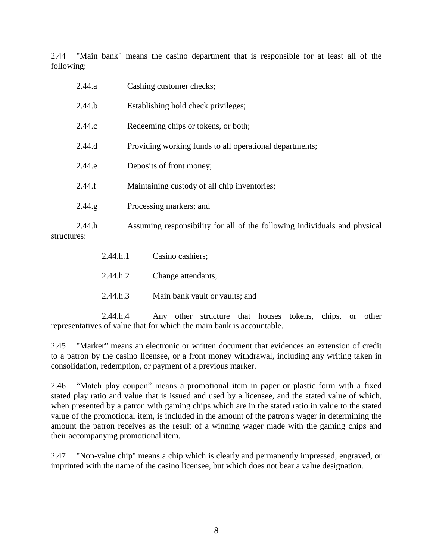2.44 "Main bank" means the casino department that is responsible for at least all of the following:

|             | 2.44.a | Cashing customer checks;                                                  |  |  |  |  |
|-------------|--------|---------------------------------------------------------------------------|--|--|--|--|
|             | 2.44.b | Establishing hold check privileges;                                       |  |  |  |  |
|             | 2.44.c | Redeeming chips or tokens, or both;                                       |  |  |  |  |
|             | 2.44.d | Providing working funds to all operational departments;                   |  |  |  |  |
|             | 2.44.e | Deposits of front money;                                                  |  |  |  |  |
|             | 2.44.f | Maintaining custody of all chip inventories;                              |  |  |  |  |
|             | 2.44.g | Processing markers; and                                                   |  |  |  |  |
| structures: | 2.44.h | Assuming responsibility for all of the following individuals and physical |  |  |  |  |

2.44.h.1 Casino cashiers; 2.44.h.2 Change attendants; 2.44.h.3 Main bank vault or vaults; and

2.44.h.4 Any other structure that houses tokens, chips, or other representatives of value that for which the main bank is accountable.

2.45 "Marker" means an electronic or written document that evidences an extension of credit to a patron by the casino licensee, or a front money withdrawal, including any writing taken in consolidation, redemption, or payment of a previous marker.

2.46 "Match play coupon" means a promotional item in paper or plastic form with a fixed stated play ratio and value that is issued and used by a licensee, and the stated value of which, when presented by a patron with gaming chips which are in the stated ratio in value to the stated value of the promotional item, is included in the amount of the patron's wager in determining the amount the patron receives as the result of a winning wager made with the gaming chips and their accompanying promotional item.

2.47 "Non-value chip" means a chip which is clearly and permanently impressed, engraved, or imprinted with the name of the casino licensee, but which does not bear a value designation.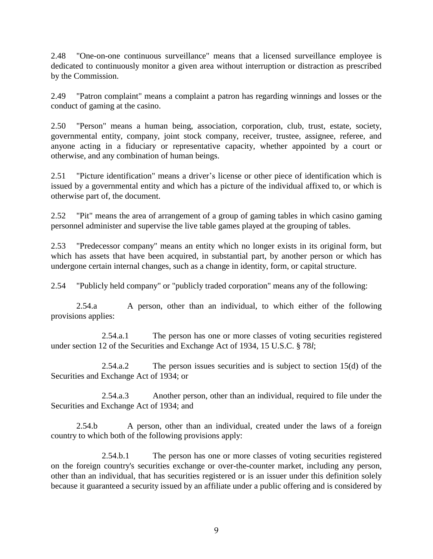2.48 "One-on-one continuous surveillance" means that a licensed surveillance employee is dedicated to continuously monitor a given area without interruption or distraction as prescribed by the Commission.

2.49 "Patron complaint" means a complaint a patron has regarding winnings and losses or the conduct of gaming at the casino.

2.50 "Person" means a human being, association, corporation, club, trust, estate, society, governmental entity, company, joint stock company, receiver, trustee, assignee, referee, and anyone acting in a fiduciary or representative capacity, whether appointed by a court or otherwise, and any combination of human beings.

2.51 "Picture identification" means a driver's license or other piece of identification which is issued by a governmental entity and which has a picture of the individual affixed to, or which is otherwise part of, the document.

2.52 "Pit" means the area of arrangement of a group of gaming tables in which casino gaming personnel administer and supervise the live table games played at the grouping of tables.

2.53 "Predecessor company" means an entity which no longer exists in its original form, but which has assets that have been acquired, in substantial part, by another person or which has undergone certain internal changes, such as a change in identity, form, or capital structure.

2.54 "Publicly held company" or "publicly traded corporation" means any of the following:

2.54.a A person, other than an individual, to which either of the following provisions applies:

2.54.a.1 The person has one or more classes of voting securities registered under section 12 of the Securities and Exchange Act of 1934, 15 U.S.C. § 78*l*;

2.54.a.2 The person issues securities and is subject to section 15(d) of the Securities and Exchange Act of 1934; or

2.54.a.3 Another person, other than an individual, required to file under the Securities and Exchange Act of 1934; and

2.54.b A person, other than an individual, created under the laws of a foreign country to which both of the following provisions apply:

2.54.b.1 The person has one or more classes of voting securities registered on the foreign country's securities exchange or over-the-counter market, including any person, other than an individual, that has securities registered or is an issuer under this definition solely because it guaranteed a security issued by an affiliate under a public offering and is considered by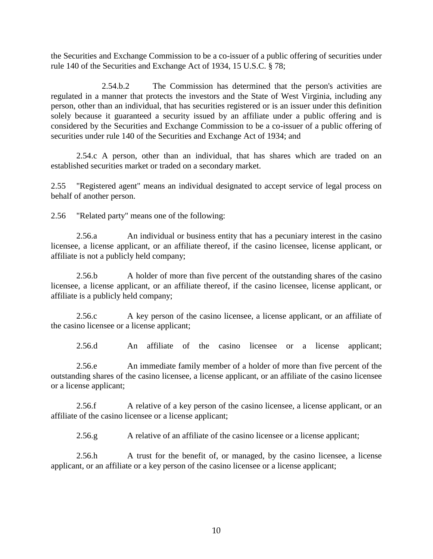the Securities and Exchange Commission to be a co-issuer of a public offering of securities under rule 140 of the Securities and Exchange Act of 1934, 15 U.S.C. § 78;

2.54.b.2 The Commission has determined that the person's activities are regulated in a manner that protects the investors and the State of West Virginia, including any person, other than an individual, that has securities registered or is an issuer under this definition solely because it guaranteed a security issued by an affiliate under a public offering and is considered by the Securities and Exchange Commission to be a co-issuer of a public offering of securities under rule 140 of the Securities and Exchange Act of 1934; and

2.54.c A person, other than an individual, that has shares which are traded on an established securities market or traded on a secondary market.

2.55 "Registered agent" means an individual designated to accept service of legal process on behalf of another person.

2.56 "Related party" means one of the following:

2.56.a An individual or business entity that has a pecuniary interest in the casino licensee, a license applicant, or an affiliate thereof, if the casino licensee, license applicant, or affiliate is not a publicly held company;

2.56.b A holder of more than five percent of the outstanding shares of the casino licensee, a license applicant, or an affiliate thereof, if the casino licensee, license applicant, or affiliate is a publicly held company;

2.56.c A key person of the casino licensee, a license applicant, or an affiliate of the casino licensee or a license applicant;

2.56.d An affiliate of the casino licensee or a license applicant;

2.56.e An immediate family member of a holder of more than five percent of the outstanding shares of the casino licensee, a license applicant, or an affiliate of the casino licensee or a license applicant;

2.56.f A relative of a key person of the casino licensee, a license applicant, or an affiliate of the casino licensee or a license applicant;

2.56.g A relative of an affiliate of the casino licensee or a license applicant;

2.56.h A trust for the benefit of, or managed, by the casino licensee, a license applicant, or an affiliate or a key person of the casino licensee or a license applicant;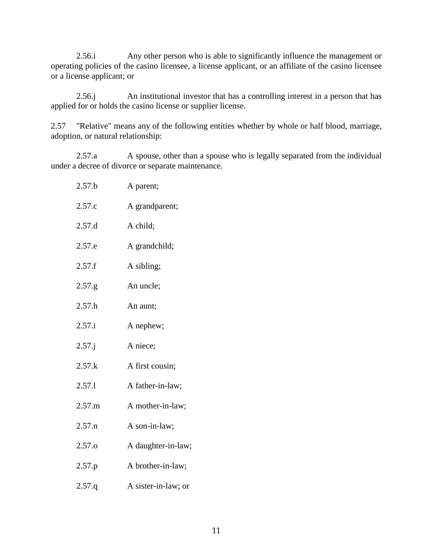2.56.i Any other person who is able to significantly influence the management or operating policies of the casino licensee, a license applicant, or an affiliate of the casino licensee or a license applicant; or

2.56.j An institutional investor that has a controlling interest in a person that has applied for or holds the casino license or supplier license.

2.57 "Relative" means any of the following entities whether by whole or half blood, marriage, adoption, or natural relationship:

2.57.a A spouse, other than a spouse who is legally separated from the individual under a decree of divorce or separate maintenance.

| 2.57.b            | A parent;           |
|-------------------|---------------------|
| 2.57.c            | A grandparent;      |
| 2.57.d            | A child;            |
| 2.57.e            | A grandchild;       |
| 2.57.f            | A sibling;          |
| 2.57.g            | An uncle;           |
| 2.57.h            | An aunt;            |
| 2.57.i            | A nephew;           |
| $2.57$ .j         | A niece;            |
| 2.57.k            | A first cousin;     |
| 2.57.1            | A father-in-law;    |
| 2.57.m            | A mother-in-law;    |
| 2.57.n            | A son-in-law;       |
| 2.57.o            | A daughter-in-law;  |
| 2.57.p            | A brother-in-law;   |
| 2.57 <sub>q</sub> | A sister-in-law; or |
|                   |                     |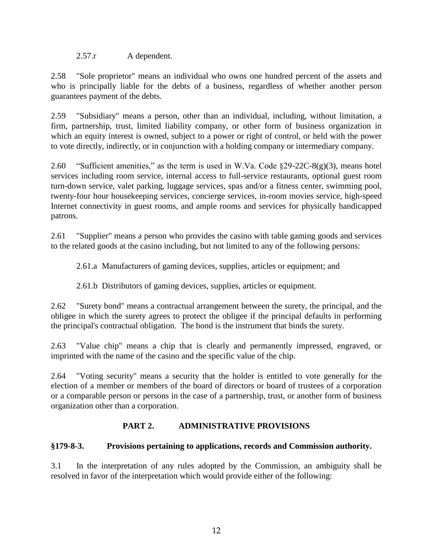2.57.r A dependent.

2.58 "Sole proprietor" means an individual who owns one hundred percent of the assets and who is principally liable for the debts of a business, regardless of whether another person guarantees payment of the debts.

2.59 "Subsidiary" means a person, other than an individual, including, without limitation, a firm, partnership, trust, limited liability company, or other form of business organization in which an equity interest is owned, subject to a power or right of control, or held with the power to vote directly, indirectly, or in conjunction with a holding company or intermediary company.

2.60 "Sufficient amenities," as the term is used in W.Va. Code §29-22C-8(g)(3), means hotel services including room service, internal access to full-service restaurants, optional guest room turn-down service, valet parking, luggage services, spas and/or a fitness center, swimming pool, twenty-four hour housekeeping services, concierge services, in-room movies service, high-speed Internet connectivity in guest rooms, and ample rooms and services for physically handicapped patrons.

2.61 "Supplier" means a person who provides the casino with table gaming goods and services to the related goods at the casino including, but not limited to any of the following persons:

2.61.a Manufacturers of gaming devices, supplies, articles or equipment; and

2.61.b Distributors of gaming devices, supplies, articles or equipment.

2.62 "Surety bond" means a contractual arrangement between the surety, the principal, and the obligee in which the surety agrees to protect the obligee if the principal defaults in performing the principal's contractual obligation. The bond is the instrument that binds the surety.

2.63 "Value chip" means a chip that is clearly and permanently impressed, engraved, or imprinted with the name of the casino and the specific value of the chip.

2.64 "Voting security" means a security that the holder is entitled to vote generally for the election of a member or members of the board of directors or board of trustees of a corporation or a comparable person or persons in the case of a partnership, trust, or another form of business organization other than a corporation.

#### **PART 2. ADMINISTRATIVE PROVISIONS**

#### **§179-8-3. Provisions pertaining to applications, records and Commission authority.**

3.1 In the interpretation of any rules adopted by the Commission, an ambiguity shall be resolved in favor of the interpretation which would provide either of the following: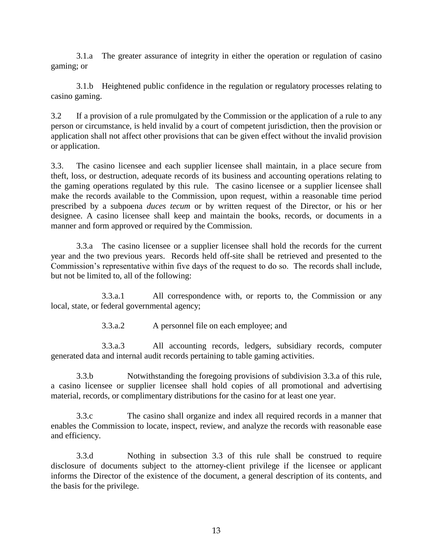3.1.a The greater assurance of integrity in either the operation or regulation of casino gaming; or

3.1.b Heightened public confidence in the regulation or regulatory processes relating to casino gaming.

3.2 If a provision of a rule promulgated by the Commission or the application of a rule to any person or circumstance, is held invalid by a court of competent jurisdiction, then the provision or application shall not affect other provisions that can be given effect without the invalid provision or application.

3.3.The casino licensee and each supplier licensee shall maintain, in a place secure from theft, loss, or destruction, adequate records of its business and accounting operations relating to the gaming operations regulated by this rule. The casino licensee or a supplier licensee shall make the records available to the Commission, upon request, within a reasonable time period prescribed by a subpoena *duces tecum* or by written request of the Director, or his or her designee. A casino licensee shall keep and maintain the books, records, or documents in a manner and form approved or required by the Commission.

3.3.a The casino licensee or a supplier licensee shall hold the records for the current year and the two previous years. Records held off-site shall be retrieved and presented to the Commission's representative within five days of the request to do so. The records shall include, but not be limited to, all of the following:

3.3.a.1 All correspondence with, or reports to, the Commission or any local, state, or federal governmental agency;

3.3.a.2 A personnel file on each employee; and

3.3.a.3 All accounting records, ledgers, subsidiary records, computer generated data and internal audit records pertaining to table gaming activities.

3.3.b Notwithstanding the foregoing provisions of subdivision 3.3.a of this rule, a casino licensee or supplier licensee shall hold copies of all promotional and advertising material, records, or complimentary distributions for the casino for at least one year.

3.3.c The casino shall organize and index all required records in a manner that enables the Commission to locate, inspect, review, and analyze the records with reasonable ease and efficiency.

3.3.d Nothing in subsection 3.3 of this rule shall be construed to require disclosure of documents subject to the attorney-client privilege if the licensee or applicant informs the Director of the existence of the document, a general description of its contents, and the basis for the privilege.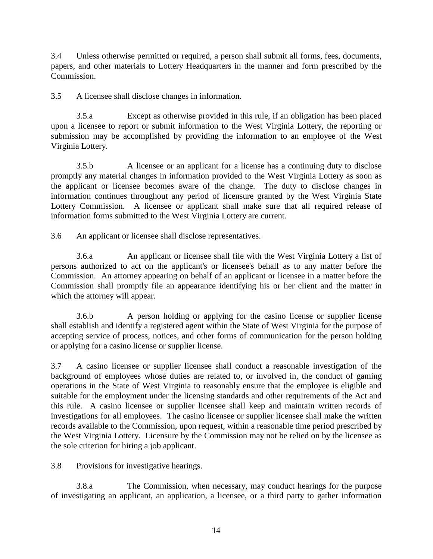3.4 Unless otherwise permitted or required, a person shall submit all forms, fees, documents, papers, and other materials to Lottery Headquarters in the manner and form prescribed by the Commission.

3.5 A licensee shall disclose changes in information.

3.5.a Except as otherwise provided in this rule, if an obligation has been placed upon a licensee to report or submit information to the West Virginia Lottery, the reporting or submission may be accomplished by providing the information to an employee of the West Virginia Lottery.

3.5.b A licensee or an applicant for a license has a continuing duty to disclose promptly any material changes in information provided to the West Virginia Lottery as soon as the applicant or licensee becomes aware of the change. The duty to disclose changes in information continues throughout any period of licensure granted by the West Virginia State Lottery Commission. A licensee or applicant shall make sure that all required release of information forms submitted to the West Virginia Lottery are current.

3.6 An applicant or licensee shall disclose representatives.

3.6.a An applicant or licensee shall file with the West Virginia Lottery a list of persons authorized to act on the applicant's or licensee's behalf as to any matter before the Commission. An attorney appearing on behalf of an applicant or licensee in a matter before the Commission shall promptly file an appearance identifying his or her client and the matter in which the attorney will appear.

3.6.b A person holding or applying for the casino license or supplier license shall establish and identify a registered agent within the State of West Virginia for the purpose of accepting service of process, notices, and other forms of communication for the person holding or applying for a casino license or supplier license.

3.7 A casino licensee or supplier licensee shall conduct a reasonable investigation of the background of employees whose duties are related to, or involved in, the conduct of gaming operations in the State of West Virginia to reasonably ensure that the employee is eligible and suitable for the employment under the licensing standards and other requirements of the Act and this rule. A casino licensee or supplier licensee shall keep and maintain written records of investigations for all employees. The casino licensee or supplier licensee shall make the written records available to the Commission, upon request, within a reasonable time period prescribed by the West Virginia Lottery. Licensure by the Commission may not be relied on by the licensee as the sole criterion for hiring a job applicant.

3.8 Provisions for investigative hearings.

3.8.a The Commission, when necessary, may conduct hearings for the purpose of investigating an applicant, an application, a licensee, or a third party to gather information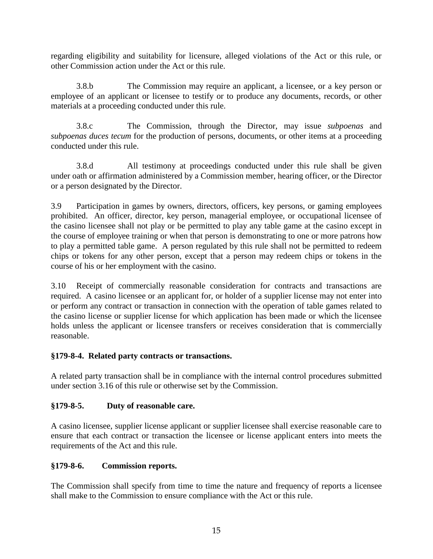regarding eligibility and suitability for licensure, alleged violations of the Act or this rule, or other Commission action under the Act or this rule.

3.8.b The Commission may require an applicant, a licensee, or a key person or employee of an applicant or licensee to testify or to produce any documents, records, or other materials at a proceeding conducted under this rule.

3.8.c The Commission, through the Director, may issue *subpoenas* and *subpoenas duces tecum* for the production of persons, documents, or other items at a proceeding conducted under this rule.

3.8.d All testimony at proceedings conducted under this rule shall be given under oath or affirmation administered by a Commission member, hearing officer, or the Director or a person designated by the Director.

3.9 Participation in games by owners, directors, officers, key persons, or gaming employees prohibited. An officer, director, key person, managerial employee, or occupational licensee of the casino licensee shall not play or be permitted to play any table game at the casino except in the course of employee training or when that person is demonstrating to one or more patrons how to play a permitted table game. A person regulated by this rule shall not be permitted to redeem chips or tokens for any other person, except that a person may redeem chips or tokens in the course of his or her employment with the casino.

3.10 Receipt of commercially reasonable consideration for contracts and transactions are required. A casino licensee or an applicant for, or holder of a supplier license may not enter into or perform any contract or transaction in connection with the operation of table games related to the casino license or supplier license for which application has been made or which the licensee holds unless the applicant or licensee transfers or receives consideration that is commercially reasonable.

# **§179-8-4. Related party contracts or transactions.**

A related party transaction shall be in compliance with the internal control procedures submitted under section 3.16 of this rule or otherwise set by the Commission.

# **§179-8-5. Duty of reasonable care.**

A casino licensee, supplier license applicant or supplier licensee shall exercise reasonable care to ensure that each contract or transaction the licensee or license applicant enters into meets the requirements of the Act and this rule.

# **§179-8-6. Commission reports.**

The Commission shall specify from time to time the nature and frequency of reports a licensee shall make to the Commission to ensure compliance with the Act or this rule.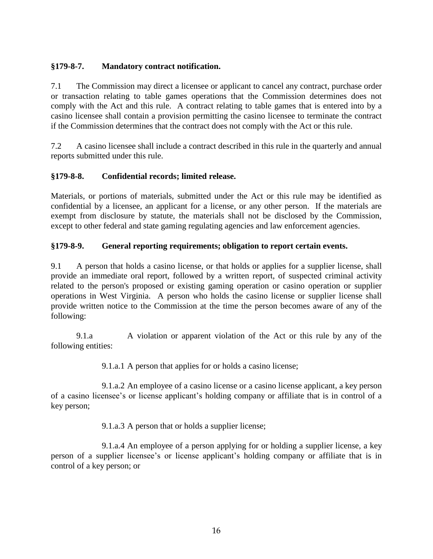### **§179-8-7. Mandatory contract notification.**

7.1 The Commission may direct a licensee or applicant to cancel any contract, purchase order or transaction relating to table games operations that the Commission determines does not comply with the Act and this rule. A contract relating to table games that is entered into by a casino licensee shall contain a provision permitting the casino licensee to terminate the contract if the Commission determines that the contract does not comply with the Act or this rule.

7.2 A casino licensee shall include a contract described in this rule in the quarterly and annual reports submitted under this rule.

### **§179-8-8. Confidential records; limited release.**

Materials, or portions of materials, submitted under the Act or this rule may be identified as confidential by a licensee, an applicant for a license, or any other person. If the materials are exempt from disclosure by statute, the materials shall not be disclosed by the Commission, except to other federal and state gaming regulating agencies and law enforcement agencies.

### **§179-8-9. General reporting requirements; obligation to report certain events.**

9.1 A person that holds a casino license, or that holds or applies for a supplier license, shall provide an immediate oral report, followed by a written report, of suspected criminal activity related to the person's proposed or existing gaming operation or casino operation or supplier operations in West Virginia. A person who holds the casino license or supplier license shall provide written notice to the Commission at the time the person becomes aware of any of the following:

9.1.a A violation or apparent violation of the Act or this rule by any of the following entities:

9.1.a.1 A person that applies for or holds a casino license;

9.1.a.2 An employee of a casino license or a casino license applicant, a key person of a casino licensee's or license applicant's holding company or affiliate that is in control of a key person;

9.1.a.3 A person that or holds a supplier license;

9.1.a.4 An employee of a person applying for or holding a supplier license, a key person of a supplier licensee's or license applicant's holding company or affiliate that is in control of a key person; or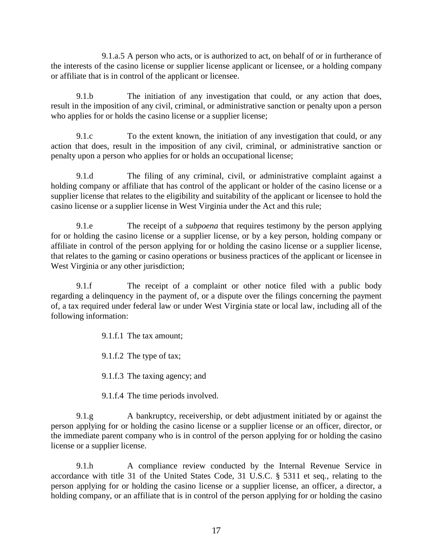9.1.a.5 A person who acts, or is authorized to act, on behalf of or in furtherance of the interests of the casino license or supplier license applicant or licensee, or a holding company or affiliate that is in control of the applicant or licensee.

9.1.b The initiation of any investigation that could, or any action that does, result in the imposition of any civil, criminal, or administrative sanction or penalty upon a person who applies for or holds the casino license or a supplier license;

9.1.c To the extent known, the initiation of any investigation that could, or any action that does, result in the imposition of any civil, criminal, or administrative sanction or penalty upon a person who applies for or holds an occupational license;

9.1.d The filing of any criminal, civil, or administrative complaint against a holding company or affiliate that has control of the applicant or holder of the casino license or a supplier license that relates to the eligibility and suitability of the applicant or licensee to hold the casino license or a supplier license in West Virginia under the Act and this rule;

9.1.e The receipt of a *subpoena* that requires testimony by the person applying for or holding the casino license or a supplier license, or by a key person, holding company or affiliate in control of the person applying for or holding the casino license or a supplier license, that relates to the gaming or casino operations or business practices of the applicant or licensee in West Virginia or any other jurisdiction;

9.1.f The receipt of a complaint or other notice filed with a public body regarding a delinquency in the payment of, or a dispute over the filings concerning the payment of, a tax required under federal law or under West Virginia state or local law, including all of the following information:

9.1.f.1 The tax amount;

9.1.f.2 The type of tax;

9.1.f.3 The taxing agency; and

9.1.f.4 The time periods involved.

9.1.g A bankruptcy, receivership, or debt adjustment initiated by or against the person applying for or holding the casino license or a supplier license or an officer, director, or the immediate parent company who is in control of the person applying for or holding the casino license or a supplier license.

9.1.h A compliance review conducted by the Internal Revenue Service in accordance with title 31 of the United States Code, 31 U.S.C. § 5311 et seq.*,* relating to the person applying for or holding the casino license or a supplier license, an officer, a director, a holding company, or an affiliate that is in control of the person applying for or holding the casino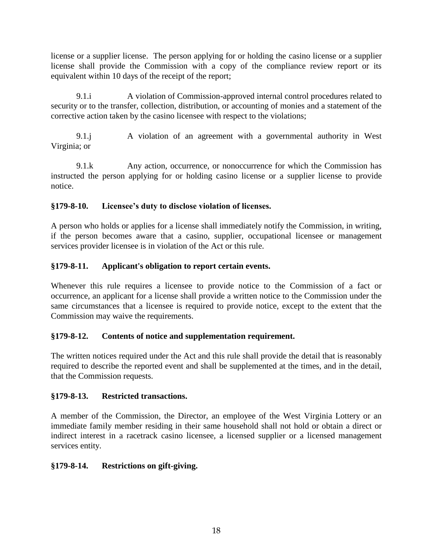license or a supplier license. The person applying for or holding the casino license or a supplier license shall provide the Commission with a copy of the compliance review report or its equivalent within 10 days of the receipt of the report;

9.1.i A violation of Commission-approved internal control procedures related to security or to the transfer, collection, distribution, or accounting of monies and a statement of the corrective action taken by the casino licensee with respect to the violations;

9.1.j A violation of an agreement with a governmental authority in West Virginia; or

9.1.k Any action, occurrence, or nonoccurrence for which the Commission has instructed the person applying for or holding casino license or a supplier license to provide notice.

### **§179-8-10. Licensee's duty to disclose violation of licenses.**

A person who holds or applies for a license shall immediately notify the Commission, in writing, if the person becomes aware that a casino, supplier, occupational licensee or management services provider licensee is in violation of the Act or this rule.

### **§179-8-11. Applicant's obligation to report certain events.**

Whenever this rule requires a licensee to provide notice to the Commission of a fact or occurrence, an applicant for a license shall provide a written notice to the Commission under the same circumstances that a licensee is required to provide notice, except to the extent that the Commission may waive the requirements.

# **§179-8-12. Contents of notice and supplementation requirement.**

The written notices required under the Act and this rule shall provide the detail that is reasonably required to describe the reported event and shall be supplemented at the times, and in the detail, that the Commission requests.

#### **§179-8-13. Restricted transactions.**

A member of the Commission, the Director, an employee of the West Virginia Lottery or an immediate family member residing in their same household shall not hold or obtain a direct or indirect interest in a racetrack casino licensee, a licensed supplier or a licensed management services entity.

# **§179-8-14. Restrictions on gift-giving.**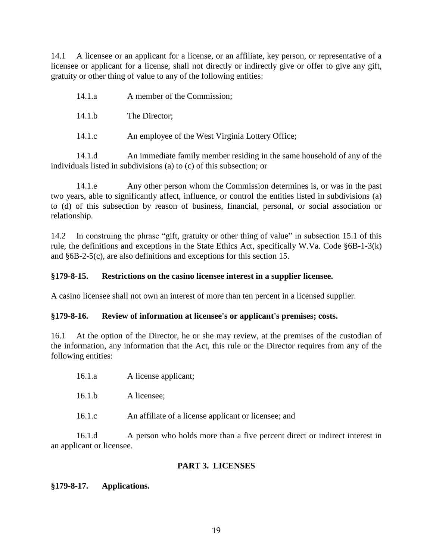14.1 A licensee or an applicant for a license, or an affiliate, key person, or representative of a licensee or applicant for a license, shall not directly or indirectly give or offer to give any gift, gratuity or other thing of value to any of the following entities:

| 14.1.a | A member of the Commission; |
|--------|-----------------------------|
|--------|-----------------------------|

14.1.b The Director;

14.1.c An employee of the West Virginia Lottery Office;

14.1.d An immediate family member residing in the same household of any of the individuals listed in subdivisions (a) to (c) of this subsection; or

14.1.e Any other person whom the Commission determines is, or was in the past two years, able to significantly affect, influence, or control the entities listed in subdivisions (a) to (d) of this subsection by reason of business, financial, personal, or social association or relationship.

14.2 In construing the phrase "gift, gratuity or other thing of value" in subsection 15.1 of this rule, the definitions and exceptions in the State Ethics Act, specifically W.Va. Code §6B-1-3(k) and §6B-2-5(c), are also definitions and exceptions for this section 15.

#### **§179-8-15. Restrictions on the casino licensee interest in a supplier licensee.**

A casino licensee shall not own an interest of more than ten percent in a licensed supplier.

#### **§179-8-16. Review of information at licensee's or applicant's premises; costs.**

16.1 At the option of the Director, he or she may review, at the premises of the custodian of the information, any information that the Act, this rule or the Director requires from any of the following entities:

- 16.1.a A license applicant;
- 16.1.b A licensee;
- 16.1.c An affiliate of a license applicant or licensee; and

16.1.d A person who holds more than a five percent direct or indirect interest in an applicant or licensee.

#### **PART 3. LICENSES**

#### **§179-8-17. Applications.**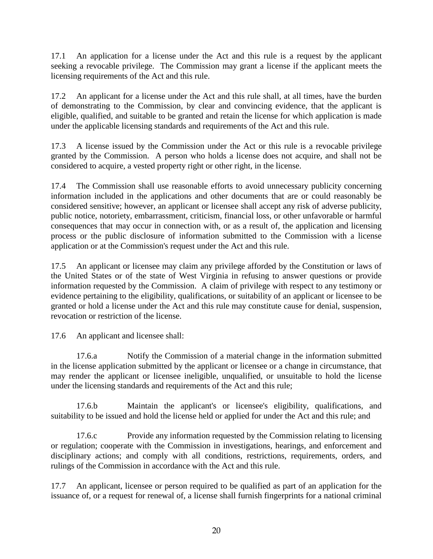17.1 An application for a license under the Act and this rule is a request by the applicant seeking a revocable privilege. The Commission may grant a license if the applicant meets the licensing requirements of the Act and this rule.

17.2 An applicant for a license under the Act and this rule shall, at all times, have the burden of demonstrating to the Commission, by clear and convincing evidence, that the applicant is eligible, qualified, and suitable to be granted and retain the license for which application is made under the applicable licensing standards and requirements of the Act and this rule.

17.3 A license issued by the Commission under the Act or this rule is a revocable privilege granted by the Commission. A person who holds a license does not acquire, and shall not be considered to acquire, a vested property right or other right, in the license.

17.4 The Commission shall use reasonable efforts to avoid unnecessary publicity concerning information included in the applications and other documents that are or could reasonably be considered sensitive; however, an applicant or licensee shall accept any risk of adverse publicity, public notice, notoriety, embarrassment, criticism, financial loss, or other unfavorable or harmful consequences that may occur in connection with, or as a result of, the application and licensing process or the public disclosure of information submitted to the Commission with a license application or at the Commission's request under the Act and this rule.

17.5 An applicant or licensee may claim any privilege afforded by the Constitution or laws of the United States or of the state of West Virginia in refusing to answer questions or provide information requested by the Commission. A claim of privilege with respect to any testimony or evidence pertaining to the eligibility, qualifications, or suitability of an applicant or licensee to be granted or hold a license under the Act and this rule may constitute cause for denial, suspension, revocation or restriction of the license.

17.6 An applicant and licensee shall:

17.6.a Notify the Commission of a material change in the information submitted in the license application submitted by the applicant or licensee or a change in circumstance, that may render the applicant or licensee ineligible, unqualified, or unsuitable to hold the license under the licensing standards and requirements of the Act and this rule;

17.6.b Maintain the applicant's or licensee's eligibility, qualifications, and suitability to be issued and hold the license held or applied for under the Act and this rule; and

17.6.c Provide any information requested by the Commission relating to licensing or regulation; cooperate with the Commission in investigations, hearings, and enforcement and disciplinary actions; and comply with all conditions, restrictions, requirements, orders, and rulings of the Commission in accordance with the Act and this rule.

17.7 An applicant, licensee or person required to be qualified as part of an application for the issuance of, or a request for renewal of, a license shall furnish fingerprints for a national criminal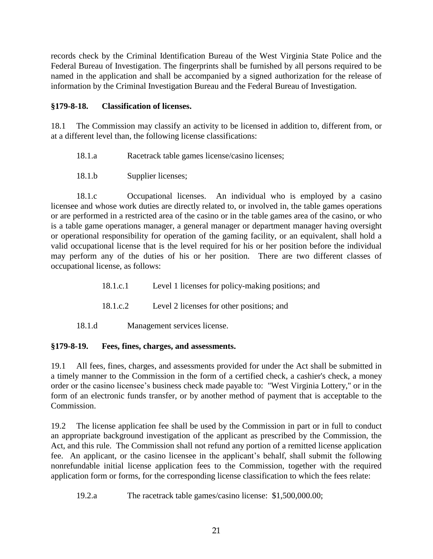records check by the Criminal Identification Bureau of the West Virginia State Police and the Federal Bureau of Investigation. The fingerprints shall be furnished by all persons required to be named in the application and shall be accompanied by a signed authorization for the release of information by the Criminal Investigation Bureau and the Federal Bureau of Investigation.

### **§179-8-18. Classification of licenses.**

18.1 The Commission may classify an activity to be licensed in addition to, different from, or at a different level than, the following license classifications:

- 18.1.a Racetrack table games license/casino licenses;
- 18.1.b Supplier licenses;

18.1.c Occupational licenses. An individual who is employed by a casino licensee and whose work duties are directly related to, or involved in, the table games operations or are performed in a restricted area of the casino or in the table games area of the casino, or who is a table game operations manager, a general manager or department manager having oversight or operational responsibility for operation of the gaming facility, or an equivalent, shall hold a valid occupational license that is the level required for his or her position before the individual may perform any of the duties of his or her position. There are two different classes of occupational license, as follows:

- 18.1.c.1 Level 1 licenses for policy-making positions; and
- 18.1.c.2 Level 2 licenses for other positions; and
- 18.1.d Management services license.

#### **§179-8-19. Fees, fines, charges, and assessments.**

19.1 All fees, fines, charges, and assessments provided for under the Act shall be submitted in a timely manner to the Commission in the form of a certified check, a cashier's check, a money order or the casino licensee's business check made payable to: "West Virginia Lottery," or in the form of an electronic funds transfer, or by another method of payment that is acceptable to the Commission.

19.2 The license application fee shall be used by the Commission in part or in full to conduct an appropriate background investigation of the applicant as prescribed by the Commission, the Act, and this rule. The Commission shall not refund any portion of a remitted license application fee. An applicant, or the casino licensee in the applicant's behalf, shall submit the following nonrefundable initial license application fees to the Commission, together with the required application form or forms, for the corresponding license classification to which the fees relate:

19.2.a The racetrack table games/casino license: \$1,500,000.00;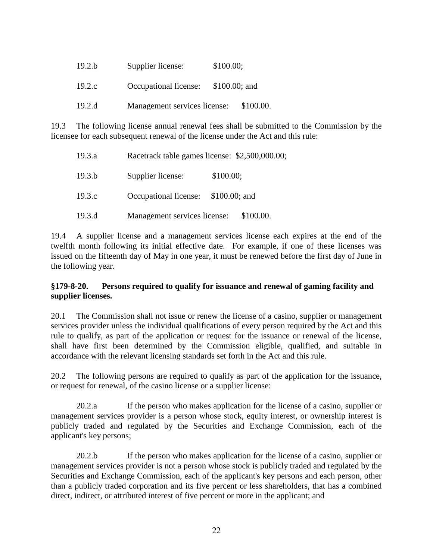| 19.2.b | Supplier license:            | \$100.00;      |
|--------|------------------------------|----------------|
| 19.2.c | Occupational license:        | $$100.00;$ and |
| 19.2.d | Management services license: | \$100.00.      |

19.3 The following license annual renewal fees shall be submitted to the Commission by the licensee for each subsequent renewal of the license under the Act and this rule:

| 19.3.a |                                     | Racetrack table games license: \$2,500,000.00; |
|--------|-------------------------------------|------------------------------------------------|
| 19.3.b | Supplier license:                   | \$100.00;                                      |
| 19.3.c | Occupational license: \$100.00; and |                                                |
| 19.3.d | Management services license:        | \$100.00.                                      |

19.4 A supplier license and a management services license each expires at the end of the twelfth month following its initial effective date. For example, if one of these licenses was issued on the fifteenth day of May in one year, it must be renewed before the first day of June in the following year.

### **§179-8-20. Persons required to qualify for issuance and renewal of gaming facility and supplier licenses.**

20.1 The Commission shall not issue or renew the license of a casino, supplier or management services provider unless the individual qualifications of every person required by the Act and this rule to qualify, as part of the application or request for the issuance or renewal of the license, shall have first been determined by the Commission eligible, qualified, and suitable in accordance with the relevant licensing standards set forth in the Act and this rule.

20.2 The following persons are required to qualify as part of the application for the issuance, or request for renewal, of the casino license or a supplier license:

20.2.a If the person who makes application for the license of a casino, supplier or management services provider is a person whose stock, equity interest, or ownership interest is publicly traded and regulated by the Securities and Exchange Commission, each of the applicant's key persons;

20.2.b If the person who makes application for the license of a casino, supplier or management services provider is not a person whose stock is publicly traded and regulated by the Securities and Exchange Commission, each of the applicant's key persons and each person, other than a publicly traded corporation and its five percent or less shareholders, that has a combined direct, indirect, or attributed interest of five percent or more in the applicant; and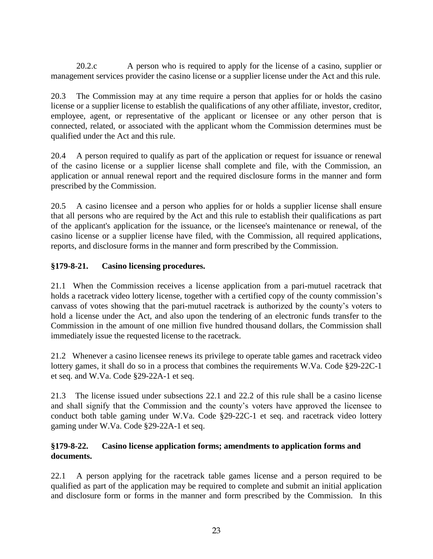20.2.c A person who is required to apply for the license of a casino, supplier or management services provider the casino license or a supplier license under the Act and this rule.

20.3 The Commission may at any time require a person that applies for or holds the casino license or a supplier license to establish the qualifications of any other affiliate, investor, creditor, employee, agent, or representative of the applicant or licensee or any other person that is connected, related, or associated with the applicant whom the Commission determines must be qualified under the Act and this rule.

20.4 A person required to qualify as part of the application or request for issuance or renewal of the casino license or a supplier license shall complete and file, with the Commission, an application or annual renewal report and the required disclosure forms in the manner and form prescribed by the Commission.

20.5 A casino licensee and a person who applies for or holds a supplier license shall ensure that all persons who are required by the Act and this rule to establish their qualifications as part of the applicant's application for the issuance, or the licensee's maintenance or renewal, of the casino license or a supplier license have filed, with the Commission, all required applications, reports, and disclosure forms in the manner and form prescribed by the Commission.

# **§179-8-21. Casino licensing procedures.**

21.1 When the Commission receives a license application from a pari-mutuel racetrack that holds a racetrack video lottery license, together with a certified copy of the county commission's canvass of votes showing that the pari-mutuel racetrack is authorized by the county's voters to hold a license under the Act, and also upon the tendering of an electronic funds transfer to the Commission in the amount of one million five hundred thousand dollars, the Commission shall immediately issue the requested license to the racetrack.

21.2 Whenever a casino licensee renews its privilege to operate table games and racetrack video lottery games, it shall do so in a process that combines the requirements W.Va. Code §29-22C-1 et seq. and W.Va. Code §29-22A-1 et seq.

21.3 The license issued under subsections 22.1 and 22.2 of this rule shall be a casino license and shall signify that the Commission and the county's voters have approved the licensee to conduct both table gaming under W.Va. Code §29-22C-1 et seq. and racetrack video lottery gaming under W.Va. Code §29-22A-1 et seq.

### **§179-8-22. Casino license application forms; amendments to application forms and documents.**

22.1 A person applying for the racetrack table games license and a person required to be qualified as part of the application may be required to complete and submit an initial application and disclosure form or forms in the manner and form prescribed by the Commission. In this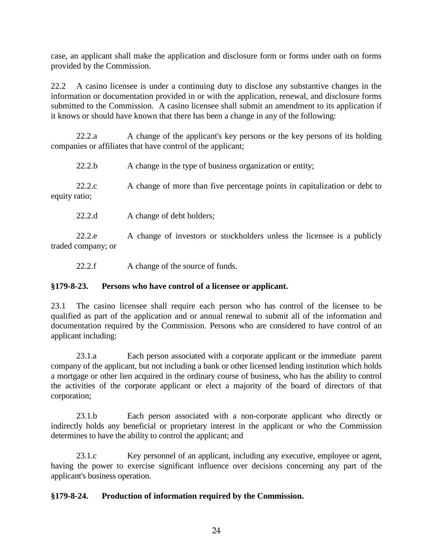case, an applicant shall make the application and disclosure form or forms under oath on forms provided by the Commission.

22.2 A casino licensee is under a continuing duty to disclose any substantive changes in the information or documentation provided in or with the application, renewal, and disclosure forms submitted to the Commission. A casino licensee shall submit an amendment to its application if it knows or should have known that there has been a change in any of the following:

22.2.a A change of the applicant's key persons or the key persons of its holding companies or affiliates that have control of the applicant;

| 22.2.b                  | A change in the type of business organization or entity;                  |
|-------------------------|---------------------------------------------------------------------------|
| 22.2.c<br>equity ratio; | A change of more than five percentage points in capitalization or debt to |

22.2.d A change of debt holders;

22.2.e A change of investors or stockholders unless the licensee is a publicly traded company; or

22.2.f A change of the source of funds.

#### **§179-8-23. Persons who have control of a licensee or applicant.**

23.1 The casino licensee shall require each person who has control of the licensee to be qualified as part of the application and or annual renewal to submit all of the information and documentation required by the Commission. Persons who are considered to have control of an applicant including:

23.1.a Each person associated with a corporate applicant or the immediate parent company of the applicant, but not including a bank or other licensed lending institution which holds a mortgage or other lien acquired in the ordinary course of business, who has the ability to control the activities of the corporate applicant or elect a majority of the board of directors of that corporation;

23.1.b Each person associated with a non-corporate applicant who directly or indirectly holds any beneficial or proprietary interest in the applicant or who the Commission determines to have the ability to control the applicant; and

23.1.c Key personnel of an applicant, including any executive, employee or agent, having the power to exercise significant influence over decisions concerning any part of the applicant's business operation.

#### **§179-8-24. Production of information required by the Commission.**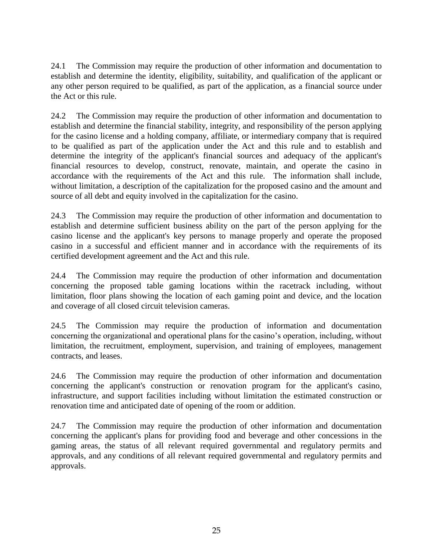24.1 The Commission may require the production of other information and documentation to establish and determine the identity, eligibility, suitability, and qualification of the applicant or any other person required to be qualified, as part of the application, as a financial source under the Act or this rule.

24.2 The Commission may require the production of other information and documentation to establish and determine the financial stability, integrity, and responsibility of the person applying for the casino license and a holding company, affiliate, or intermediary company that is required to be qualified as part of the application under the Act and this rule and to establish and determine the integrity of the applicant's financial sources and adequacy of the applicant's financial resources to develop, construct, renovate, maintain, and operate the casino in accordance with the requirements of the Act and this rule. The information shall include, without limitation, a description of the capitalization for the proposed casino and the amount and source of all debt and equity involved in the capitalization for the casino.

24.3 The Commission may require the production of other information and documentation to establish and determine sufficient business ability on the part of the person applying for the casino license and the applicant's key persons to manage properly and operate the proposed casino in a successful and efficient manner and in accordance with the requirements of its certified development agreement and the Act and this rule.

24.4 The Commission may require the production of other information and documentation concerning the proposed table gaming locations within the racetrack including, without limitation, floor plans showing the location of each gaming point and device, and the location and coverage of all closed circuit television cameras.

24.5 The Commission may require the production of information and documentation concerning the organizational and operational plans for the casino's operation, including, without limitation, the recruitment, employment, supervision, and training of employees, management contracts, and leases.

24.6 The Commission may require the production of other information and documentation concerning the applicant's construction or renovation program for the applicant's casino, infrastructure, and support facilities including without limitation the estimated construction or renovation time and anticipated date of opening of the room or addition.

24.7 The Commission may require the production of other information and documentation concerning the applicant's plans for providing food and beverage and other concessions in the gaming areas, the status of all relevant required governmental and regulatory permits and approvals, and any conditions of all relevant required governmental and regulatory permits and approvals.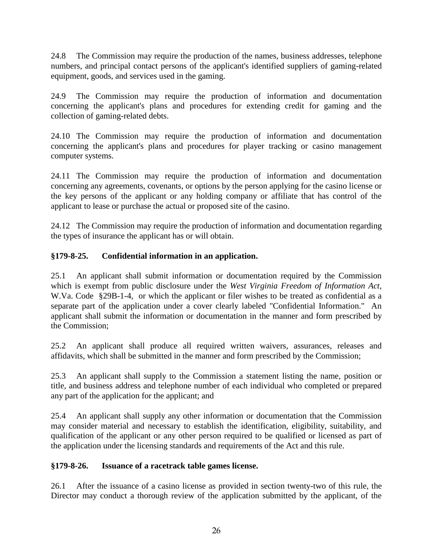24.8 The Commission may require the production of the names, business addresses, telephone numbers, and principal contact persons of the applicant's identified suppliers of gaming-related equipment, goods, and services used in the gaming.

24.9 The Commission may require the production of information and documentation concerning the applicant's plans and procedures for extending credit for gaming and the collection of gaming-related debts.

24.10 The Commission may require the production of information and documentation concerning the applicant's plans and procedures for player tracking or casino management computer systems.

24.11 The Commission may require the production of information and documentation concerning any agreements, covenants, or options by the person applying for the casino license or the key persons of the applicant or any holding company or affiliate that has control of the applicant to lease or purchase the actual or proposed site of the casino.

24.12 The Commission may require the production of information and documentation regarding the types of insurance the applicant has or will obtain.

# **§179-8-25. Confidential information in an application.**

25.1 An applicant shall submit information or documentation required by the Commission which is exempt from public disclosure under the *West Virginia Freedom of Information Act,* W.Va. Code §29B-1-4, or which the applicant or filer wishes to be treated as confidential as a separate part of the application under a cover clearly labeled "Confidential Information." An applicant shall submit the information or documentation in the manner and form prescribed by the Commission;

25.2 An applicant shall produce all required written waivers, assurances, releases and affidavits, which shall be submitted in the manner and form prescribed by the Commission;

25.3 An applicant shall supply to the Commission a statement listing the name, position or title, and business address and telephone number of each individual who completed or prepared any part of the application for the applicant; and

25.4 An applicant shall supply any other information or documentation that the Commission may consider material and necessary to establish the identification, eligibility, suitability, and qualification of the applicant or any other person required to be qualified or licensed as part of the application under the licensing standards and requirements of the Act and this rule.

# **§179-8-26. Issuance of a racetrack table games license.**

26.1 After the issuance of a casino license as provided in section twenty-two of this rule, the Director may conduct a thorough review of the application submitted by the applicant, of the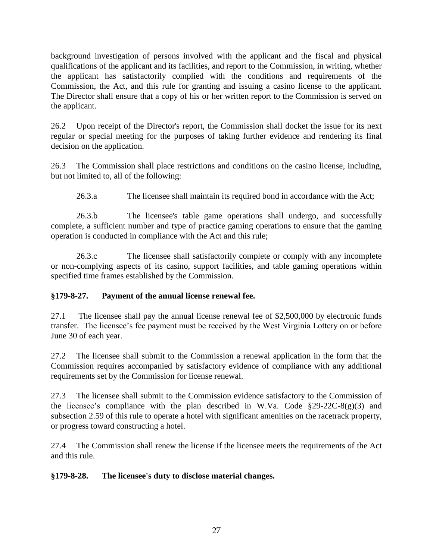background investigation of persons involved with the applicant and the fiscal and physical qualifications of the applicant and its facilities, and report to the Commission, in writing, whether the applicant has satisfactorily complied with the conditions and requirements of the Commission, the Act, and this rule for granting and issuing a casino license to the applicant. The Director shall ensure that a copy of his or her written report to the Commission is served on the applicant.

26.2 Upon receipt of the Director's report, the Commission shall docket the issue for its next regular or special meeting for the purposes of taking further evidence and rendering its final decision on the application.

26.3 The Commission shall place restrictions and conditions on the casino license, including, but not limited to, all of the following:

26.3.a The licensee shall maintain its required bond in accordance with the Act;

26.3.b The licensee's table game operations shall undergo, and successfully complete, a sufficient number and type of practice gaming operations to ensure that the gaming operation is conducted in compliance with the Act and this rule;

26.3.c The licensee shall satisfactorily complete or comply with any incomplete or non-complying aspects of its casino, support facilities, and table gaming operations within specified time frames established by the Commission.

#### **§179-8-27. Payment of the annual license renewal fee.**

27.1 The licensee shall pay the annual license renewal fee of \$2,500,000 by electronic funds transfer. The licensee's fee payment must be received by the West Virginia Lottery on or before June 30 of each year.

27.2 The licensee shall submit to the Commission a renewal application in the form that the Commission requires accompanied by satisfactory evidence of compliance with any additional requirements set by the Commission for license renewal.

27.3 The licensee shall submit to the Commission evidence satisfactory to the Commission of the licensee's compliance with the plan described in W.Va. Code  $\S 29-22C-8(g)(3)$  and subsection 2.59 of this rule to operate a hotel with significant amenities on the racetrack property, or progress toward constructing a hotel.

27.4 The Commission shall renew the license if the licensee meets the requirements of the Act and this rule.

#### **§179-8-28. The licensee's duty to disclose material changes.**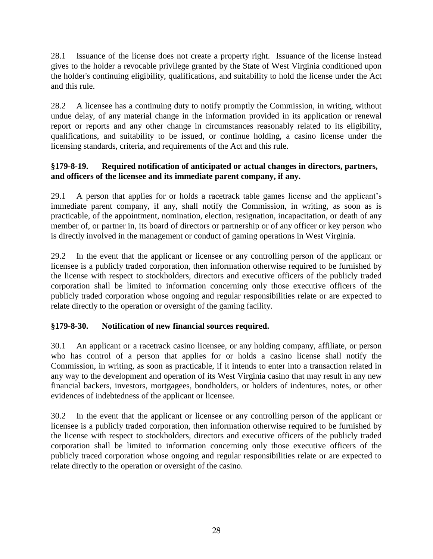28.1 Issuance of the license does not create a property right. Issuance of the license instead gives to the holder a revocable privilege granted by the State of West Virginia conditioned upon the holder's continuing eligibility, qualifications, and suitability to hold the license under the Act and this rule.

28.2 A licensee has a continuing duty to notify promptly the Commission, in writing, without undue delay, of any material change in the information provided in its application or renewal report or reports and any other change in circumstances reasonably related to its eligibility, qualifications, and suitability to be issued, or continue holding, a casino license under the licensing standards, criteria, and requirements of the Act and this rule.

## **§179-8-19. Required notification of anticipated or actual changes in directors, partners, and officers of the licensee and its immediate parent company, if any.**

29.1 A person that applies for or holds a racetrack table games license and the applicant's immediate parent company, if any, shall notify the Commission, in writing, as soon as is practicable, of the appointment, nomination, election, resignation, incapacitation, or death of any member of, or partner in, its board of directors or partnership or of any officer or key person who is directly involved in the management or conduct of gaming operations in West Virginia.

29.2 In the event that the applicant or licensee or any controlling person of the applicant or licensee is a publicly traded corporation, then information otherwise required to be furnished by the license with respect to stockholders, directors and executive officers of the publicly traded corporation shall be limited to information concerning only those executive officers of the publicly traded corporation whose ongoing and regular responsibilities relate or are expected to relate directly to the operation or oversight of the gaming facility.

# **§179-8-30. Notification of new financial sources required.**

30.1 An applicant or a racetrack casino licensee, or any holding company, affiliate, or person who has control of a person that applies for or holds a casino license shall notify the Commission, in writing, as soon as practicable, if it intends to enter into a transaction related in any way to the development and operation of its West Virginia casino that may result in any new financial backers, investors, mortgagees, bondholders, or holders of indentures, notes, or other evidences of indebtedness of the applicant or licensee.

30.2 In the event that the applicant or licensee or any controlling person of the applicant or licensee is a publicly traded corporation, then information otherwise required to be furnished by the license with respect to stockholders, directors and executive officers of the publicly traded corporation shall be limited to information concerning only those executive officers of the publicly traced corporation whose ongoing and regular responsibilities relate or are expected to relate directly to the operation or oversight of the casino.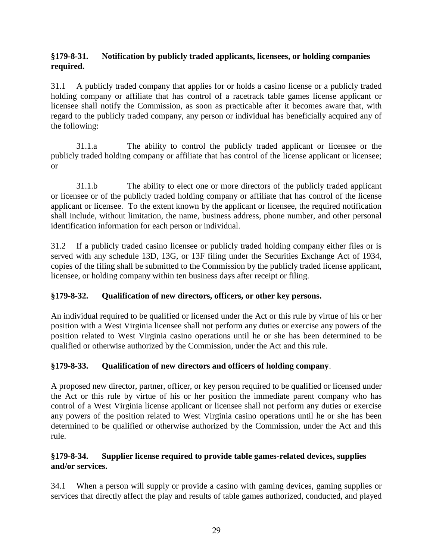### **§179-8-31. Notification by publicly traded applicants, licensees, or holding companies required.**

31.1 A publicly traded company that applies for or holds a casino license or a publicly traded holding company or affiliate that has control of a racetrack table games license applicant or licensee shall notify the Commission, as soon as practicable after it becomes aware that, with regard to the publicly traded company, any person or individual has beneficially acquired any of the following:

31.1.a The ability to control the publicly traded applicant or licensee or the publicly traded holding company or affiliate that has control of the license applicant or licensee; or

31.1.b The ability to elect one or more directors of the publicly traded applicant or licensee or of the publicly traded holding company or affiliate that has control of the license applicant or licensee. To the extent known by the applicant or licensee, the required notification shall include, without limitation, the name, business address, phone number, and other personal identification information for each person or individual.

31.2 If a publicly traded casino licensee or publicly traded holding company either files or is served with any schedule 13D, 13G, or 13F filing under the Securities Exchange Act of 1934, copies of the filing shall be submitted to the Commission by the publicly traded license applicant, licensee, or holding company within ten business days after receipt or filing.

# **§179-8-32. Qualification of new directors, officers, or other key persons.**

An individual required to be qualified or licensed under the Act or this rule by virtue of his or her position with a West Virginia licensee shall not perform any duties or exercise any powers of the position related to West Virginia casino operations until he or she has been determined to be qualified or otherwise authorized by the Commission, under the Act and this rule.

# **§179-8-33. Qualification of new directors and officers of holding company**.

A proposed new director, partner, officer, or key person required to be qualified or licensed under the Act or this rule by virtue of his or her position the immediate parent company who has control of a West Virginia license applicant or licensee shall not perform any duties or exercise any powers of the position related to West Virginia casino operations until he or she has been determined to be qualified or otherwise authorized by the Commission, under the Act and this rule.

# **§179-8-34. Supplier license required to provide table games-related devices, supplies and/or services.**

34.1 When a person will supply or provide a casino with gaming devices, gaming supplies or services that directly affect the play and results of table games authorized, conducted, and played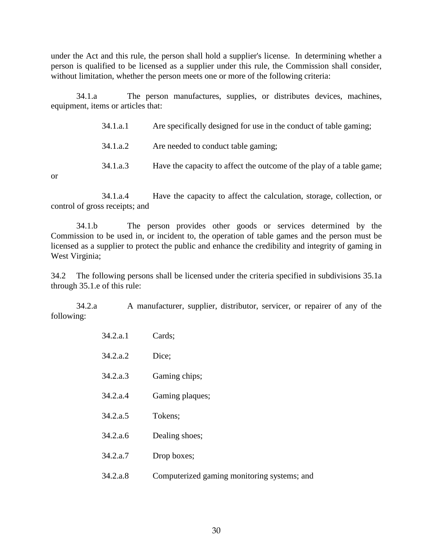under the Act and this rule, the person shall hold a supplier's license. In determining whether a person is qualified to be licensed as a supplier under this rule, the Commission shall consider, without limitation, whether the person meets one or more of the following criteria:

34.1.a The person manufactures, supplies, or distributes devices, machines, equipment, items or articles that:

| 34.1.a.1 |  | Are specifically designed for use in the conduct of table gaming; |
|----------|--|-------------------------------------------------------------------|
|          |  |                                                                   |

34.1.a.2 Are needed to conduct table gaming;

34.1.a.3 Have the capacity to affect the outcome of the play of a table game;

or

34.1.a.4 Have the capacity to affect the calculation, storage, collection, or control of gross receipts; and

34.1.b The person provides other goods or services determined by the Commission to be used in, or incident to, the operation of table games and the person must be licensed as a supplier to protect the public and enhance the credibility and integrity of gaming in West Virginia;

34.2 The following persons shall be licensed under the criteria specified in subdivisions 35.1a through 35.1.e of this rule:

34.2.a A manufacturer, supplier, distributor, servicer, or repairer of any of the following:

| 34.2.a.1 | Cards;                                      |
|----------|---------------------------------------------|
| 34.2.a.2 | Dice;                                       |
| 34.2.a.3 | Gaming chips;                               |
| 34.2.a.4 | Gaming plaques;                             |
| 34.2.a.5 | Tokens;                                     |
| 34.2.a.6 | Dealing shoes;                              |
| 34.2.a.7 | Drop boxes;                                 |
| 34.2.a.8 | Computerized gaming monitoring systems; and |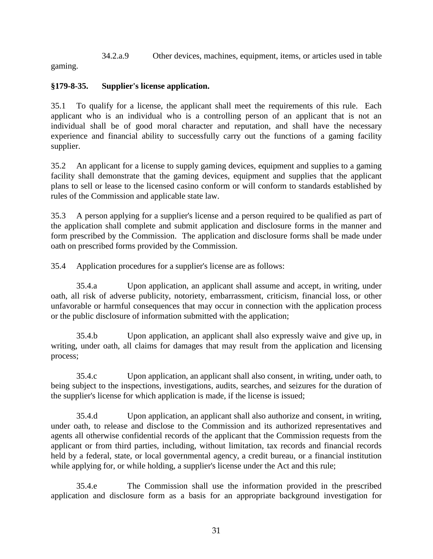34.2.a.9 Other devices, machines, equipment, items, or articles used in table

gaming.

# **§179-8-35. Supplier's license application.**

35.1 To qualify for a license, the applicant shall meet the requirements of this rule. Each applicant who is an individual who is a controlling person of an applicant that is not an individual shall be of good moral character and reputation, and shall have the necessary experience and financial ability to successfully carry out the functions of a gaming facility supplier.

35.2 An applicant for a license to supply gaming devices, equipment and supplies to a gaming facility shall demonstrate that the gaming devices, equipment and supplies that the applicant plans to sell or lease to the licensed casino conform or will conform to standards established by rules of the Commission and applicable state law.

35.3 A person applying for a supplier's license and a person required to be qualified as part of the application shall complete and submit application and disclosure forms in the manner and form prescribed by the Commission. The application and disclosure forms shall be made under oath on prescribed forms provided by the Commission.

35.4 Application procedures for a supplier's license are as follows:

35.4.a Upon application, an applicant shall assume and accept, in writing, under oath, all risk of adverse publicity, notoriety, embarrassment, criticism, financial loss, or other unfavorable or harmful consequences that may occur in connection with the application process or the public disclosure of information submitted with the application;

35.4.b Upon application, an applicant shall also expressly waive and give up, in writing, under oath, all claims for damages that may result from the application and licensing process;

35.4.c Upon application, an applicant shall also consent, in writing, under oath, to being subject to the inspections, investigations, audits, searches, and seizures for the duration of the supplier's license for which application is made, if the license is issued;

35.4.d Upon application, an applicant shall also authorize and consent, in writing, under oath, to release and disclose to the Commission and its authorized representatives and agents all otherwise confidential records of the applicant that the Commission requests from the applicant or from third parties, including, without limitation, tax records and financial records held by a federal, state, or local governmental agency, a credit bureau, or a financial institution while applying for, or while holding, a supplier's license under the Act and this rule;

35.4.e The Commission shall use the information provided in the prescribed application and disclosure form as a basis for an appropriate background investigation for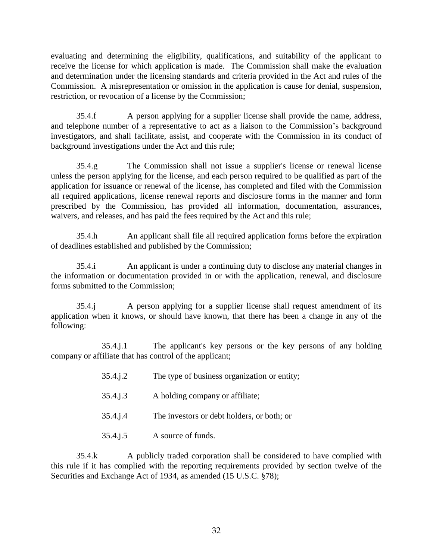evaluating and determining the eligibility, qualifications, and suitability of the applicant to receive the license for which application is made. The Commission shall make the evaluation and determination under the licensing standards and criteria provided in the Act and rules of the Commission. A misrepresentation or omission in the application is cause for denial, suspension, restriction, or revocation of a license by the Commission;

35.4.f A person applying for a supplier license shall provide the name, address, and telephone number of a representative to act as a liaison to the Commission's background investigators, and shall facilitate, assist, and cooperate with the Commission in its conduct of background investigations under the Act and this rule;

35.4.g The Commission shall not issue a supplier's license or renewal license unless the person applying for the license, and each person required to be qualified as part of the application for issuance or renewal of the license, has completed and filed with the Commission all required applications, license renewal reports and disclosure forms in the manner and form prescribed by the Commission, has provided all information, documentation, assurances, waivers, and releases, and has paid the fees required by the Act and this rule;

35.4.h An applicant shall file all required application forms before the expiration of deadlines established and published by the Commission;

35.4.i An applicant is under a continuing duty to disclose any material changes in the information or documentation provided in or with the application, renewal, and disclosure forms submitted to the Commission;

35.4.j A person applying for a supplier license shall request amendment of its application when it knows, or should have known, that there has been a change in any of the following:

35.4.j.1 The applicant's key persons or the key persons of any holding company or affiliate that has control of the applicant;

| 35.4.j.2 | The type of business organization or entity; |
|----------|----------------------------------------------|
| 35.4.j.3 | A holding company or affiliate;              |
| 35.4.j.4 | The investors or debt holders, or both; or   |
| 35.4.j.5 | A source of funds.                           |

35.4.k A publicly traded corporation shall be considered to have complied with this rule if it has complied with the reporting requirements provided by section twelve of the Securities and Exchange Act of 1934, as amended (15 U.S.C. §78);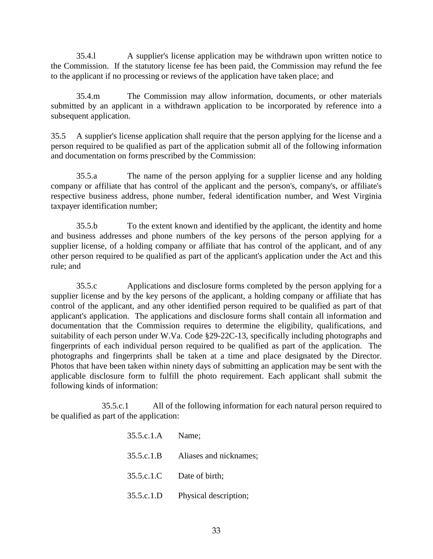35.4.l A supplier's license application may be withdrawn upon written notice to the Commission. If the statutory license fee has been paid, the Commission may refund the fee to the applicant if no processing or reviews of the application have taken place; and

35.4.m The Commission may allow information, documents, or other materials submitted by an applicant in a withdrawn application to be incorporated by reference into a subsequent application.

35.5 A supplier's license application shall require that the person applying for the license and a person required to be qualified as part of the application submit all of the following information and documentation on forms prescribed by the Commission:

35.5.a The name of the person applying for a supplier license and any holding company or affiliate that has control of the applicant and the person's, company's, or affiliate's respective business address, phone number, federal identification number, and West Virginia taxpayer identification number;

35.5.b To the extent known and identified by the applicant, the identity and home and business addresses and phone numbers of the key persons of the person applying for a supplier license, of a holding company or affiliate that has control of the applicant, and of any other person required to be qualified as part of the applicant's application under the Act and this rule; and

35.5.c Applications and disclosure forms completed by the person applying for a supplier license and by the key persons of the applicant, a holding company or affiliate that has control of the applicant, and any other identified person required to be qualified as part of that applicant's application. The applications and disclosure forms shall contain all information and documentation that the Commission requires to determine the eligibility, qualifications, and suitability of each person under W.Va. Code §29-22C-13, specifically including photographs and fingerprints of each individual person required to be qualified as part of the application. The photographs and fingerprints shall be taken at a time and place designated by the Director. Photos that have been taken within ninety days of submitting an application may be sent with the applicable disclosure form to fulfill the photo requirement. Each applicant shall submit the following kinds of information:

35.5.c.1 All of the following information for each natural person required to be qualified as part of the application:

| 35.5.c.1.A Name; |                           |
|------------------|---------------------------|
| 35.5.c.1.B       | Aliases and nicknames;    |
|                  | 35.5.c.1.C Date of birth; |
| 35.5.c.1.D       | Physical description;     |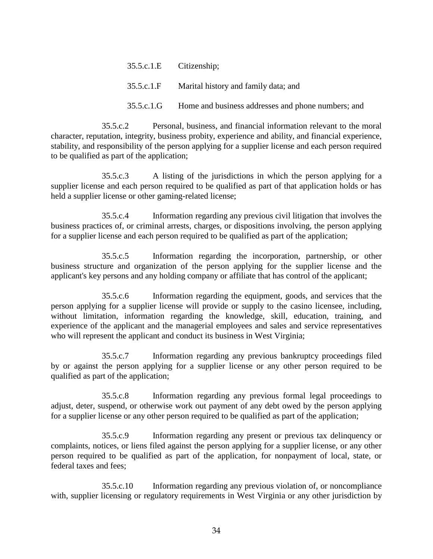35.5.c.1.E Citizenship; 35.5.c.1.F Marital history and family data; and 35.5.c.1.G Home and business addresses and phone numbers; and

35.5.c.2 Personal, business, and financial information relevant to the moral character, reputation, integrity, business probity, experience and ability, and financial experience, stability, and responsibility of the person applying for a supplier license and each person required to be qualified as part of the application;

35.5.c.3 A listing of the jurisdictions in which the person applying for a supplier license and each person required to be qualified as part of that application holds or has held a supplier license or other gaming-related license;

35.5.c.4 Information regarding any previous civil litigation that involves the business practices of, or criminal arrests, charges, or dispositions involving, the person applying for a supplier license and each person required to be qualified as part of the application;

35.5.c.5 Information regarding the incorporation, partnership, or other business structure and organization of the person applying for the supplier license and the applicant's key persons and any holding company or affiliate that has control of the applicant;

35.5.c.6 Information regarding the equipment, goods, and services that the person applying for a supplier license will provide or supply to the casino licensee, including, without limitation, information regarding the knowledge, skill, education, training, and experience of the applicant and the managerial employees and sales and service representatives who will represent the applicant and conduct its business in West Virginia;

35.5.c.7 Information regarding any previous bankruptcy proceedings filed by or against the person applying for a supplier license or any other person required to be qualified as part of the application;

35.5.c.8 Information regarding any previous formal legal proceedings to adjust, deter, suspend, or otherwise work out payment of any debt owed by the person applying for a supplier license or any other person required to be qualified as part of the application;

35.5.c.9 Information regarding any present or previous tax delinquency or complaints, notices, or liens filed against the person applying for a supplier license, or any other person required to be qualified as part of the application, for nonpayment of local, state, or federal taxes and fees;

35.5.c.10 Information regarding any previous violation of, or noncompliance with, supplier licensing or regulatory requirements in West Virginia or any other jurisdiction by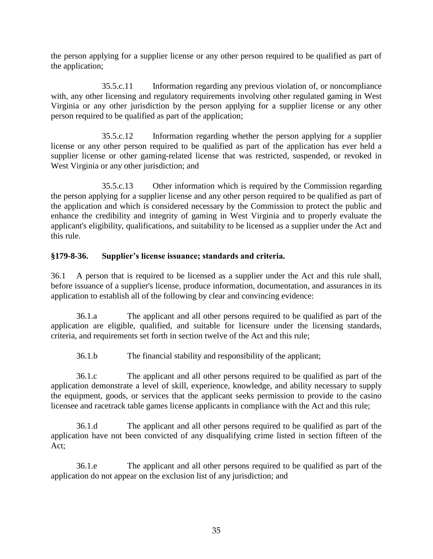the person applying for a supplier license or any other person required to be qualified as part of the application;

35.5.c.11 Information regarding any previous violation of, or noncompliance with, any other licensing and regulatory requirements involving other regulated gaming in West Virginia or any other jurisdiction by the person applying for a supplier license or any other person required to be qualified as part of the application;

35.5.c.12 Information regarding whether the person applying for a supplier license or any other person required to be qualified as part of the application has ever held a supplier license or other gaming-related license that was restricted, suspended, or revoked in West Virginia or any other jurisdiction; and

35.5.c.13 Other information which is required by the Commission regarding the person applying for a supplier license and any other person required to be qualified as part of the application and which is considered necessary by the Commission to protect the public and enhance the credibility and integrity of gaming in West Virginia and to properly evaluate the applicant's eligibility, qualifications, and suitability to be licensed as a supplier under the Act and this rule.

#### **§179-8-36. Supplier's license issuance; standards and criteria.**

36.1 A person that is required to be licensed as a supplier under the Act and this rule shall, before issuance of a supplier's license, produce information, documentation, and assurances in its application to establish all of the following by clear and convincing evidence:

36.1.a The applicant and all other persons required to be qualified as part of the application are eligible, qualified, and suitable for licensure under the licensing standards, criteria, and requirements set forth in section twelve of the Act and this rule;

36.1.b The financial stability and responsibility of the applicant;

36.1.c The applicant and all other persons required to be qualified as part of the application demonstrate a level of skill, experience, knowledge, and ability necessary to supply the equipment, goods, or services that the applicant seeks permission to provide to the casino licensee and racetrack table games license applicants in compliance with the Act and this rule;

36.1.d The applicant and all other persons required to be qualified as part of the application have not been convicted of any disqualifying crime listed in section fifteen of the Act;

36.1.e The applicant and all other persons required to be qualified as part of the application do not appear on the exclusion list of any jurisdiction; and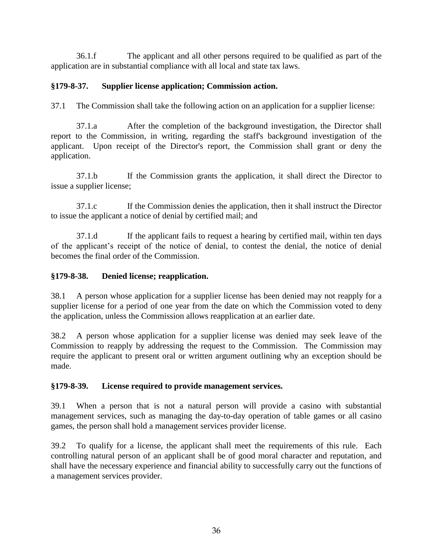36.1.f The applicant and all other persons required to be qualified as part of the application are in substantial compliance with all local and state tax laws.

#### **§179-8-37. Supplier license application; Commission action.**

37.1 The Commission shall take the following action on an application for a supplier license:

37.1.a After the completion of the background investigation, the Director shall report to the Commission, in writing, regarding the staff's background investigation of the applicant. Upon receipt of the Director's report, the Commission shall grant or deny the application.

37.1.b If the Commission grants the application, it shall direct the Director to issue a supplier license;

37.1.c If the Commission denies the application, then it shall instruct the Director to issue the applicant a notice of denial by certified mail; and

37.1.d If the applicant fails to request a hearing by certified mail, within ten days of the applicant's receipt of the notice of denial, to contest the denial, the notice of denial becomes the final order of the Commission.

### **§179-8-38. Denied license; reapplication.**

38.1 A person whose application for a supplier license has been denied may not reapply for a supplier license for a period of one year from the date on which the Commission voted to deny the application, unless the Commission allows reapplication at an earlier date.

38.2 A person whose application for a supplier license was denied may seek leave of the Commission to reapply by addressing the request to the Commission. The Commission may require the applicant to present oral or written argument outlining why an exception should be made.

#### **§179-8-39. License required to provide management services.**

39.1 When a person that is not a natural person will provide a casino with substantial management services, such as managing the day-to-day operation of table games or all casino games, the person shall hold a management services provider license.

39.2 To qualify for a license, the applicant shall meet the requirements of this rule. Each controlling natural person of an applicant shall be of good moral character and reputation, and shall have the necessary experience and financial ability to successfully carry out the functions of a management services provider.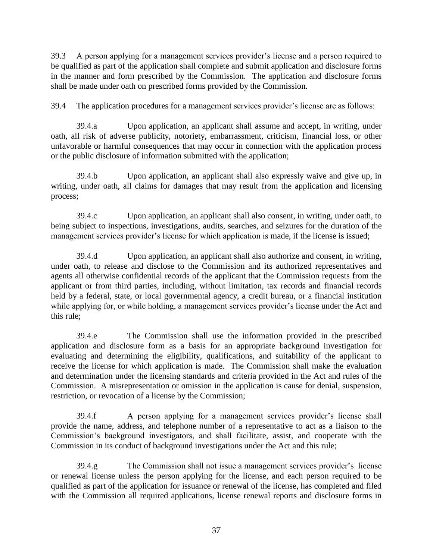39.3 A person applying for a management services provider's license and a person required to be qualified as part of the application shall complete and submit application and disclosure forms in the manner and form prescribed by the Commission. The application and disclosure forms shall be made under oath on prescribed forms provided by the Commission.

39.4 The application procedures for a management services provider's license are as follows:

39.4.a Upon application, an applicant shall assume and accept, in writing, under oath, all risk of adverse publicity, notoriety, embarrassment, criticism, financial loss, or other unfavorable or harmful consequences that may occur in connection with the application process or the public disclosure of information submitted with the application;

39.4.b Upon application, an applicant shall also expressly waive and give up, in writing, under oath, all claims for damages that may result from the application and licensing process;

39.4.c Upon application, an applicant shall also consent, in writing, under oath, to being subject to inspections, investigations, audits, searches, and seizures for the duration of the management services provider's license for which application is made, if the license is issued;

39.4.d Upon application, an applicant shall also authorize and consent, in writing, under oath, to release and disclose to the Commission and its authorized representatives and agents all otherwise confidential records of the applicant that the Commission requests from the applicant or from third parties, including, without limitation, tax records and financial records held by a federal, state, or local governmental agency, a credit bureau, or a financial institution while applying for, or while holding, a management services provider's license under the Act and this rule;

39.4.e The Commission shall use the information provided in the prescribed application and disclosure form as a basis for an appropriate background investigation for evaluating and determining the eligibility, qualifications, and suitability of the applicant to receive the license for which application is made. The Commission shall make the evaluation and determination under the licensing standards and criteria provided in the Act and rules of the Commission. A misrepresentation or omission in the application is cause for denial, suspension, restriction, or revocation of a license by the Commission;

39.4.f A person applying for a management services provider's license shall provide the name, address, and telephone number of a representative to act as a liaison to the Commission's background investigators, and shall facilitate, assist, and cooperate with the Commission in its conduct of background investigations under the Act and this rule;

39.4.g The Commission shall not issue a management services provider's license or renewal license unless the person applying for the license, and each person required to be qualified as part of the application for issuance or renewal of the license, has completed and filed with the Commission all required applications, license renewal reports and disclosure forms in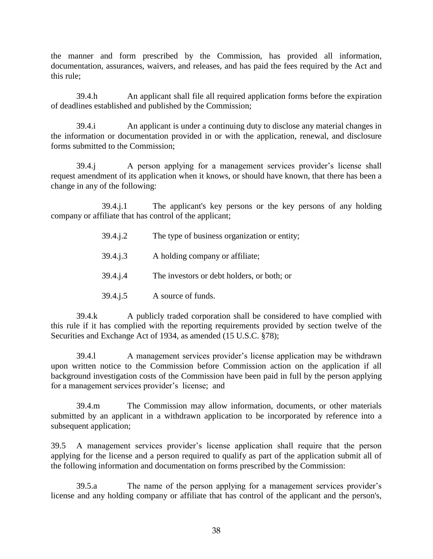the manner and form prescribed by the Commission, has provided all information, documentation, assurances, waivers, and releases, and has paid the fees required by the Act and this rule;

39.4.h An applicant shall file all required application forms before the expiration of deadlines established and published by the Commission;

39.4.i An applicant is under a continuing duty to disclose any material changes in the information or documentation provided in or with the application, renewal, and disclosure forms submitted to the Commission;

39.4.j A person applying for a management services provider's license shall request amendment of its application when it knows, or should have known, that there has been a change in any of the following:

39.4.j.1 The applicant's key persons or the key persons of any holding company or affiliate that has control of the applicant;

| 39.4.j.2 | The type of business organization or entity; |
|----------|----------------------------------------------|
|          |                                              |

- 39.4.j.3 A holding company or affiliate;
- 39.4.j.4 The investors or debt holders, or both; or
- 39.4.j.5 A source of funds.

39.4.k A publicly traded corporation shall be considered to have complied with this rule if it has complied with the reporting requirements provided by section twelve of the Securities and Exchange Act of 1934, as amended (15 U.S.C. §78);

39.4.l A management services provider's license application may be withdrawn upon written notice to the Commission before Commission action on the application if all background investigation costs of the Commission have been paid in full by the person applying for a management services provider's license; and

39.4.m The Commission may allow information, documents, or other materials submitted by an applicant in a withdrawn application to be incorporated by reference into a subsequent application;

39.5 A management services provider's license application shall require that the person applying for the license and a person required to qualify as part of the application submit all of the following information and documentation on forms prescribed by the Commission:

39.5.a The name of the person applying for a management services provider's license and any holding company or affiliate that has control of the applicant and the person's,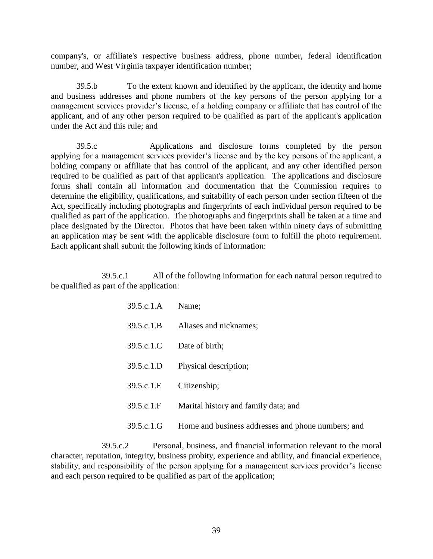company's, or affiliate's respective business address, phone number, federal identification number, and West Virginia taxpayer identification number;

39.5.b To the extent known and identified by the applicant, the identity and home and business addresses and phone numbers of the key persons of the person applying for a management services provider's license, of a holding company or affiliate that has control of the applicant, and of any other person required to be qualified as part of the applicant's application under the Act and this rule; and

39.5.c Applications and disclosure forms completed by the person applying for a management services provider's license and by the key persons of the applicant, a holding company or affiliate that has control of the applicant, and any other identified person required to be qualified as part of that applicant's application. The applications and disclosure forms shall contain all information and documentation that the Commission requires to determine the eligibility, qualifications, and suitability of each person under section fifteen of the Act, specifically including photographs and fingerprints of each individual person required to be qualified as part of the application. The photographs and fingerprints shall be taken at a time and place designated by the Director. Photos that have been taken within ninety days of submitting an application may be sent with the applicable disclosure form to fulfill the photo requirement. Each applicant shall submit the following kinds of information:

39.5.c.1 All of the following information for each natural person required to be qualified as part of the application:

| 39.5.c.1.A         | Name:                                              |
|--------------------|----------------------------------------------------|
| 39.5.c.1.B         | Aliases and nicknames;                             |
| 39.5.c.1.C         | Date of birth;                                     |
| 39.5.c.1.D         | Physical description;                              |
| 39.5.c.1.E         | Citizenship;                                       |
| 39.5.c.1.F         | Marital history and family data; and               |
| $39.5c.1 \text{G}$ | Home and business addresses and phone numbers; and |

39.5.c.2 Personal, business, and financial information relevant to the moral character, reputation, integrity, business probity, experience and ability, and financial experience, stability, and responsibility of the person applying for a management services provider's license and each person required to be qualified as part of the application;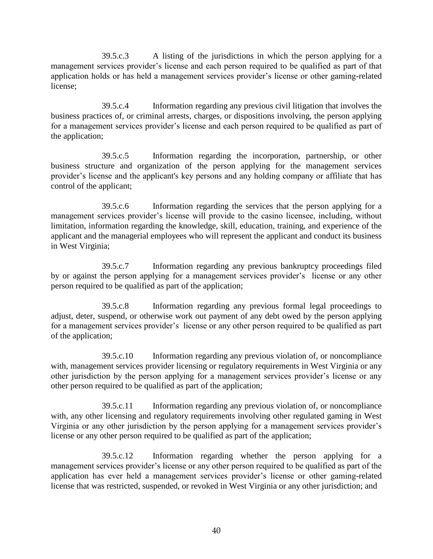39.5.c.3 A listing of the jurisdictions in which the person applying for a management services provider's license and each person required to be qualified as part of that application holds or has held a management services provider's license or other gaming-related license;

39.5.c.4 Information regarding any previous civil litigation that involves the business practices of, or criminal arrests, charges, or dispositions involving, the person applying for a management services provider's license and each person required to be qualified as part of the application;

39.5.c.5 Information regarding the incorporation, partnership, or other business structure and organization of the person applying for the management services provider's license and the applicant's key persons and any holding company or affiliate that has control of the applicant;

39.5.c.6 Information regarding the services that the person applying for a management services provider's license will provide to the casino licensee, including, without limitation, information regarding the knowledge, skill, education, training, and experience of the applicant and the managerial employees who will represent the applicant and conduct its business in West Virginia;

39.5.c.7 Information regarding any previous bankruptcy proceedings filed by or against the person applying for a management services provider's license or any other person required to be qualified as part of the application;

39.5.c.8 Information regarding any previous formal legal proceedings to adjust, deter, suspend, or otherwise work out payment of any debt owed by the person applying for a management services provider's license or any other person required to be qualified as part of the application;

39.5.c.10 Information regarding any previous violation of, or noncompliance with, management services provider licensing or regulatory requirements in West Virginia or any other jurisdiction by the person applying for a management services provider's license or any other person required to be qualified as part of the application;

39.5.c.11 Information regarding any previous violation of, or noncompliance with, any other licensing and regulatory requirements involving other regulated gaming in West Virginia or any other jurisdiction by the person applying for a management services provider's license or any other person required to be qualified as part of the application;

39.5.c.12 Information regarding whether the person applying for a management services provider's license or any other person required to be qualified as part of the application has ever held a management services provider's license or other gaming-related license that was restricted, suspended, or revoked in West Virginia or any other jurisdiction; and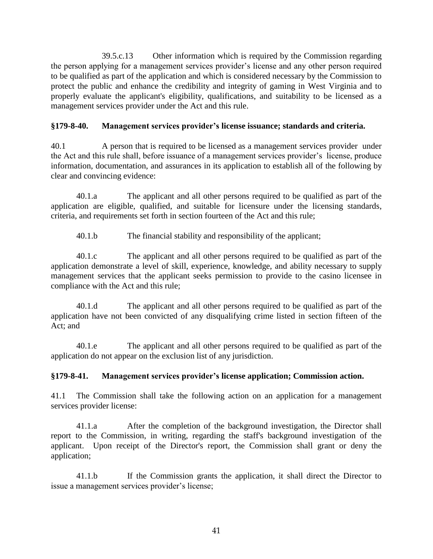39.5.c.13 Other information which is required by the Commission regarding the person applying for a management services provider's license and any other person required to be qualified as part of the application and which is considered necessary by the Commission to protect the public and enhance the credibility and integrity of gaming in West Virginia and to properly evaluate the applicant's eligibility, qualifications, and suitability to be licensed as a management services provider under the Act and this rule.

## **§179-8-40. Management services provider's license issuance; standards and criteria.**

40.1 A person that is required to be licensed as a management services provider under the Act and this rule shall, before issuance of a management services provider's license, produce information, documentation, and assurances in its application to establish all of the following by clear and convincing evidence:

40.1.a The applicant and all other persons required to be qualified as part of the application are eligible, qualified, and suitable for licensure under the licensing standards, criteria, and requirements set forth in section fourteen of the Act and this rule;

40.1.b The financial stability and responsibility of the applicant;

40.1.c The applicant and all other persons required to be qualified as part of the application demonstrate a level of skill, experience, knowledge, and ability necessary to supply management services that the applicant seeks permission to provide to the casino licensee in compliance with the Act and this rule;

40.1.d The applicant and all other persons required to be qualified as part of the application have not been convicted of any disqualifying crime listed in section fifteen of the Act; and

40.1.e The applicant and all other persons required to be qualified as part of the application do not appear on the exclusion list of any jurisdiction.

# **§179-8-41. Management services provider's license application; Commission action.**

41.1 The Commission shall take the following action on an application for a management services provider license:

41.1.a After the completion of the background investigation, the Director shall report to the Commission, in writing, regarding the staff's background investigation of the applicant. Upon receipt of the Director's report, the Commission shall grant or deny the application;

41.1.b If the Commission grants the application, it shall direct the Director to issue a management services provider's license;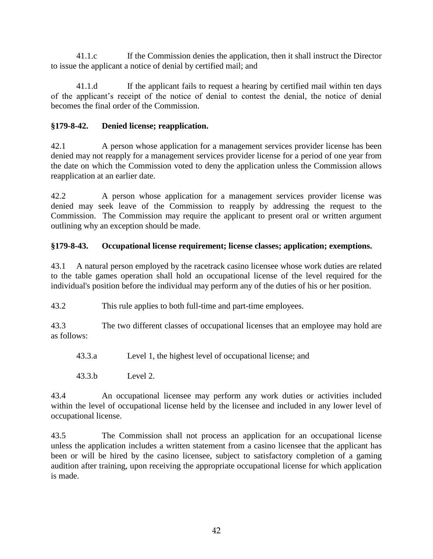41.1.c If the Commission denies the application, then it shall instruct the Director to issue the applicant a notice of denial by certified mail; and

41.1.d If the applicant fails to request a hearing by certified mail within ten days of the applicant's receipt of the notice of denial to contest the denial, the notice of denial becomes the final order of the Commission.

# **§179-8-42. Denied license; reapplication.**

42.1 A person whose application for a management services provider license has been denied may not reapply for a management services provider license for a period of one year from the date on which the Commission voted to deny the application unless the Commission allows reapplication at an earlier date.

42.2 A person whose application for a management services provider license was denied may seek leave of the Commission to reapply by addressing the request to the Commission. The Commission may require the applicant to present oral or written argument outlining why an exception should be made.

# **§179-8-43. Occupational license requirement; license classes; application; exemptions.**

43.1 A natural person employed by the racetrack casino licensee whose work duties are related to the table games operation shall hold an occupational license of the level required for the individual's position before the individual may perform any of the duties of his or her position.

43.2 This rule applies to both full-time and part-time employees.

43.3 The two different classes of occupational licenses that an employee may hold are as follows:

43.3.a Level 1, the highest level of occupational license; and

43.3.b Level 2.

43.4 An occupational licensee may perform any work duties or activities included within the level of occupational license held by the licensee and included in any lower level of occupational license.

43.5 The Commission shall not process an application for an occupational license unless the application includes a written statement from a casino licensee that the applicant has been or will be hired by the casino licensee, subject to satisfactory completion of a gaming audition after training, upon receiving the appropriate occupational license for which application is made.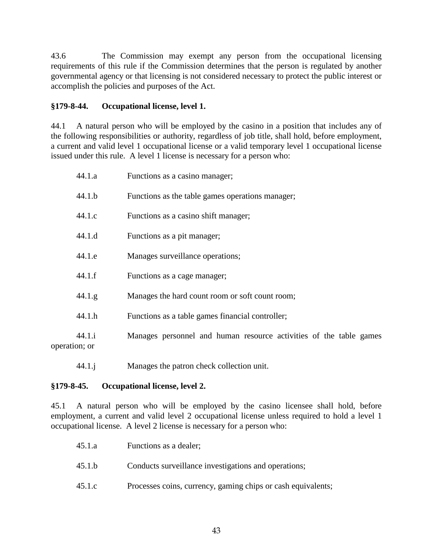43.6 The Commission may exempt any person from the occupational licensing requirements of this rule if the Commission determines that the person is regulated by another governmental agency or that licensing is not considered necessary to protect the public interest or accomplish the policies and purposes of the Act.

## **§179-8-44. Occupational license, level 1.**

44.1 A natural person who will be employed by the casino in a position that includes any of the following responsibilities or authority, regardless of job title, shall hold, before employment, a current and valid level 1 occupational license or a valid temporary level 1 occupational license issued under this rule. A level 1 license is necessary for a person who:

|               | 44.1.a | Functions as a casino manager;                                     |
|---------------|--------|--------------------------------------------------------------------|
|               | 44.1.b | Functions as the table games operations manager;                   |
|               | 44.1.c | Functions as a casino shift manager;                               |
|               | 44.1.d | Functions as a pit manager;                                        |
|               | 44.1.e | Manages surveillance operations;                                   |
|               | 44.1.f | Functions as a cage manager;                                       |
|               | 44.1.g | Manages the hard count room or soft count room;                    |
|               | 44.1.h | Functions as a table games financial controller;                   |
| operation; or | 44.1.i | Manages personnel and human resource activities of the table games |

44.1.j Manages the patron check collection unit.

## **§179-8-45. Occupational license, level 2.**

45.1 A natural person who will be employed by the casino licensee shall hold, before employment, a current and valid level 2 occupational license unless required to hold a level 1 occupational license. A level 2 license is necessary for a person who:

| 45.1.a | Functions as a dealer;                                       |
|--------|--------------------------------------------------------------|
| 45.1.b | Conducts surveillance investigations and operations;         |
| 45.1.c | Processes coins, currency, gaming chips or cash equivalents; |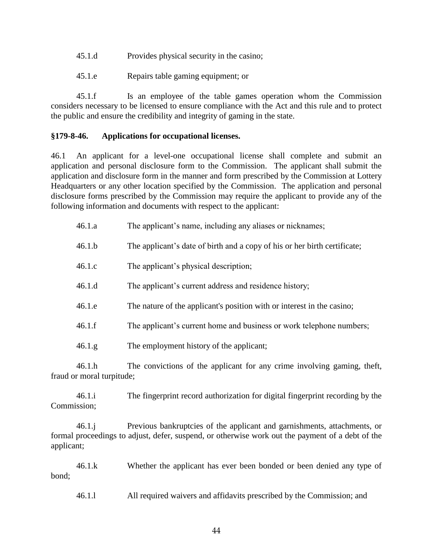- 45.1.d Provides physical security in the casino;
- 45.1.e Repairs table gaming equipment; or

45.1.f Is an employee of the table games operation whom the Commission considers necessary to be licensed to ensure compliance with the Act and this rule and to protect the public and ensure the credibility and integrity of gaming in the state.

### **§179-8-46. Applications for occupational licenses.**

46.1 An applicant for a level-one occupational license shall complete and submit an application and personal disclosure form to the Commission. The applicant shall submit the application and disclosure form in the manner and form prescribed by the Commission at Lottery Headquarters or any other location specified by the Commission. The application and personal disclosure forms prescribed by the Commission may require the applicant to provide any of the following information and documents with respect to the applicant:

| 46.1.a                              | The applicant's name, including any aliases or nicknames;                 |
|-------------------------------------|---------------------------------------------------------------------------|
| 46.1.b                              | The applicant's date of birth and a copy of his or her birth certificate; |
| 46.1.c                              | The applicant's physical description;                                     |
| 46.1.d                              | The applicant's current address and residence history;                    |
| 46.1.e                              | The nature of the applicant's position with or interest in the casino;    |
| 46.1.f                              | The applicant's current home and business or work telephone numbers;      |
| 46.1.g                              | The employment history of the applicant;                                  |
| 46.1.h<br>fraud or moral turpitude; | The convictions of the applicant for any crime involving gaming, theft,   |

46.1.i The fingerprint record authorization for digital fingerprint recording by the Commission;

46.1.j Previous bankruptcies of the applicant and garnishments, attachments, or formal proceedings to adjust, defer, suspend, or otherwise work out the payment of a debt of the applicant;

46.1.k Whether the applicant has ever been bonded or been denied any type of bond;

46.1.l All required waivers and affidavits prescribed by the Commission; and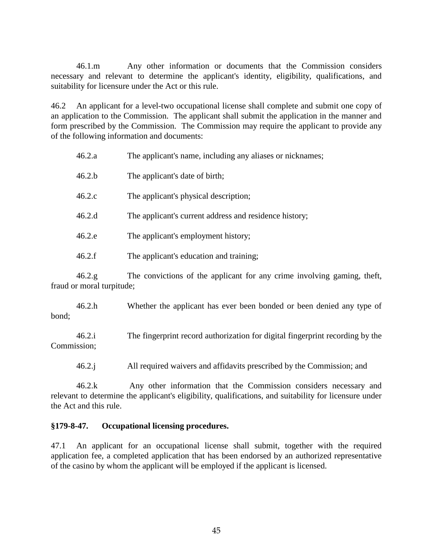46.1.m Any other information or documents that the Commission considers necessary and relevant to determine the applicant's identity, eligibility, qualifications, and suitability for licensure under the Act or this rule.

46.2 An applicant for a level-two occupational license shall complete and submit one copy of an application to the Commission. The applicant shall submit the application in the manner and form prescribed by the Commission. The Commission may require the applicant to provide any of the following information and documents:

| 46.2.a | The applicant's name, including any aliases or nicknames; |
|--------|-----------------------------------------------------------|
| 46.2.b | The applicant's date of birth;                            |
| 46.2.c | The applicant's physical description;                     |
| 46.2.d | The applicant's current address and residence history;    |
| 46.2.e | The applicant's employment history;                       |
| 46.2.f | The applicant's education and training;                   |

46.2.g The convictions of the applicant for any crime involving gaming, theft, fraud or moral turpitude;

46.2.h Whether the applicant has ever been bonded or been denied any type of bond;

46.2.i The fingerprint record authorization for digital fingerprint recording by the Commission;

46.2.j All required waivers and affidavits prescribed by the Commission; and

46.2.k Any other information that the Commission considers necessary and relevant to determine the applicant's eligibility, qualifications, and suitability for licensure under the Act and this rule.

#### **§179-8-47. Occupational licensing procedures.**

47.1 An applicant for an occupational license shall submit, together with the required application fee, a completed application that has been endorsed by an authorized representative of the casino by whom the applicant will be employed if the applicant is licensed.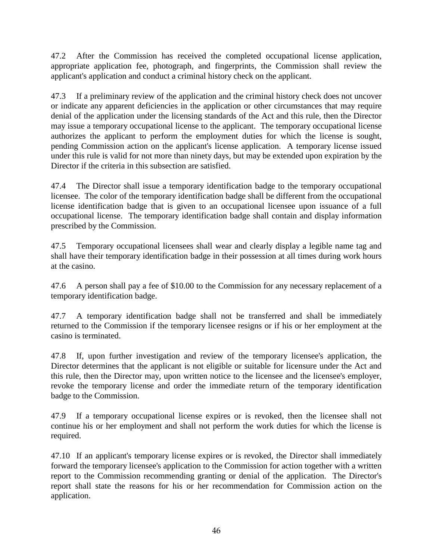47.2 After the Commission has received the completed occupational license application, appropriate application fee, photograph, and fingerprints, the Commission shall review the applicant's application and conduct a criminal history check on the applicant.

47.3 If a preliminary review of the application and the criminal history check does not uncover or indicate any apparent deficiencies in the application or other circumstances that may require denial of the application under the licensing standards of the Act and this rule, then the Director may issue a temporary occupational license to the applicant. The temporary occupational license authorizes the applicant to perform the employment duties for which the license is sought, pending Commission action on the applicant's license application. A temporary license issued under this rule is valid for not more than ninety days, but may be extended upon expiration by the Director if the criteria in this subsection are satisfied.

47.4 The Director shall issue a temporary identification badge to the temporary occupational licensee. The color of the temporary identification badge shall be different from the occupational license identification badge that is given to an occupational licensee upon issuance of a full occupational license. The temporary identification badge shall contain and display information prescribed by the Commission.

47.5 Temporary occupational licensees shall wear and clearly display a legible name tag and shall have their temporary identification badge in their possession at all times during work hours at the casino.

47.6 A person shall pay a fee of \$10.00 to the Commission for any necessary replacement of a temporary identification badge.

47.7 A temporary identification badge shall not be transferred and shall be immediately returned to the Commission if the temporary licensee resigns or if his or her employment at the casino is terminated.

47.8 If, upon further investigation and review of the temporary licensee's application, the Director determines that the applicant is not eligible or suitable for licensure under the Act and this rule, then the Director may, upon written notice to the licensee and the licensee's employer, revoke the temporary license and order the immediate return of the temporary identification badge to the Commission.

47.9 If a temporary occupational license expires or is revoked, then the licensee shall not continue his or her employment and shall not perform the work duties for which the license is required.

47.10 If an applicant's temporary license expires or is revoked, the Director shall immediately forward the temporary licensee's application to the Commission for action together with a written report to the Commission recommending granting or denial of the application. The Director's report shall state the reasons for his or her recommendation for Commission action on the application.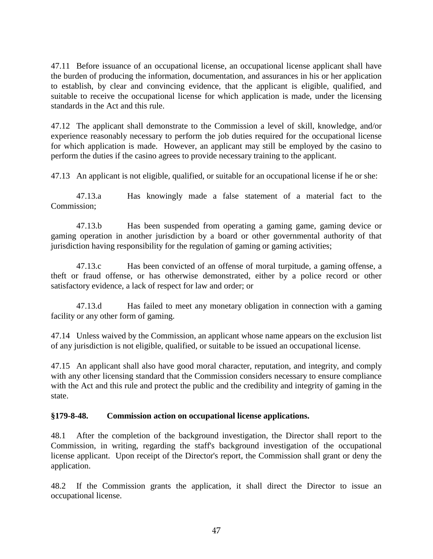47.11 Before issuance of an occupational license, an occupational license applicant shall have the burden of producing the information, documentation, and assurances in his or her application to establish, by clear and convincing evidence, that the applicant is eligible, qualified, and suitable to receive the occupational license for which application is made, under the licensing standards in the Act and this rule.

47.12 The applicant shall demonstrate to the Commission a level of skill, knowledge, and/or experience reasonably necessary to perform the job duties required for the occupational license for which application is made. However, an applicant may still be employed by the casino to perform the duties if the casino agrees to provide necessary training to the applicant.

47.13 An applicant is not eligible, qualified, or suitable for an occupational license if he or she:

47.13.a Has knowingly made a false statement of a material fact to the Commission;

47.13.b Has been suspended from operating a gaming game, gaming device or gaming operation in another jurisdiction by a board or other governmental authority of that jurisdiction having responsibility for the regulation of gaming or gaming activities;

47.13.c Has been convicted of an offense of moral turpitude, a gaming offense, a theft or fraud offense, or has otherwise demonstrated, either by a police record or other satisfactory evidence, a lack of respect for law and order; or

47.13.d Has failed to meet any monetary obligation in connection with a gaming facility or any other form of gaming.

47.14 Unless waived by the Commission, an applicant whose name appears on the exclusion list of any jurisdiction is not eligible, qualified, or suitable to be issued an occupational license.

47.15 An applicant shall also have good moral character, reputation, and integrity, and comply with any other licensing standard that the Commission considers necessary to ensure compliance with the Act and this rule and protect the public and the credibility and integrity of gaming in the state.

## **§179-8-48. Commission action on occupational license applications.**

48.1 After the completion of the background investigation, the Director shall report to the Commission, in writing, regarding the staff's background investigation of the occupational license applicant. Upon receipt of the Director's report, the Commission shall grant or deny the application.

48.2 If the Commission grants the application, it shall direct the Director to issue an occupational license.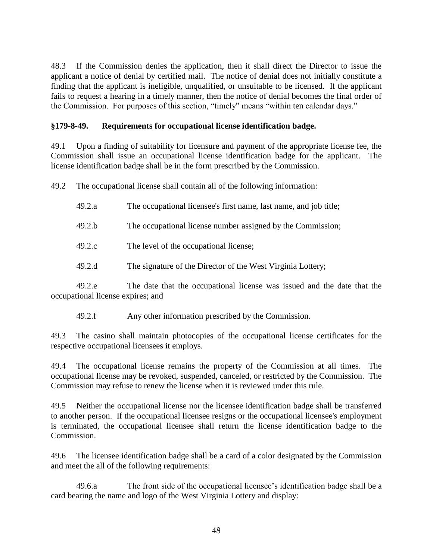48.3 If the Commission denies the application, then it shall direct the Director to issue the applicant a notice of denial by certified mail. The notice of denial does not initially constitute a finding that the applicant is ineligible, unqualified, or unsuitable to be licensed. If the applicant fails to request a hearing in a timely manner, then the notice of denial becomes the final order of the Commission. For purposes of this section, "timely" means "within ten calendar days."

### **§179-8-49. Requirements for occupational license identification badge.**

49.1 Upon a finding of suitability for licensure and payment of the appropriate license fee, the Commission shall issue an occupational license identification badge for the applicant. The license identification badge shall be in the form prescribed by the Commission.

49.2 The occupational license shall contain all of the following information:

- 49.2.a The occupational licensee's first name, last name, and job title;
- 49.2.b The occupational license number assigned by the Commission;
- 49.2.c The level of the occupational license;
- 49.2.d The signature of the Director of the West Virginia Lottery;

49.2.e The date that the occupational license was issued and the date that the occupational license expires; and

49.2.f Any other information prescribed by the Commission.

49.3 The casino shall maintain photocopies of the occupational license certificates for the respective occupational licensees it employs.

49.4 The occupational license remains the property of the Commission at all times. The occupational license may be revoked, suspended, canceled, or restricted by the Commission. The Commission may refuse to renew the license when it is reviewed under this rule.

49.5 Neither the occupational license nor the licensee identification badge shall be transferred to another person. If the occupational licensee resigns or the occupational licensee's employment is terminated, the occupational licensee shall return the license identification badge to the Commission.

49.6 The licensee identification badge shall be a card of a color designated by the Commission and meet the all of the following requirements:

49.6.a The front side of the occupational licensee's identification badge shall be a card bearing the name and logo of the West Virginia Lottery and display: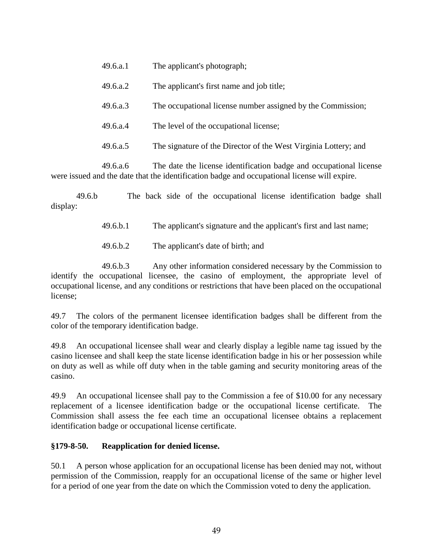| 49.6.a.1 | The applicant's photograph;                                     |
|----------|-----------------------------------------------------------------|
| 49.6.a.2 | The applicant's first name and job title;                       |
| 49.6.a.3 | The occupational license number assigned by the Commission;     |
| 49.6.a.4 | The level of the occupational license;                          |
| 49.6.a.5 | The signature of the Director of the West Virginia Lottery; and |
|          |                                                                 |

49.6.a.6 The date the license identification badge and occupational license were issued and the date that the identification badge and occupational license will expire.

49.6.b The back side of the occupational license identification badge shall display:

49.6.b.1 The applicant's signature and the applicant's first and last name;

49.6.b.2 The applicant's date of birth; and

49.6.b.3 Any other information considered necessary by the Commission to identify the occupational licensee, the casino of employment, the appropriate level of occupational license, and any conditions or restrictions that have been placed on the occupational license;

49.7 The colors of the permanent licensee identification badges shall be different from the color of the temporary identification badge.

49.8 An occupational licensee shall wear and clearly display a legible name tag issued by the casino licensee and shall keep the state license identification badge in his or her possession while on duty as well as while off duty when in the table gaming and security monitoring areas of the casino.

49.9 An occupational licensee shall pay to the Commission a fee of \$10.00 for any necessary replacement of a licensee identification badge or the occupational license certificate. The Commission shall assess the fee each time an occupational licensee obtains a replacement identification badge or occupational license certificate.

## **§179-8-50. Reapplication for denied license.**

50.1 A person whose application for an occupational license has been denied may not, without permission of the Commission, reapply for an occupational license of the same or higher level for a period of one year from the date on which the Commission voted to deny the application.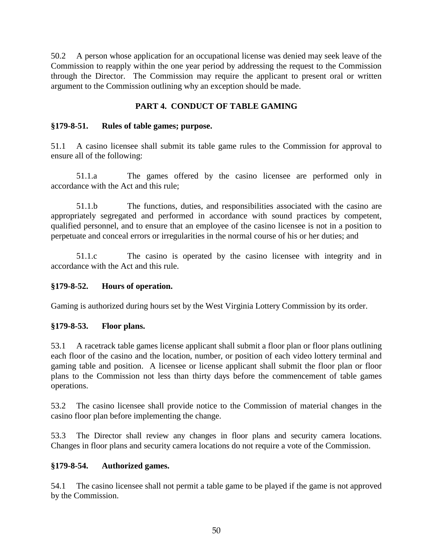50.2 A person whose application for an occupational license was denied may seek leave of the Commission to reapply within the one year period by addressing the request to the Commission through the Director. The Commission may require the applicant to present oral or written argument to the Commission outlining why an exception should be made.

## **PART 4. CONDUCT OF TABLE GAMING**

## **§179-8-51. Rules of table games; purpose.**

51.1 A casino licensee shall submit its table game rules to the Commission for approval to ensure all of the following:

51.1.a The games offered by the casino licensee are performed only in accordance with the Act and this rule;

51.1.b The functions, duties, and responsibilities associated with the casino are appropriately segregated and performed in accordance with sound practices by competent, qualified personnel, and to ensure that an employee of the casino licensee is not in a position to perpetuate and conceal errors or irregularities in the normal course of his or her duties; and

51.1.c The casino is operated by the casino licensee with integrity and in accordance with the Act and this rule.

## **§179-8-52. Hours of operation.**

Gaming is authorized during hours set by the West Virginia Lottery Commission by its order.

## **§179-8-53. Floor plans.**

53.1 A racetrack table games license applicant shall submit a floor plan or floor plans outlining each floor of the casino and the location, number, or position of each video lottery terminal and gaming table and position. A licensee or license applicant shall submit the floor plan or floor plans to the Commission not less than thirty days before the commencement of table games operations.

53.2 The casino licensee shall provide notice to the Commission of material changes in the casino floor plan before implementing the change.

53.3 The Director shall review any changes in floor plans and security camera locations. Changes in floor plans and security camera locations do not require a vote of the Commission.

#### **§179-8-54. Authorized games.**

54.1 The casino licensee shall not permit a table game to be played if the game is not approved by the Commission.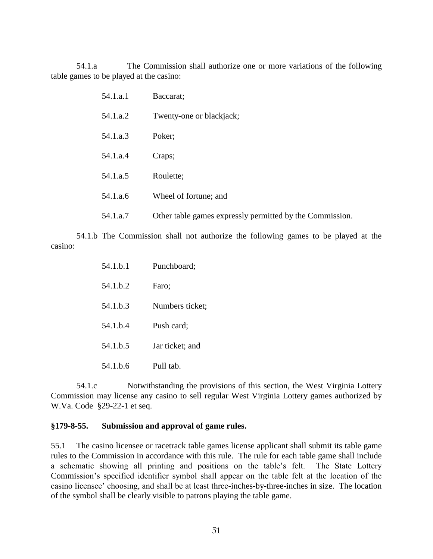54.1.a The Commission shall authorize one or more variations of the following table games to be played at the casino:

| 54.1.a.1 | Baccarat;                                                |
|----------|----------------------------------------------------------|
| 54.1.a.2 | Twenty-one or blackjack;                                 |
| 54.1.a.3 | Poker;                                                   |
| 54.1.a.4 | Craps;                                                   |
| 54.1.a.5 | Roulette;                                                |
| 54.1.a.6 | Wheel of fortune; and                                    |
| 54.1.a.7 | Other table games expressly permitted by the Commission. |

54.1.b The Commission shall not authorize the following games to be played at the casino:

| 54.1.b.1 | Punchboard;     |
|----------|-----------------|
| 54.1 h.2 | Faro;           |
| 54.1.b.3 | Numbers ticket; |
| 54.1.b.4 | Push card;      |
| 54.1 b.5 | Jar ticket; and |
| 54.1 b.6 | Pull tab.       |

54.1.c Notwithstanding the provisions of this section, the West Virginia Lottery Commission may license any casino to sell regular West Virginia Lottery games authorized by W.Va. Code §29-22-1 et seq.

#### **§179-8-55. Submission and approval of game rules.**

55.1 The casino licensee or racetrack table games license applicant shall submit its table game rules to the Commission in accordance with this rule. The rule for each table game shall include a schematic showing all printing and positions on the table's felt. The State Lottery Commission's specified identifier symbol shall appear on the table felt at the location of the casino licensee' choosing, and shall be at least three-inches-by-three-inches in size. The location of the symbol shall be clearly visible to patrons playing the table game.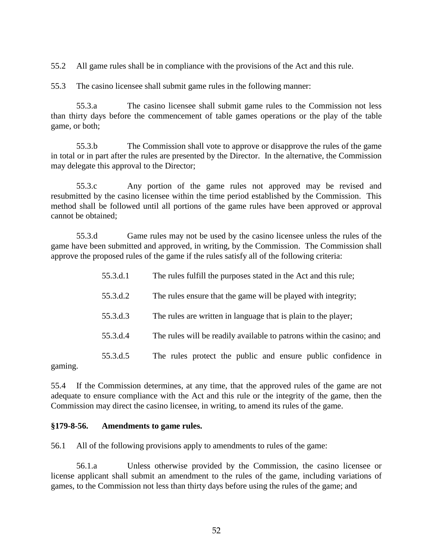55.2 All game rules shall be in compliance with the provisions of the Act and this rule.

55.3 The casino licensee shall submit game rules in the following manner:

55.3.a The casino licensee shall submit game rules to the Commission not less than thirty days before the commencement of table games operations or the play of the table game, or both;

55.3.b The Commission shall vote to approve or disapprove the rules of the game in total or in part after the rules are presented by the Director. In the alternative, the Commission may delegate this approval to the Director;

55.3.c Any portion of the game rules not approved may be revised and resubmitted by the casino licensee within the time period established by the Commission. This method shall be followed until all portions of the game rules have been approved or approval cannot be obtained;

55.3.d Game rules may not be used by the casino licensee unless the rules of the game have been submitted and approved, in writing, by the Commission. The Commission shall approve the proposed rules of the game if the rules satisfy all of the following criteria:

| 55.3.d.1 | The rules fulfill the purposes stated in the Act and this rule;       |
|----------|-----------------------------------------------------------------------|
| 55.3.d.2 | The rules ensure that the game will be played with integrity;         |
| 55.3.d.3 | The rules are written in language that is plain to the player;        |
| 55.3.d.4 | The rules will be readily available to patrons within the casino; and |
| 55.3.d.5 | The rules protect the public and ensure public confidence in          |

gaming.

55.4 If the Commission determines, at any time, that the approved rules of the game are not adequate to ensure compliance with the Act and this rule or the integrity of the game, then the Commission may direct the casino licensee, in writing, to amend its rules of the game.

#### **§179-8-56. Amendments to game rules.**

56.1 All of the following provisions apply to amendments to rules of the game:

56.1.a Unless otherwise provided by the Commission, the casino licensee or license applicant shall submit an amendment to the rules of the game, including variations of games, to the Commission not less than thirty days before using the rules of the game; and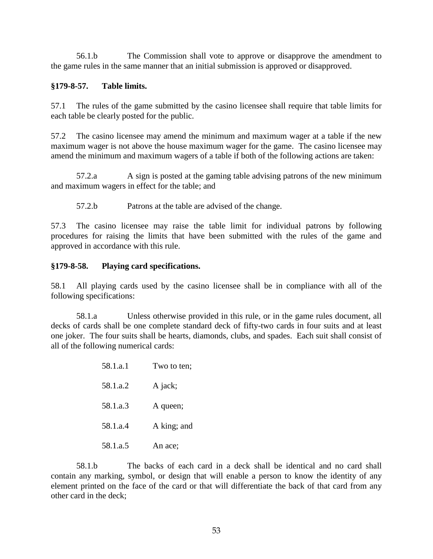56.1.b The Commission shall vote to approve or disapprove the amendment to the game rules in the same manner that an initial submission is approved or disapproved.

## **§179-8-57. Table limits.**

57.1 The rules of the game submitted by the casino licensee shall require that table limits for each table be clearly posted for the public.

57.2 The casino licensee may amend the minimum and maximum wager at a table if the new maximum wager is not above the house maximum wager for the game. The casino licensee may amend the minimum and maximum wagers of a table if both of the following actions are taken:

57.2.a A sign is posted at the gaming table advising patrons of the new minimum and maximum wagers in effect for the table; and

57.2.b Patrons at the table are advised of the change.

57.3 The casino licensee may raise the table limit for individual patrons by following procedures for raising the limits that have been submitted with the rules of the game and approved in accordance with this rule.

## **§179-8-58. Playing card specifications.**

58.1 All playing cards used by the casino licensee shall be in compliance with all of the following specifications:

58.1.a Unless otherwise provided in this rule, or in the game rules document, all decks of cards shall be one complete standard deck of fifty-two cards in four suits and at least one joker. The four suits shall be hearts, diamonds, clubs, and spades. Each suit shall consist of all of the following numerical cards:

> 58.1.a.1 Two to ten; 58.1.a.2 A jack; 58.1.a.3 A queen; 58.1.a.4 A king; and 58.1.a.5 An ace;

58.1.b The backs of each card in a deck shall be identical and no card shall contain any marking, symbol, or design that will enable a person to know the identity of any element printed on the face of the card or that will differentiate the back of that card from any other card in the deck;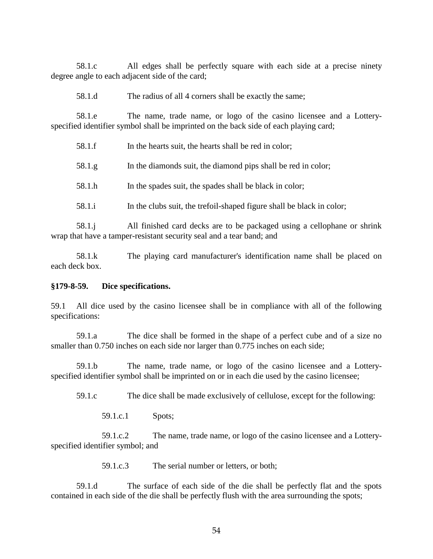58.1.c All edges shall be perfectly square with each side at a precise ninety degree angle to each adjacent side of the card;

58.1.d The radius of all 4 corners shall be exactly the same;

58.1.e The name, trade name, or logo of the casino licensee and a Lotteryspecified identifier symbol shall be imprinted on the back side of each playing card;

| 58.1.f | In the hearts suit, the hearts shall be red in color;                 |
|--------|-----------------------------------------------------------------------|
| 58.1.g | In the diamonds suit, the diamond pips shall be red in color;         |
| 58.1.h | In the spades suit, the spades shall be black in color;               |
| 58.1.i | In the clubs suit, the trefoil-shaped figure shall be black in color; |

58.1.j All finished card decks are to be packaged using a cellophane or shrink wrap that have a tamper-resistant security seal and a tear band; and

58.1.k The playing card manufacturer's identification name shall be placed on each deck box.

#### **§179-8-59. Dice specifications.**

59.1 All dice used by the casino licensee shall be in compliance with all of the following specifications:

59.1.a The dice shall be formed in the shape of a perfect cube and of a size no smaller than 0.750 inches on each side nor larger than 0.775 inches on each side;

59.1.b The name, trade name, or logo of the casino licensee and a Lotteryspecified identifier symbol shall be imprinted on or in each die used by the casino licensee;

59.1.c The dice shall be made exclusively of cellulose, except for the following:

59.1.c.1 Spots;

59.1.c.2 The name, trade name, or logo of the casino licensee and a Lotteryspecified identifier symbol; and

59.1.c.3 The serial number or letters, or both;

59.1.d The surface of each side of the die shall be perfectly flat and the spots contained in each side of the die shall be perfectly flush with the area surrounding the spots;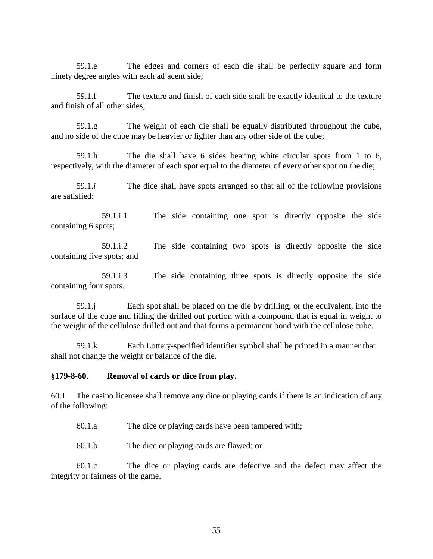59.1.e The edges and corners of each die shall be perfectly square and form ninety degree angles with each adjacent side;

59.1.f The texture and finish of each side shall be exactly identical to the texture and finish of all other sides;

59.1.g The weight of each die shall be equally distributed throughout the cube, and no side of the cube may be heavier or lighter than any other side of the cube;

59.1.h The die shall have 6 sides bearing white circular spots from 1 to 6, respectively, with the diameter of each spot equal to the diameter of every other spot on the die;

59.1.*i* The dice shall have spots arranged so that all of the following provisions are satisfied:

59.1.i.1 The side containing one spot is directly opposite the side containing 6 spots;

59.1.i.2 The side containing two spots is directly opposite the side containing five spots; and

59.1.i.3 The side containing three spots is directly opposite the side containing four spots.

59.1.j Each spot shall be placed on the die by drilling, or the equivalent, into the surface of the cube and filling the drilled out portion with a compound that is equal in weight to the weight of the cellulose drilled out and that forms a permanent bond with the cellulose cube.

59.1.k Each Lottery-specified identifier symbol shall be printed in a manner that shall not change the weight or balance of the die.

#### **§179-8-60. Removal of cards or dice from play.**

60.1 The casino licensee shall remove any dice or playing cards if there is an indication of any of the following:

- 60.1.a The dice or playing cards have been tampered with;
- 60.1.b The dice or playing cards are flawed; or

60.1.c The dice or playing cards are defective and the defect may affect the integrity or fairness of the game.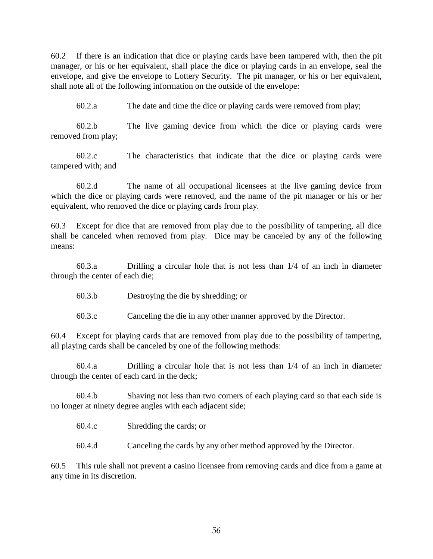60.2 If there is an indication that dice or playing cards have been tampered with, then the pit manager, or his or her equivalent, shall place the dice or playing cards in an envelope, seal the envelope, and give the envelope to Lottery Security. The pit manager, or his or her equivalent, shall note all of the following information on the outside of the envelope:

60.2.a The date and time the dice or playing cards were removed from play;

60.2.b The live gaming device from which the dice or playing cards were removed from play;

60.2.c The characteristics that indicate that the dice or playing cards were tampered with; and

60.2.d The name of all occupational licensees at the live gaming device from which the dice or playing cards were removed, and the name of the pit manager or his or her equivalent, who removed the dice or playing cards from play.

60.3 Except for dice that are removed from play due to the possibility of tampering, all dice shall be canceled when removed from play. Dice may be canceled by any of the following means:

60.3.a Drilling a circular hole that is not less than 1/4 of an inch in diameter through the center of each die;

60.3.b Destroying the die by shredding; or

60.3.c Canceling the die in any other manner approved by the Director.

60.4 Except for playing cards that are removed from play due to the possibility of tampering, all playing cards shall be canceled by one of the following methods:

60.4.a Drilling a circular hole that is not less than 1/4 of an inch in diameter through the center of each card in the deck;

60.4.b Shaving not less than two corners of each playing card so that each side is no longer at ninety degree angles with each adjacent side;

60.4.c Shredding the cards; or

60.4.d Canceling the cards by any other method approved by the Director.

60.5 This rule shall not prevent a casino licensee from removing cards and dice from a game at any time in its discretion.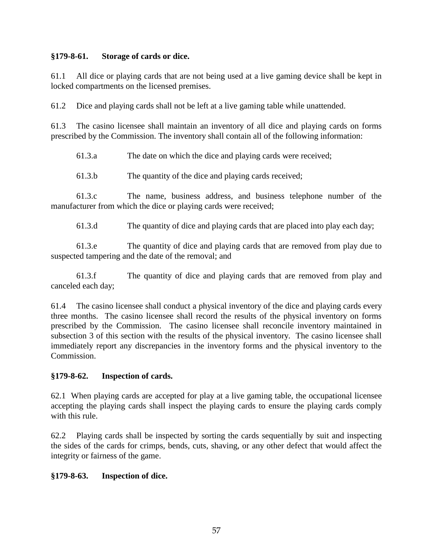## **§179-8-61. Storage of cards or dice.**

61.1 All dice or playing cards that are not being used at a live gaming device shall be kept in locked compartments on the licensed premises.

61.2 Dice and playing cards shall not be left at a live gaming table while unattended.

61.3 The casino licensee shall maintain an inventory of all dice and playing cards on forms prescribed by the Commission. The inventory shall contain all of the following information:

61.3.a The date on which the dice and playing cards were received;

61.3.b The quantity of the dice and playing cards received;

61.3.c The name, business address, and business telephone number of the manufacturer from which the dice or playing cards were received;

61.3.d The quantity of dice and playing cards that are placed into play each day;

61.3.e The quantity of dice and playing cards that are removed from play due to suspected tampering and the date of the removal; and

61.3.f The quantity of dice and playing cards that are removed from play and canceled each day;

61.4 The casino licensee shall conduct a physical inventory of the dice and playing cards every three months. The casino licensee shall record the results of the physical inventory on forms prescribed by the Commission. The casino licensee shall reconcile inventory maintained in subsection 3 of this section with the results of the physical inventory. The casino licensee shall immediately report any discrepancies in the inventory forms and the physical inventory to the Commission.

# **§179-8-62. Inspection of cards.**

62.1 When playing cards are accepted for play at a live gaming table, the occupational licensee accepting the playing cards shall inspect the playing cards to ensure the playing cards comply with this rule.

62.2 Playing cards shall be inspected by sorting the cards sequentially by suit and inspecting the sides of the cards for crimps, bends, cuts, shaving, or any other defect that would affect the integrity or fairness of the game.

# **§179-8-63. Inspection of dice.**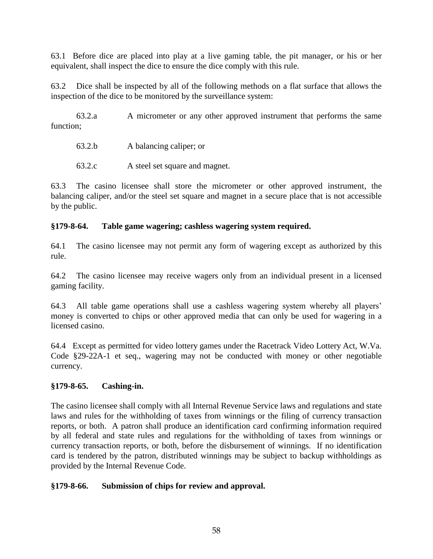63.1 Before dice are placed into play at a live gaming table, the pit manager, or his or her equivalent, shall inspect the dice to ensure the dice comply with this rule.

63.2 Dice shall be inspected by all of the following methods on a flat surface that allows the inspection of the dice to be monitored by the surveillance system:

63.2.a A micrometer or any other approved instrument that performs the same function:

| 63.2.b | A balancing caliper; or |
|--------|-------------------------|
|--------|-------------------------|

63.2.c A steel set square and magnet.

63.3 The casino licensee shall store the micrometer or other approved instrument, the balancing caliper, and/or the steel set square and magnet in a secure place that is not accessible by the public.

### **§179-8-64. Table game wagering; cashless wagering system required.**

64.1 The casino licensee may not permit any form of wagering except as authorized by this rule.

64.2 The casino licensee may receive wagers only from an individual present in a licensed gaming facility.

64.3 All table game operations shall use a cashless wagering system whereby all players' money is converted to chips or other approved media that can only be used for wagering in a licensed casino.

64.4 Except as permitted for video lottery games under the Racetrack Video Lottery Act, W.Va. Code §29-22A-1 et seq., wagering may not be conducted with money or other negotiable currency.

#### **§179-8-65. Cashing-in.**

The casino licensee shall comply with all Internal Revenue Service laws and regulations and state laws and rules for the withholding of taxes from winnings or the filing of currency transaction reports, or both. A patron shall produce an identification card confirming information required by all federal and state rules and regulations for the withholding of taxes from winnings or currency transaction reports, or both, before the disbursement of winnings. If no identification card is tendered by the patron, distributed winnings may be subject to backup withholdings as provided by the Internal Revenue Code.

#### **§179-8-66. Submission of chips for review and approval.**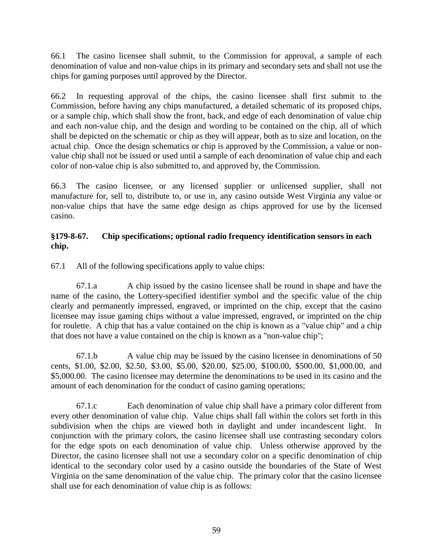66.1 The casino licensee shall submit, to the Commission for approval, a sample of each denomination of value and non-value chips in its primary and secondary sets and shall not use the chips for gaming purposes until approved by the Director.

66.2 In requesting approval of the chips, the casino licensee shall first submit to the Commission, before having any chips manufactured, a detailed schematic of its proposed chips, or a sample chip, which shall show the front, back, and edge of each denomination of value chip and each non-value chip, and the design and wording to be contained on the chip, all of which shall be depicted on the schematic or chip as they will appear, both as to size and location, on the actual chip. Once the design schematics or chip is approved by the Commission, a value or nonvalue chip shall not be issued or used until a sample of each denomination of value chip and each color of non-value chip is also submitted to, and approved by, the Commission.

66.3 The casino licensee, or any licensed supplier or unlicensed supplier, shall not manufacture for, sell to, distribute to, or use in, any casino outside West Virginia any value or non-value chips that have the same edge design as chips approved for use by the licensed casino.

## **§179-8-67. Chip specifications; optional radio frequency identification sensors in each chip.**

67.1 All of the following specifications apply to value chips:

67.1.a A chip issued by the casino licensee shall be round in shape and have the name of the casino, the Lottery-specified identifier symbol and the specific value of the chip clearly and permanently impressed, engraved, or imprinted on the chip, except that the casino licensee may issue gaming chips without a value impressed, engraved, or imprinted on the chip for roulette. A chip that has a value contained on the chip is known as a "value chip" and a chip that does not have a value contained on the chip is known as a "non-value chip";

67.1.b A value chip may be issued by the casino licensee in denominations of 50 cents, \$1.00, \$2.00, \$2.50, \$3.00, \$5.00, \$20.00, \$25.00, \$100.00, \$500.00, \$1,000.00, and \$5,000.00. The casino licensee may determine the denominations to be used in its casino and the amount of each denomination for the conduct of casino gaming operations;

67.1.c Each denomination of value chip shall have a primary color different from every other denomination of value chip. Value chips shall fall within the colors set forth in this subdivision when the chips are viewed both in daylight and under incandescent light. In conjunction with the primary colors, the casino licensee shall use contrasting secondary colors for the edge spots on each denomination of value chip. Unless otherwise approved by the Director, the casino licensee shall not use a secondary color on a specific denomination of chip identical to the secondary color used by a casino outside the boundaries of the State of West Virginia on the same denomination of the value chip. The primary color that the casino licensee shall use for each denomination of value chip is as follows: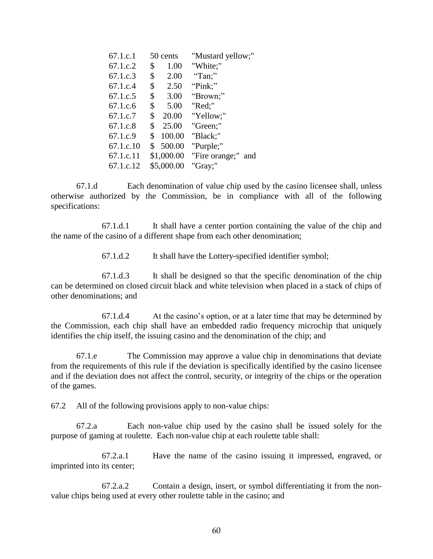| 67.1.c.1  |                | 50 cents   | "Mustard yellow;"  |
|-----------|----------------|------------|--------------------|
| 67.1.c.2  | \$             | 1.00       | "White;"           |
| 67.1.c.3  | \$             | 2.00       | "Tan;"             |
| 67.1.c.4  |                | \$ 2.50    | "Pink;"            |
| 67.1.c.5  | \$             | 3.00       | "Brown;"           |
| 67.1.c.6  | \$             | 5.00       | "Red;"             |
| 67.1.c.7  | \$             | 20.00      | "Yellow;"          |
| 67.1.c.8  | \$             | 25.00      | "Green;"           |
| 67.1.c.9  | $\mathbb{S}^-$ | 100.00     | "Black;"           |
| 67.1.c.10 |                | \$500.00   | "Purple;"          |
| 67.1.c.11 |                | \$1,000.00 | "Fire orange;" and |
| 67.1.c.12 |                | \$5,000.00 | "Gray;"            |

67.1.d Each denomination of value chip used by the casino licensee shall, unless otherwise authorized by the Commission, be in compliance with all of the following specifications:

67.1.d.1 It shall have a center portion containing the value of the chip and the name of the casino of a different shape from each other denomination;

67.1.d.2 It shall have the Lottery-specified identifier symbol;

67.1.d.3 It shall be designed so that the specific denomination of the chip can be determined on closed circuit black and white television when placed in a stack of chips of other denominations; and

67.1.d.4 At the casino's option, or at a later time that may be determined by the Commission, each chip shall have an embedded radio frequency microchip that uniquely identifies the chip itself, the issuing casino and the denomination of the chip; and

67.1.e The Commission may approve a value chip in denominations that deviate from the requirements of this rule if the deviation is specifically identified by the casino licensee and if the deviation does not affect the control, security, or integrity of the chips or the operation of the games.

67.2 All of the following provisions apply to non-value chips:

67.2.a Each non-value chip used by the casino shall be issued solely for the purpose of gaming at roulette. Each non-value chip at each roulette table shall:

67.2.a.1 Have the name of the casino issuing it impressed, engraved, or imprinted into its center;

67.2.a.2 Contain a design, insert, or symbol differentiating it from the nonvalue chips being used at every other roulette table in the casino; and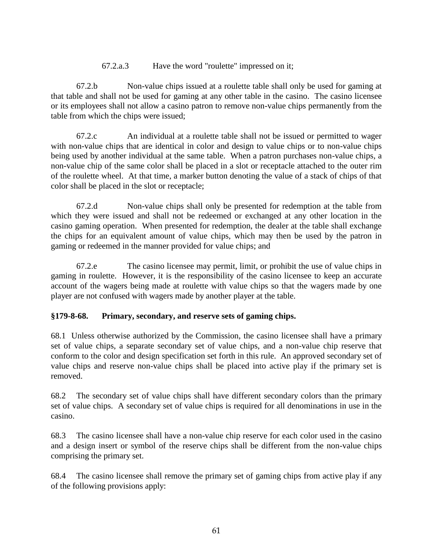### 67.2.a.3 Have the word "roulette" impressed on it;

67.2.b Non-value chips issued at a roulette table shall only be used for gaming at that table and shall not be used for gaming at any other table in the casino. The casino licensee or its employees shall not allow a casino patron to remove non-value chips permanently from the table from which the chips were issued;

67.2.c An individual at a roulette table shall not be issued or permitted to wager with non-value chips that are identical in color and design to value chips or to non-value chips being used by another individual at the same table. When a patron purchases non-value chips, a non-value chip of the same color shall be placed in a slot or receptacle attached to the outer rim of the roulette wheel. At that time, a marker button denoting the value of a stack of chips of that color shall be placed in the slot or receptacle;

67.2.d Non-value chips shall only be presented for redemption at the table from which they were issued and shall not be redeemed or exchanged at any other location in the casino gaming operation. When presented for redemption, the dealer at the table shall exchange the chips for an equivalent amount of value chips, which may then be used by the patron in gaming or redeemed in the manner provided for value chips; and

67.2.e The casino licensee may permit, limit, or prohibit the use of value chips in gaming in roulette. However, it is the responsibility of the casino licensee to keep an accurate account of the wagers being made at roulette with value chips so that the wagers made by one player are not confused with wagers made by another player at the table.

## **§179-8-68. Primary, secondary, and reserve sets of gaming chips.**

68.1 Unless otherwise authorized by the Commission, the casino licensee shall have a primary set of value chips, a separate secondary set of value chips, and a non-value chip reserve that conform to the color and design specification set forth in this rule. An approved secondary set of value chips and reserve non-value chips shall be placed into active play if the primary set is removed.

68.2 The secondary set of value chips shall have different secondary colors than the primary set of value chips. A secondary set of value chips is required for all denominations in use in the casino.

68.3 The casino licensee shall have a non-value chip reserve for each color used in the casino and a design insert or symbol of the reserve chips shall be different from the non-value chips comprising the primary set.

68.4 The casino licensee shall remove the primary set of gaming chips from active play if any of the following provisions apply: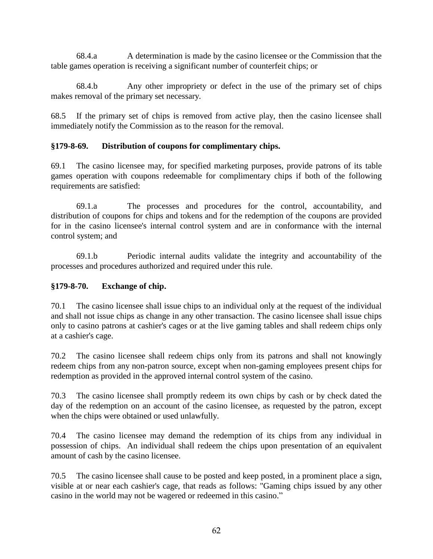68.4.a A determination is made by the casino licensee or the Commission that the table games operation is receiving a significant number of counterfeit chips; or

68.4.b Any other impropriety or defect in the use of the primary set of chips makes removal of the primary set necessary.

68.5 If the primary set of chips is removed from active play, then the casino licensee shall immediately notify the Commission as to the reason for the removal.

## **§179-8-69. Distribution of coupons for complimentary chips.**

69.1 The casino licensee may, for specified marketing purposes, provide patrons of its table games operation with coupons redeemable for complimentary chips if both of the following requirements are satisfied:

69.1.a The processes and procedures for the control, accountability, and distribution of coupons for chips and tokens and for the redemption of the coupons are provided for in the casino licensee's internal control system and are in conformance with the internal control system; and

69.1.b Periodic internal audits validate the integrity and accountability of the processes and procedures authorized and required under this rule.

## **§179-8-70. Exchange of chip.**

70.1 The casino licensee shall issue chips to an individual only at the request of the individual and shall not issue chips as change in any other transaction. The casino licensee shall issue chips only to casino patrons at cashier's cages or at the live gaming tables and shall redeem chips only at a cashier's cage.

70.2 The casino licensee shall redeem chips only from its patrons and shall not knowingly redeem chips from any non-patron source, except when non-gaming employees present chips for redemption as provided in the approved internal control system of the casino.

70.3 The casino licensee shall promptly redeem its own chips by cash or by check dated the day of the redemption on an account of the casino licensee, as requested by the patron, except when the chips were obtained or used unlawfully.

70.4 The casino licensee may demand the redemption of its chips from any individual in possession of chips. An individual shall redeem the chips upon presentation of an equivalent amount of cash by the casino licensee.

70.5 The casino licensee shall cause to be posted and keep posted, in a prominent place a sign, visible at or near each cashier's cage, that reads as follows: "Gaming chips issued by any other casino in the world may not be wagered or redeemed in this casino."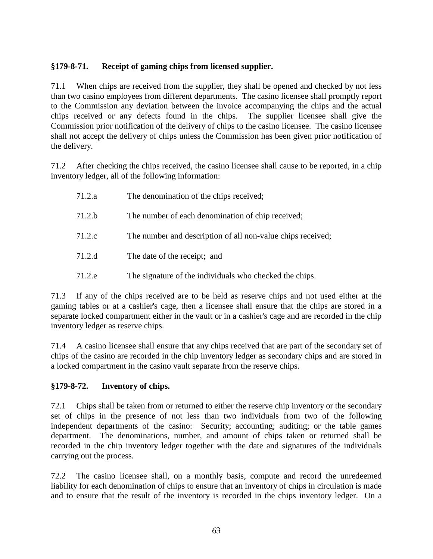# **§179-8-71. Receipt of gaming chips from licensed supplier.**

71.1 When chips are received from the supplier, they shall be opened and checked by not less than two casino employees from different departments. The casino licensee shall promptly report to the Commission any deviation between the invoice accompanying the chips and the actual chips received or any defects found in the chips. The supplier licensee shall give the Commission prior notification of the delivery of chips to the casino licensee. The casino licensee shall not accept the delivery of chips unless the Commission has been given prior notification of the delivery.

71.2 After checking the chips received, the casino licensee shall cause to be reported, in a chip inventory ledger, all of the following information:

| 71.2.a | The denomination of the chips received;                     |
|--------|-------------------------------------------------------------|
| 71.2.b | The number of each denomination of chip received;           |
| 71.2.c | The number and description of all non-value chips received; |
| 71.2.d | The date of the receipt; and                                |
| 71.2.e | The signature of the individuals who checked the chips.     |

71.3 If any of the chips received are to be held as reserve chips and not used either at the gaming tables or at a cashier's cage, then a licensee shall ensure that the chips are stored in a separate locked compartment either in the vault or in a cashier's cage and are recorded in the chip inventory ledger as reserve chips.

71.4 A casino licensee shall ensure that any chips received that are part of the secondary set of chips of the casino are recorded in the chip inventory ledger as secondary chips and are stored in a locked compartment in the casino vault separate from the reserve chips.

## **§179-8-72. Inventory of chips.**

72.1 Chips shall be taken from or returned to either the reserve chip inventory or the secondary set of chips in the presence of not less than two individuals from two of the following independent departments of the casino: Security; accounting; auditing; or the table games department. The denominations, number, and amount of chips taken or returned shall be recorded in the chip inventory ledger together with the date and signatures of the individuals carrying out the process.

72.2 The casino licensee shall, on a monthly basis, compute and record the unredeemed liability for each denomination of chips to ensure that an inventory of chips in circulation is made and to ensure that the result of the inventory is recorded in the chips inventory ledger. On a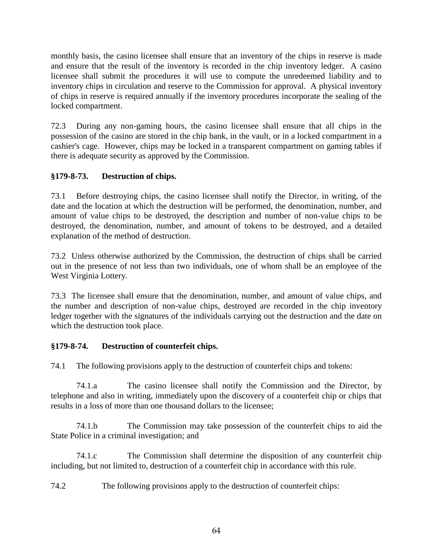monthly basis, the casino licensee shall ensure that an inventory of the chips in reserve is made and ensure that the result of the inventory is recorded in the chip inventory ledger. A casino licensee shall submit the procedures it will use to compute the unredeemed liability and to inventory chips in circulation and reserve to the Commission for approval. A physical inventory of chips in reserve is required annually if the inventory procedures incorporate the sealing of the locked compartment.

72.3 During any non-gaming hours, the casino licensee shall ensure that all chips in the possession of the casino are stored in the chip bank, in the vault, or in a locked compartment in a cashier's cage. However, chips may be locked in a transparent compartment on gaming tables if there is adequate security as approved by the Commission.

# **§179-8-73. Destruction of chips.**

73.1 Before destroying chips, the casino licensee shall notify the Director, in writing, of the date and the location at which the destruction will be performed, the denomination, number, and amount of value chips to be destroyed, the description and number of non-value chips to be destroyed, the denomination, number, and amount of tokens to be destroyed, and a detailed explanation of the method of destruction.

73.2 Unless otherwise authorized by the Commission, the destruction of chips shall be carried out in the presence of not less than two individuals, one of whom shall be an employee of the West Virginia Lottery.

73.3 The licensee shall ensure that the denomination, number, and amount of value chips, and the number and description of non-value chips, destroyed are recorded in the chip inventory ledger together with the signatures of the individuals carrying out the destruction and the date on which the destruction took place.

# **§179-8-74. Destruction of counterfeit chips.**

74.1 The following provisions apply to the destruction of counterfeit chips and tokens:

74.1.a The casino licensee shall notify the Commission and the Director, by telephone and also in writing, immediately upon the discovery of a counterfeit chip or chips that results in a loss of more than one thousand dollars to the licensee;

74.1.b The Commission may take possession of the counterfeit chips to aid the State Police in a criminal investigation; and

74.1.c The Commission shall determine the disposition of any counterfeit chip including, but not limited to, destruction of a counterfeit chip in accordance with this rule.

74.2 The following provisions apply to the destruction of counterfeit chips: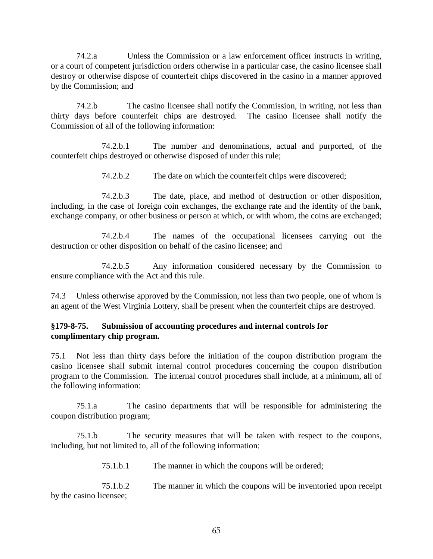74.2.a Unless the Commission or a law enforcement officer instructs in writing, or a court of competent jurisdiction orders otherwise in a particular case, the casino licensee shall destroy or otherwise dispose of counterfeit chips discovered in the casino in a manner approved by the Commission; and

74.2.b The casino licensee shall notify the Commission, in writing, not less than thirty days before counterfeit chips are destroyed. The casino licensee shall notify the Commission of all of the following information:

74.2.b.1 The number and denominations, actual and purported, of the counterfeit chips destroyed or otherwise disposed of under this rule;

74.2.b.2 The date on which the counterfeit chips were discovered;

74.2.b.3 The date, place, and method of destruction or other disposition, including, in the case of foreign coin exchanges, the exchange rate and the identity of the bank, exchange company, or other business or person at which, or with whom, the coins are exchanged;

74.2.b.4 The names of the occupational licensees carrying out the destruction or other disposition on behalf of the casino licensee; and

74.2.b.5 Any information considered necessary by the Commission to ensure compliance with the Act and this rule.

74.3 Unless otherwise approved by the Commission, not less than two people, one of whom is an agent of the West Virginia Lottery, shall be present when the counterfeit chips are destroyed.

### **§179-8-75. Submission of accounting procedures and internal controls for complimentary chip program.**

75.1 Not less than thirty days before the initiation of the coupon distribution program the casino licensee shall submit internal control procedures concerning the coupon distribution program to the Commission. The internal control procedures shall include, at a minimum, all of the following information:

75.1.a The casino departments that will be responsible for administering the coupon distribution program;

75.1.b The security measures that will be taken with respect to the coupons, including, but not limited to, all of the following information:

75.1.b.1 The manner in which the coupons will be ordered;

75.1.b.2 The manner in which the coupons will be inventoried upon receipt by the casino licensee;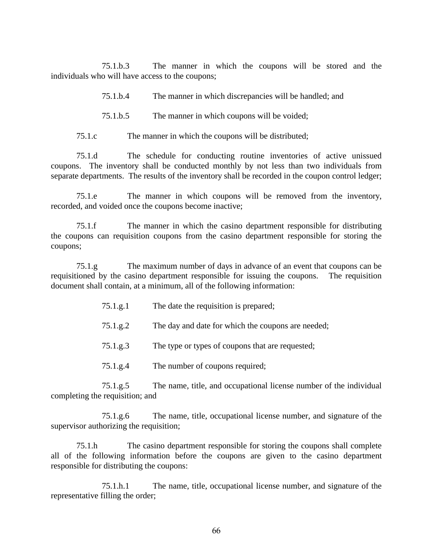75.1.b.3 The manner in which the coupons will be stored and the individuals who will have access to the coupons;

75.1.b.4 The manner in which discrepancies will be handled; and

- 75.1.b.5 The manner in which coupons will be voided;
- 75.1.c The manner in which the coupons will be distributed;

75.1.d The schedule for conducting routine inventories of active unissued coupons. The inventory shall be conducted monthly by not less than two individuals from separate departments. The results of the inventory shall be recorded in the coupon control ledger;

75.1.e The manner in which coupons will be removed from the inventory, recorded, and voided once the coupons become inactive;

75.1.f The manner in which the casino department responsible for distributing the coupons can requisition coupons from the casino department responsible for storing the coupons;

75.1.g The maximum number of days in advance of an event that coupons can be requisitioned by the casino department responsible for issuing the coupons. The requisition document shall contain, at a minimum, all of the following information:

- 75.1.g.1 The date the requisition is prepared;
- 75.1.g.2 The day and date for which the coupons are needed;
- 75.1.g.3 The type or types of coupons that are requested;
- 75.1.g.4 The number of coupons required;

75.1.g.5 The name, title, and occupational license number of the individual completing the requisition; and

75.1.g.6 The name, title, occupational license number, and signature of the supervisor authorizing the requisition;

75.1.h The casino department responsible for storing the coupons shall complete all of the following information before the coupons are given to the casino department responsible for distributing the coupons:

75.1.h.1 The name, title, occupational license number, and signature of the representative filling the order;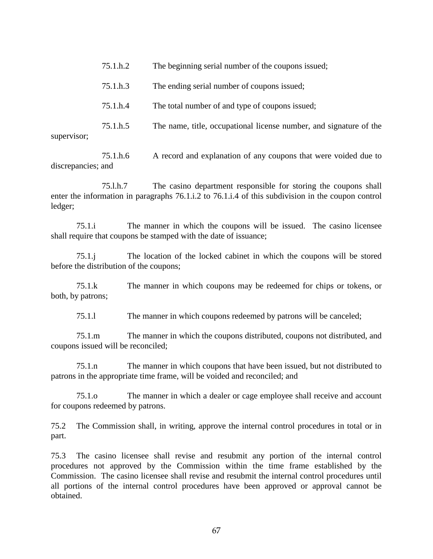| supervisor; | 75.1.h.5 | The name, title, occupational license number, and signature of the |
|-------------|----------|--------------------------------------------------------------------|
|             | 75.1.h.4 | The total number of and type of coupons issued;                    |
|             | 75.1.h.3 | The ending serial number of coupons issued;                        |
|             | 75.1.h.2 | The beginning serial number of the coupons issued;                 |

75.1.h.6 A record and explanation of any coupons that were voided due to discrepancies; and

75.l.h.7 The casino department responsible for storing the coupons shall enter the information in paragraphs 76.1.i.2 to 76.1.i.4 of this subdivision in the coupon control ledger;

75.1.i The manner in which the coupons will be issued. The casino licensee shall require that coupons be stamped with the date of issuance;

75.1.j The location of the locked cabinet in which the coupons will be stored before the distribution of the coupons;

75.1.k The manner in which coupons may be redeemed for chips or tokens, or both, by patrons;

75.1.l The manner in which coupons redeemed by patrons will be canceled;

75.1.m The manner in which the coupons distributed, coupons not distributed, and coupons issued will be reconciled;

75.1.n The manner in which coupons that have been issued, but not distributed to patrons in the appropriate time frame, will be voided and reconciled; and

75.1.o The manner in which a dealer or cage employee shall receive and account for coupons redeemed by patrons.

75.2 The Commission shall, in writing, approve the internal control procedures in total or in part.

75.3 The casino licensee shall revise and resubmit any portion of the internal control procedures not approved by the Commission within the time frame established by the Commission. The casino licensee shall revise and resubmit the internal control procedures until all portions of the internal control procedures have been approved or approval cannot be obtained.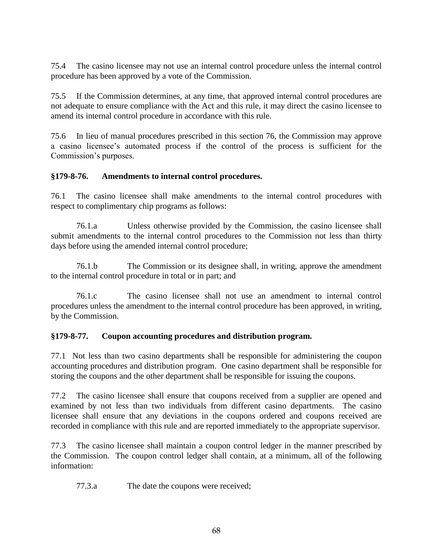75.4 The casino licensee may not use an internal control procedure unless the internal control procedure has been approved by a vote of the Commission.

75.5 If the Commission determines, at any time, that approved internal control procedures are not adequate to ensure compliance with the Act and this rule, it may direct the casino licensee to amend its internal control procedure in accordance with this rule.

75.6 In lieu of manual procedures prescribed in this section 76, the Commission may approve a casino licensee's automated process if the control of the process is sufficient for the Commission's purposes.

## **§179-8-76. Amendments to internal control procedures.**

76.1 The casino licensee shall make amendments to the internal control procedures with respect to complimentary chip programs as follows:

76.1.a Unless otherwise provided by the Commission, the casino licensee shall submit amendments to the internal control procedures to the Commission not less than thirty days before using the amended internal control procedure;

76.1.b The Commission or its designee shall, in writing, approve the amendment to the internal control procedure in total or in part; and

76.1.c The casino licensee shall not use an amendment to internal control procedures unless the amendment to the internal control procedure has been approved, in writing, by the Commission.

# **§179-8-77. Coupon accounting procedures and distribution program.**

77.1 Not less than two casino departments shall be responsible for administering the coupon accounting procedures and distribution program. One casino department shall be responsible for storing the coupons and the other department shall be responsible for issuing the coupons.

77.2 The casino licensee shall ensure that coupons received from a supplier are opened and examined by not less than two individuals from different casino departments. The casino licensee shall ensure that any deviations in the coupons ordered and coupons received are recorded in compliance with this rule and are reported immediately to the appropriate supervisor.

77.3 The casino licensee shall maintain a coupon control ledger in the manner prescribed by the Commission. The coupon control ledger shall contain, at a minimum, all of the following information:

77.3.a The date the coupons were received;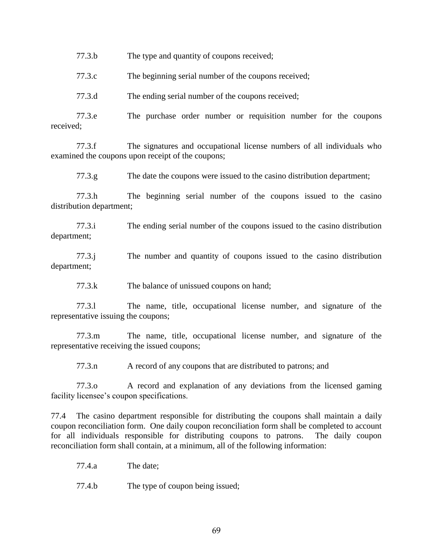77.3.b The type and quantity of coupons received;

77.3.c The beginning serial number of the coupons received;

77.3.d The ending serial number of the coupons received;

77.3.e The purchase order number or requisition number for the coupons received;

77.3.f The signatures and occupational license numbers of all individuals who examined the coupons upon receipt of the coupons;

77.3.g The date the coupons were issued to the casino distribution department;

77.3.h The beginning serial number of the coupons issued to the casino distribution department;

77.3.i The ending serial number of the coupons issued to the casino distribution department;

77.3.j The number and quantity of coupons issued to the casino distribution department;

77.3.k The balance of unissued coupons on hand;

77.3.l The name, title, occupational license number, and signature of the representative issuing the coupons;

77.3.m The name, title, occupational license number, and signature of the representative receiving the issued coupons;

77.3.n A record of any coupons that are distributed to patrons; and

77.3.o A record and explanation of any deviations from the licensed gaming facility licensee's coupon specifications.

77.4 The casino department responsible for distributing the coupons shall maintain a daily coupon reconciliation form. One daily coupon reconciliation form shall be completed to account for all individuals responsible for distributing coupons to patrons. The daily coupon reconciliation form shall contain, at a minimum, all of the following information:

77.4.a The date;

77.4.b The type of coupon being issued;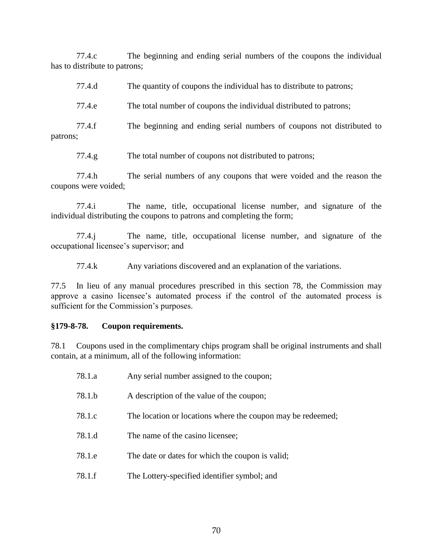77.4.c The beginning and ending serial numbers of the coupons the individual has to distribute to patrons;

| 77.4.d |  | The quantity of coupons the individual has to distribute to patrons; |  |
|--------|--|----------------------------------------------------------------------|--|
|        |  |                                                                      |  |

77.4.e The total number of coupons the individual distributed to patrons;

77.4.f The beginning and ending serial numbers of coupons not distributed to patrons;

77.4.g The total number of coupons not distributed to patrons;

77.4.h The serial numbers of any coupons that were voided and the reason the coupons were voided;

77.4.i The name, title, occupational license number, and signature of the individual distributing the coupons to patrons and completing the form;

77.4.j The name, title, occupational license number, and signature of the occupational licensee's supervisor; and

77.4.k Any variations discovered and an explanation of the variations.

77.5 In lieu of any manual procedures prescribed in this section 78, the Commission may approve a casino licensee's automated process if the control of the automated process is sufficient for the Commission's purposes.

#### **§179-8-78. Coupon requirements.**

78.1 Coupons used in the complimentary chips program shall be original instruments and shall contain, at a minimum, all of the following information:

| 78.1.a | Any serial number assigned to the coupon;                   |
|--------|-------------------------------------------------------------|
| 78.1.b | A description of the value of the coupon;                   |
| 78.1.c | The location or locations where the coupon may be redeemed; |
| 78.1.d | The name of the casino licensee;                            |
| 78.1.e | The date or dates for which the coupon is valid;            |
| 78.1.f | The Lottery-specified identifier symbol; and                |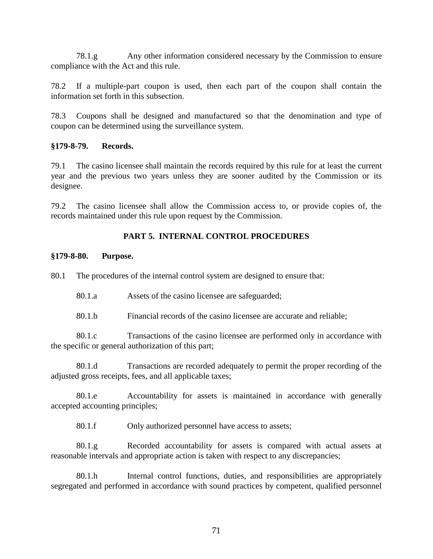78.1.g Any other information considered necessary by the Commission to ensure compliance with the Act and this rule.

78.2 If a multiple-part coupon is used, then each part of the coupon shall contain the information set forth in this subsection.

78.3 Coupons shall be designed and manufactured so that the denomination and type of coupon can be determined using the surveillance system.

#### **§179-8-79. Records.**

79.1 The casino licensee shall maintain the records required by this rule for at least the current year and the previous two years unless they are sooner audited by the Commission or its designee.

79.2 The casino licensee shall allow the Commission access to, or provide copies of, the records maintained under this rule upon request by the Commission.

### **PART 5. INTERNAL CONTROL PROCEDURES**

#### **§179-8-80. Purpose.**

80.1 The procedures of the internal control system are designed to ensure that:

80.1.a Assets of the casino licensee are safeguarded;

80.1.b Financial records of the casino licensee are accurate and reliable;

80.1.c Transactions of the casino licensee are performed only in accordance with the specific or general authorization of this part;

80.1.d Transactions are recorded adequately to permit the proper recording of the adjusted gross receipts, fees, and all applicable taxes;

80.1.e Accountability for assets is maintained in accordance with generally accepted accounting principles;

80.1.f Only authorized personnel have access to assets;

80.1.g Recorded accountability for assets is compared with actual assets at reasonable intervals and appropriate action is taken with respect to any discrepancies;

80.1.h Internal control functions, duties, and responsibilities are appropriately segregated and performed in accordance with sound practices by competent, qualified personnel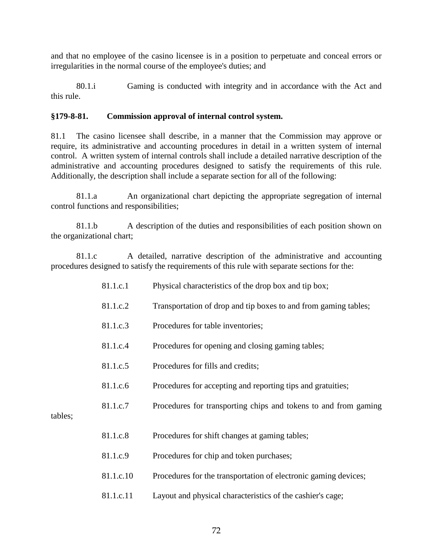and that no employee of the casino licensee is in a position to perpetuate and conceal errors or irregularities in the normal course of the employee's duties; and

80.1.i Gaming is conducted with integrity and in accordance with the Act and this rule.

### **§179-8-81. Commission approval of internal control system.**

81.1 The casino licensee shall describe, in a manner that the Commission may approve or require, its administrative and accounting procedures in detail in a written system of internal control. A written system of internal controls shall include a detailed narrative description of the administrative and accounting procedures designed to satisfy the requirements of this rule. Additionally, the description shall include a separate section for all of the following:

81.1.a An organizational chart depicting the appropriate segregation of internal control functions and responsibilities;

81.1.b A description of the duties and responsibilities of each position shown on the organizational chart;

81.1.c A detailed, narrative description of the administrative and accounting procedures designed to satisfy the requirements of this rule with separate sections for the:

| 81.1.c.1  | Physical characteristics of the drop box and tip box;           |
|-----------|-----------------------------------------------------------------|
| 81.1.c.2  | Transportation of drop and tip boxes to and from gaming tables; |
| 81.1.c.3  | Procedures for table inventories;                               |
| 81.1.c.4  | Procedures for opening and closing gaming tables;               |
| 81.1.c.5  | Procedures for fills and credits;                               |
| 81.1.c.6  | Procedures for accepting and reporting tips and gratuities;     |
| 81.1.c.7  | Procedures for transporting chips and tokens to and from gaming |
|           |                                                                 |
| 81.1.c.8  | Procedures for shift changes at gaming tables;                  |
| 81.1.c.9  | Procedures for chip and token purchases;                        |
| 81.1.c.10 | Procedures for the transportation of electronic gaming devices; |
| 81.1.c.11 | Layout and physical characteristics of the cashier's cage;      |

tables;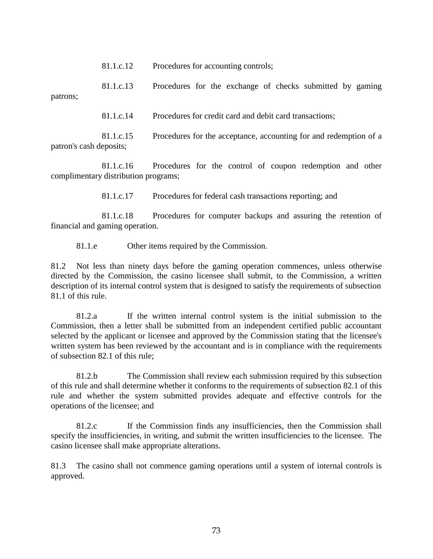81.1.c.12 Procedures for accounting controls;

81.1.c.13 Procedures for the exchange of checks submitted by gaming patrons;

81.1.c.14 Procedures for credit card and debit card transactions;

81.1.c.15 Procedures for the acceptance, accounting for and redemption of a patron's cash deposits;

81.1.c.16 Procedures for the control of coupon redemption and other complimentary distribution programs;

81.1.c.17 Procedures for federal cash transactions reporting; and

81.1.c.18 Procedures for computer backups and assuring the retention of financial and gaming operation.

81.1.e Other items required by the Commission.

81.2 Not less than ninety days before the gaming operation commences, unless otherwise directed by the Commission, the casino licensee shall submit, to the Commission, a written description of its internal control system that is designed to satisfy the requirements of subsection 81.1 of this rule.

81.2.a If the written internal control system is the initial submission to the Commission, then a letter shall be submitted from an independent certified public accountant selected by the applicant or licensee and approved by the Commission stating that the licensee's written system has been reviewed by the accountant and is in compliance with the requirements of subsection 82.1 of this rule;

81.2.b The Commission shall review each submission required by this subsection of this rule and shall determine whether it conforms to the requirements of subsection 82.1 of this rule and whether the system submitted provides adequate and effective controls for the operations of the licensee; and

81.2.c If the Commission finds any insufficiencies, then the Commission shall specify the insufficiencies, in writing, and submit the written insufficiencies to the licensee. The casino licensee shall make appropriate alterations.

81.3 The casino shall not commence gaming operations until a system of internal controls is approved.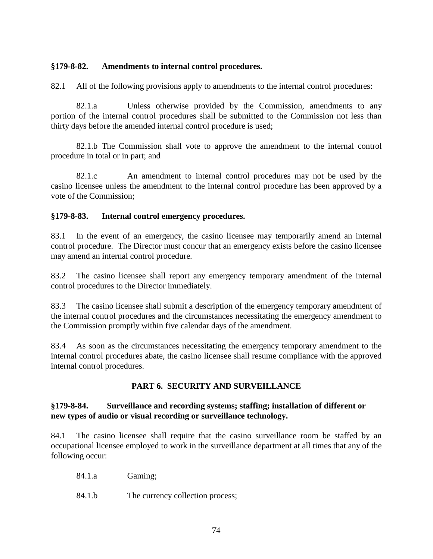# **§179-8-82. Amendments to internal control procedures.**

82.1 All of the following provisions apply to amendments to the internal control procedures:

82.1.a Unless otherwise provided by the Commission, amendments to any portion of the internal control procedures shall be submitted to the Commission not less than thirty days before the amended internal control procedure is used;

82.1.b The Commission shall vote to approve the amendment to the internal control procedure in total or in part; and

82.1.c An amendment to internal control procedures may not be used by the casino licensee unless the amendment to the internal control procedure has been approved by a vote of the Commission;

#### **§179-8-83. Internal control emergency procedures.**

83.1 In the event of an emergency, the casino licensee may temporarily amend an internal control procedure. The Director must concur that an emergency exists before the casino licensee may amend an internal control procedure.

83.2 The casino licensee shall report any emergency temporary amendment of the internal control procedures to the Director immediately.

83.3 The casino licensee shall submit a description of the emergency temporary amendment of the internal control procedures and the circumstances necessitating the emergency amendment to the Commission promptly within five calendar days of the amendment.

83.4 As soon as the circumstances necessitating the emergency temporary amendment to the internal control procedures abate, the casino licensee shall resume compliance with the approved internal control procedures.

# **PART 6. SECURITY AND SURVEILLANCE**

#### **§179-8-84. Surveillance and recording systems; staffing; installation of different or new types of audio or visual recording or surveillance technology.**

84.1 The casino licensee shall require that the casino surveillance room be staffed by an occupational licensee employed to work in the surveillance department at all times that any of the following occur:

84.1.a Gaming;

84.1.b The currency collection process;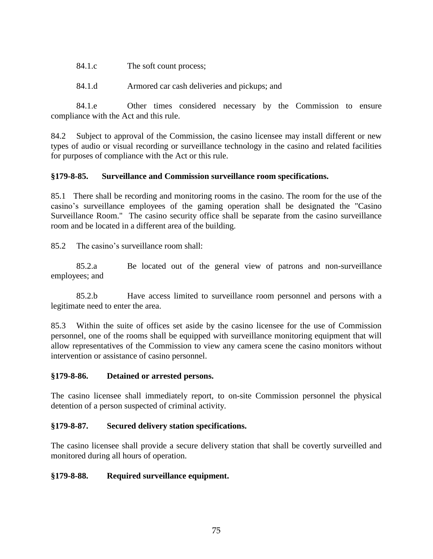- 84.1.c The soft count process;
- 84.1.d Armored car cash deliveries and pickups; and

84.1.e Other times considered necessary by the Commission to ensure compliance with the Act and this rule.

84.2 Subject to approval of the Commission, the casino licensee may install different or new types of audio or visual recording or surveillance technology in the casino and related facilities for purposes of compliance with the Act or this rule.

#### **§179-8-85. Surveillance and Commission surveillance room specifications.**

85.1 There shall be recording and monitoring rooms in the casino. The room for the use of the casino's surveillance employees of the gaming operation shall be designated the "Casino Surveillance Room." The casino security office shall be separate from the casino surveillance room and be located in a different area of the building.

85.2 The casino's surveillance room shall:

85.2.a Be located out of the general view of patrons and non-surveillance employees; and

85.2.b Have access limited to surveillance room personnel and persons with a legitimate need to enter the area.

85.3 Within the suite of offices set aside by the casino licensee for the use of Commission personnel, one of the rooms shall be equipped with surveillance monitoring equipment that will allow representatives of the Commission to view any camera scene the casino monitors without intervention or assistance of casino personnel.

#### **§179-8-86. Detained or arrested persons.**

The casino licensee shall immediately report, to on-site Commission personnel the physical detention of a person suspected of criminal activity.

# **§179-8-87. Secured delivery station specifications.**

The casino licensee shall provide a secure delivery station that shall be covertly surveilled and monitored during all hours of operation.

#### **§179-8-88. Required surveillance equipment.**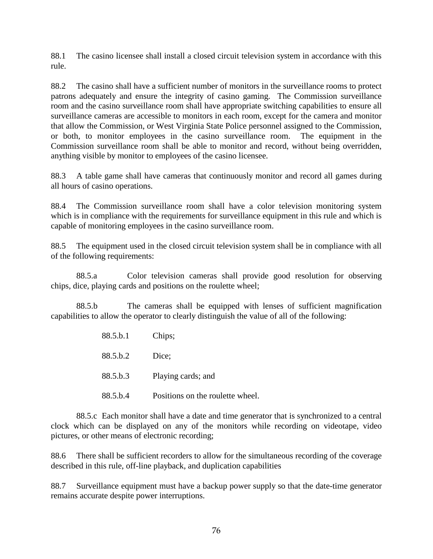88.1 The casino licensee shall install a closed circuit television system in accordance with this rule.

88.2 The casino shall have a sufficient number of monitors in the surveillance rooms to protect patrons adequately and ensure the integrity of casino gaming. The Commission surveillance room and the casino surveillance room shall have appropriate switching capabilities to ensure all surveillance cameras are accessible to monitors in each room, except for the camera and monitor that allow the Commission, or West Virginia State Police personnel assigned to the Commission, or both, to monitor employees in the casino surveillance room. The equipment in the Commission surveillance room shall be able to monitor and record, without being overridden, anything visible by monitor to employees of the casino licensee.

88.3 A table game shall have cameras that continuously monitor and record all games during all hours of casino operations.

88.4 The Commission surveillance room shall have a color television monitoring system which is in compliance with the requirements for surveillance equipment in this rule and which is capable of monitoring employees in the casino surveillance room.

88.5 The equipment used in the closed circuit television system shall be in compliance with all of the following requirements:

88.5.a Color television cameras shall provide good resolution for observing chips, dice, playing cards and positions on the roulette wheel;

88.5.b The cameras shall be equipped with lenses of sufficient magnification capabilities to allow the operator to clearly distinguish the value of all of the following:

> 88.5.b.1 Chips; 88.5.b.2 Dice; 88.5.b.3 Playing cards; and

88.5.b.4 Positions on the roulette wheel.

88.5.c Each monitor shall have a date and time generator that is synchronized to a central clock which can be displayed on any of the monitors while recording on videotape, video pictures, or other means of electronic recording;

88.6 There shall be sufficient recorders to allow for the simultaneous recording of the coverage described in this rule, off-line playback, and duplication capabilities

88.7 Surveillance equipment must have a backup power supply so that the date-time generator remains accurate despite power interruptions.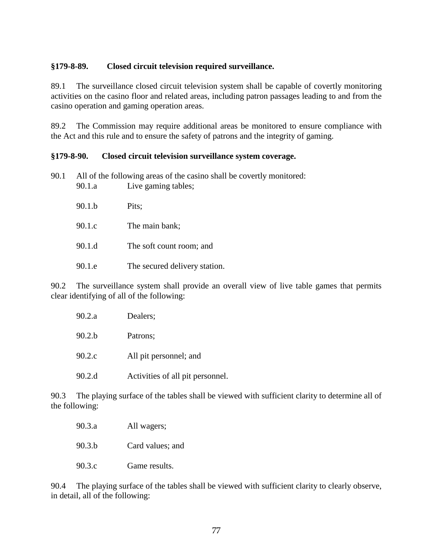#### **§179-8-89. Closed circuit television required surveillance.**

89.1 The surveillance closed circuit television system shall be capable of covertly monitoring activities on the casino floor and related areas, including patron passages leading to and from the casino operation and gaming operation areas.

89.2 The Commission may require additional areas be monitored to ensure compliance with the Act and this rule and to ensure the safety of patrons and the integrity of gaming.

#### **§179-8-90. Closed circuit television surveillance system coverage.**

90.1 All of the following areas of the casino shall be covertly monitored:

| 90.1.a | Live gaming tables;           |
|--------|-------------------------------|
| 90.1.b | Pits;                         |
| 90.1.c | The main bank;                |
| 90.1.d | The soft count room; and      |
| 90.1.e | The secured delivery station. |

90.2 The surveillance system shall provide an overall view of live table games that permits clear identifying of all of the following:

| 90.2.a | Dealers;                         |
|--------|----------------------------------|
| 90.2.b | Patrons;                         |
| 90.2.c | All pit personnel; and           |
| 90.2.d | Activities of all pit personnel. |

90.3 The playing surface of the tables shall be viewed with sufficient clarity to determine all of the following:

| 90.3.a | All wagers;      |
|--------|------------------|
| 90.3.b | Card values; and |
| 90.3.c | Game results.    |

90.4 The playing surface of the tables shall be viewed with sufficient clarity to clearly observe, in detail, all of the following: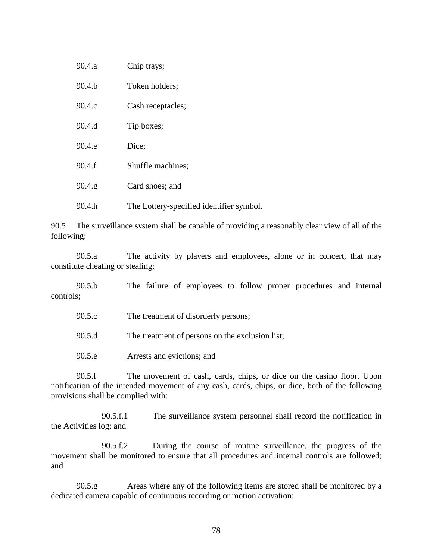| 90.4.a    | Chip trays;                              |
|-----------|------------------------------------------|
| 90.4.b    | Token holders;                           |
| 90.4.c    | Cash receptacles;                        |
| 90.4.d    | Tip boxes;                               |
| 90.4.e    | Dice;                                    |
| 90.4.f    | Shuffle machines;                        |
| $90.4$ .g | Card shoes; and                          |
| 90.4.h    | The Lottery-specified identifier symbol. |

90.5 The surveillance system shall be capable of providing a reasonably clear view of all of the following:

90.5.a The activity by players and employees, alone or in concert, that may constitute cheating or stealing;

90.5.b The failure of employees to follow proper procedures and internal controls;

| 90.5.c | The treatment of disorderly persons; |
|--------|--------------------------------------|
|--------|--------------------------------------|

90.5.d The treatment of persons on the exclusion list;

90.5.e Arrests and evictions; and

90.5.f The movement of cash, cards, chips, or dice on the casino floor. Upon notification of the intended movement of any cash, cards, chips, or dice, both of the following provisions shall be complied with:

90.5.f.1 The surveillance system personnel shall record the notification in the Activities log; and

90.5.f.2 During the course of routine surveillance, the progress of the movement shall be monitored to ensure that all procedures and internal controls are followed; and

90.5.g Areas where any of the following items are stored shall be monitored by a dedicated camera capable of continuous recording or motion activation: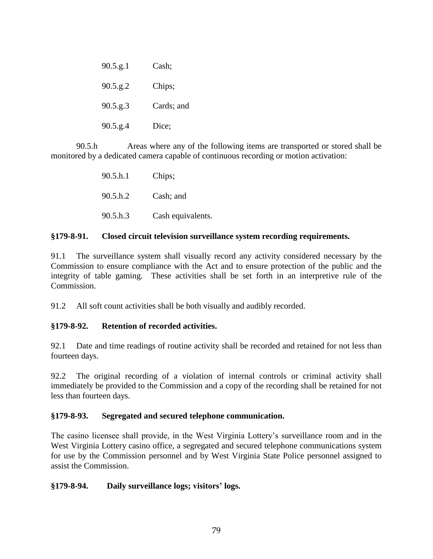| $90.5$ .g.1 | Cash;      |
|-------------|------------|
| $90.5$ .g.2 | Chips;     |
| $90.5$ .g.3 | Cards; and |
| $90.5$ .g.4 | Dice;      |

90.5.h Areas where any of the following items are transported or stored shall be monitored by a dedicated camera capable of continuous recording or motion activation:

| 90.5 h.1 | Chips;            |
|----------|-------------------|
| 90.5 h.2 | Cash; and         |
| 90.5.h.3 | Cash equivalents. |

#### **§179-8-91. Closed circuit television surveillance system recording requirements.**

91.1 The surveillance system shall visually record any activity considered necessary by the Commission to ensure compliance with the Act and to ensure protection of the public and the integrity of table gaming. These activities shall be set forth in an interpretive rule of the Commission.

91.2 All soft count activities shall be both visually and audibly recorded.

# **§179-8-92. Retention of recorded activities.**

92.1 Date and time readings of routine activity shall be recorded and retained for not less than fourteen days.

92.2 The original recording of a violation of internal controls or criminal activity shall immediately be provided to the Commission and a copy of the recording shall be retained for not less than fourteen days.

# **§179-8-93. Segregated and secured telephone communication.**

The casino licensee shall provide, in the West Virginia Lottery's surveillance room and in the West Virginia Lottery casino office, a segregated and secured telephone communications system for use by the Commission personnel and by West Virginia State Police personnel assigned to assist the Commission.

# **§179-8-94. Daily surveillance logs; visitors' logs.**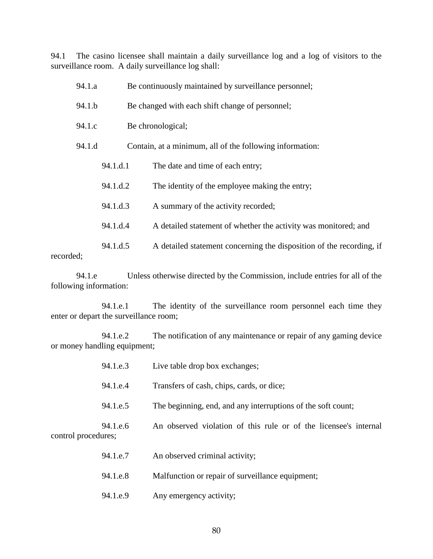94.1 The casino licensee shall maintain a daily surveillance log and a log of visitors to the surveillance room. A daily surveillance log shall:

| 94.1.a |          | Be continuously maintained by surveillance personnel;                |
|--------|----------|----------------------------------------------------------------------|
| 94.1.b |          | Be changed with each shift change of personnel;                      |
| 94.1.c |          | Be chronological;                                                    |
| 94.1.d |          | Contain, at a minimum, all of the following information:             |
|        | 94.1.d.1 | The date and time of each entry;                                     |
|        | 94.1.d.2 | The identity of the employee making the entry;                       |
|        | 94.1.d.3 | A summary of the activity recorded;                                  |
|        | 94.1.d.4 | A detailed statement of whether the activity was monitored; and      |
|        | 94.1.d.5 | A detailed statement concerning the disposition of the recording, if |

recorded;

94.1.e Unless otherwise directed by the Commission, include entries for all of the following information:

94.1.e.1 The identity of the surveillance room personnel each time they enter or depart the surveillance room;

94.1.e.2 The notification of any maintenance or repair of any gaming device or money handling equipment;

|                     | 94.1.e.3 | Live table drop box exchanges;                                   |
|---------------------|----------|------------------------------------------------------------------|
|                     | 94.1.e.4 | Transfers of cash, chips, cards, or dice;                        |
|                     | 94.1.e.5 | The beginning, end, and any interruptions of the soft count;     |
| control procedures; | 94.1.e.6 | An observed violation of this rule or of the licensee's internal |
|                     | 94.1.e.7 | An observed criminal activity;                                   |
|                     | 94.1.e.8 | Malfunction or repair of surveillance equipment;                 |
|                     | 94.1.e.9 | Any emergency activity;                                          |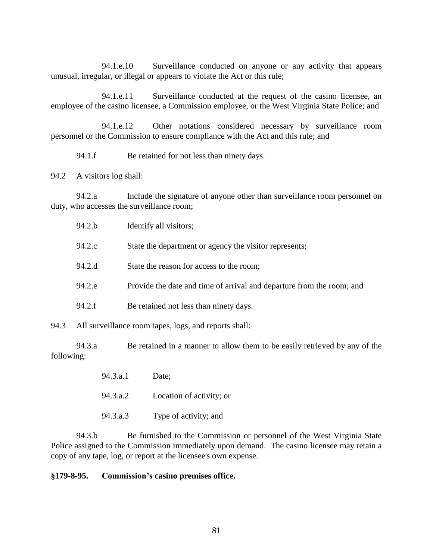94.1.e.10 Surveillance conducted on anyone or any activity that appears unusual, irregular, or illegal or appears to violate the Act or this rule;

94.1.e.11 Surveillance conducted at the request of the casino licensee, an employee of the casino licensee, a Commission employee, or the West Virginia State Police; and

94.1.e.12 Other notations considered necessary by surveillance room personnel or the Commission to ensure compliance with the Act and this rule; and

94.1.f Be retained for not less than ninety days.

94.2 A visitors log shall:

94.2.a Include the signature of anyone other than surveillance room personnel on duty, who accesses the surveillance room;

| 94.2.b | Identify all visitors;                                                |
|--------|-----------------------------------------------------------------------|
| 94.2.c | State the department or agency the visitor represents;                |
| 94.2.d | State the reason for access to the room;                              |
| 94.2.e | Provide the date and time of arrival and departure from the room; and |
| 94.2.f | Be retained not less than ninety days.                                |
|        |                                                                       |

94.3 All surveillance room tapes, logs, and reports shall:

94.3.a Be retained in a manner to allow them to be easily retrieved by any of the following:

- 94.3.a.1 Date;
- 94.3.a.2 Location of activity; or
- 94.3.a.3 Type of activity; and

94.3.b Be furnished to the Commission or personnel of the West Virginia State Police assigned to the Commission immediately upon demand. The casino licensee may retain a copy of any tape, log, or report at the licensee's own expense.

#### **§179-8-95. Commission's casino premises office.**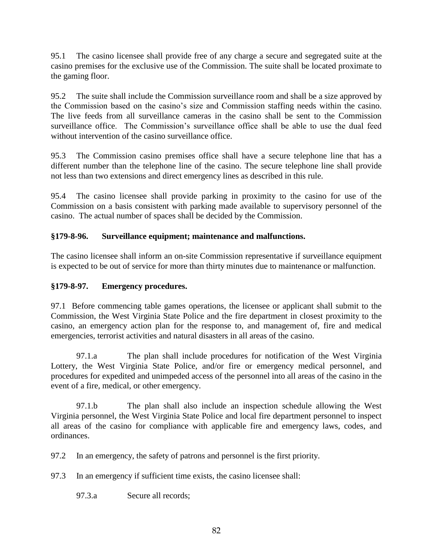95.1 The casino licensee shall provide free of any charge a secure and segregated suite at the casino premises for the exclusive use of the Commission. The suite shall be located proximate to the gaming floor.

95.2 The suite shall include the Commission surveillance room and shall be a size approved by the Commission based on the casino's size and Commission staffing needs within the casino. The live feeds from all surveillance cameras in the casino shall be sent to the Commission surveillance office. The Commission's surveillance office shall be able to use the dual feed without intervention of the casino surveillance office.

95.3 The Commission casino premises office shall have a secure telephone line that has a different number than the telephone line of the casino. The secure telephone line shall provide not less than two extensions and direct emergency lines as described in this rule.

95.4 The casino licensee shall provide parking in proximity to the casino for use of the Commission on a basis consistent with parking made available to supervisory personnel of the casino. The actual number of spaces shall be decided by the Commission.

# **§179-8-96. Surveillance equipment; maintenance and malfunctions.**

The casino licensee shall inform an on-site Commission representative if surveillance equipment is expected to be out of service for more than thirty minutes due to maintenance or malfunction.

# **§179-8-97. Emergency procedures.**

97.1 Before commencing table games operations, the licensee or applicant shall submit to the Commission, the West Virginia State Police and the fire department in closest proximity to the casino, an emergency action plan for the response to, and management of, fire and medical emergencies, terrorist activities and natural disasters in all areas of the casino.

97.1.a The plan shall include procedures for notification of the West Virginia Lottery, the West Virginia State Police, and/or fire or emergency medical personnel, and procedures for expedited and unimpeded access of the personnel into all areas of the casino in the event of a fire, medical, or other emergency.

97.1.b The plan shall also include an inspection schedule allowing the West Virginia personnel, the West Virginia State Police and local fire department personnel to inspect all areas of the casino for compliance with applicable fire and emergency laws, codes, and ordinances.

97.2 In an emergency, the safety of patrons and personnel is the first priority.

97.3 In an emergency if sufficient time exists, the casino licensee shall:

97.3.a Secure all records;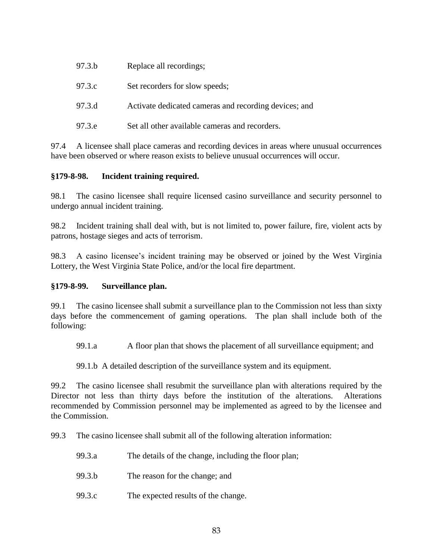| 97.3.b | Replace all recordings;                               |
|--------|-------------------------------------------------------|
| 97.3.c | Set recorders for slow speeds;                        |
| 97.3.d | Activate dedicated cameras and recording devices; and |
| 97.3.e | Set all other available cameras and recorders.        |

97.4 A licensee shall place cameras and recording devices in areas where unusual occurrences have been observed or where reason exists to believe unusual occurrences will occur.

# **§179-8-98. Incident training required.**

98.1 The casino licensee shall require licensed casino surveillance and security personnel to undergo annual incident training.

98.2 Incident training shall deal with, but is not limited to, power failure, fire, violent acts by patrons, hostage sieges and acts of terrorism.

98.3 A casino licensee's incident training may be observed or joined by the West Virginia Lottery, the West Virginia State Police, and/or the local fire department.

# **§179-8-99. Surveillance plan.**

99.1 The casino licensee shall submit a surveillance plan to the Commission not less than sixty days before the commencement of gaming operations. The plan shall include both of the following:

99.1.a A floor plan that shows the placement of all surveillance equipment; and

99.1.b A detailed description of the surveillance system and its equipment.

99.2 The casino licensee shall resubmit the surveillance plan with alterations required by the Director not less than thirty days before the institution of the alterations. Alterations recommended by Commission personnel may be implemented as agreed to by the licensee and the Commission.

99.3 The casino licensee shall submit all of the following alteration information:

- 99.3.a The details of the change, including the floor plan;
- 99.3.b The reason for the change; and
- 99.3.c The expected results of the change.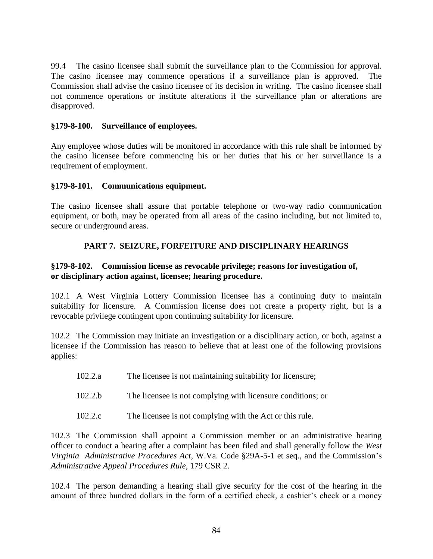99.4 The casino licensee shall submit the surveillance plan to the Commission for approval. The casino licensee may commence operations if a surveillance plan is approved. Commission shall advise the casino licensee of its decision in writing. The casino licensee shall not commence operations or institute alterations if the surveillance plan or alterations are disapproved.

#### **§179-8-100. Surveillance of employees.**

Any employee whose duties will be monitored in accordance with this rule shall be informed by the casino licensee before commencing his or her duties that his or her surveillance is a requirement of employment.

#### **§179-8-101. Communications equipment.**

The casino licensee shall assure that portable telephone or two-way radio communication equipment, or both, may be operated from all areas of the casino including, but not limited to, secure or underground areas.

# **PART 7. SEIZURE, FORFEITURE AND DISCIPLINARY HEARINGS**

# **§179-8-102. Commission license as revocable privilege; reasons for investigation of, or disciplinary action against, licensee; hearing procedure.**

102.1 A West Virginia Lottery Commission licensee has a continuing duty to maintain suitability for licensure. A Commission license does not create a property right, but is a revocable privilege contingent upon continuing suitability for licensure.

102.2 The Commission may initiate an investigation or a disciplinary action, or both, against a licensee if the Commission has reason to believe that at least one of the following provisions applies:

- 102.2.a The licensee is not maintaining suitability for licensure;
- 102.2.b The licensee is not complying with licensure conditions; or
- 102.2.c The licensee is not complying with the Act or this rule.

102.3 The Commission shall appoint a Commission member or an administrative hearing officer to conduct a hearing after a complaint has been filed and shall generally follow the *West Virginia Administrative Procedures Act*, W.Va. Code §29A-5-1 et seq., and the Commission's *Administrative Appeal Procedures Rule*, 179 CSR 2.

102.4 The person demanding a hearing shall give security for the cost of the hearing in the amount of three hundred dollars in the form of a certified check, a cashier's check or a money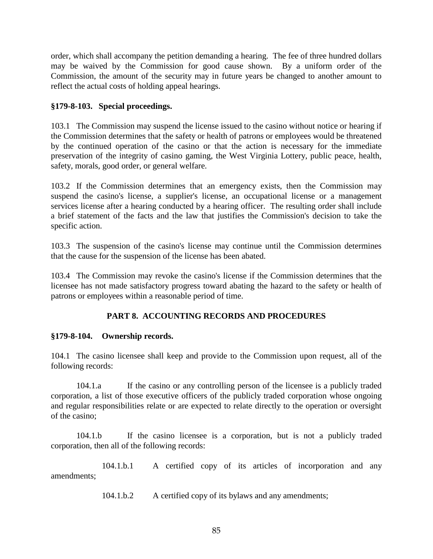order, which shall accompany the petition demanding a hearing. The fee of three hundred dollars may be waived by the Commission for good cause shown. By a uniform order of the Commission, the amount of the security may in future years be changed to another amount to reflect the actual costs of holding appeal hearings.

# **§179-8-103. Special proceedings.**

103.1 The Commission may suspend the license issued to the casino without notice or hearing if the Commission determines that the safety or health of patrons or employees would be threatened by the continued operation of the casino or that the action is necessary for the immediate preservation of the integrity of casino gaming, the West Virginia Lottery, public peace, health, safety, morals, good order, or general welfare.

103.2 If the Commission determines that an emergency exists, then the Commission may suspend the casino's license, a supplier's license, an occupational license or a management services license after a hearing conducted by a hearing officer. The resulting order shall include a brief statement of the facts and the law that justifies the Commission's decision to take the specific action.

103.3 The suspension of the casino's license may continue until the Commission determines that the cause for the suspension of the license has been abated.

103.4 The Commission may revoke the casino's license if the Commission determines that the licensee has not made satisfactory progress toward abating the hazard to the safety or health of patrons or employees within a reasonable period of time.

# **PART 8. ACCOUNTING RECORDS AND PROCEDURES**

# **§179-8-104. Ownership records.**

104.1 The casino licensee shall keep and provide to the Commission upon request, all of the following records:

104.1.a If the casino or any controlling person of the licensee is a publicly traded corporation, a list of those executive officers of the publicly traded corporation whose ongoing and regular responsibilities relate or are expected to relate directly to the operation or oversight of the casino;

104.1.b If the casino licensee is a corporation, but is not a publicly traded corporation, then all of the following records:

104.1.b.1 A certified copy of its articles of incorporation and any amendments;

104.1.b.2 A certified copy of its bylaws and any amendments;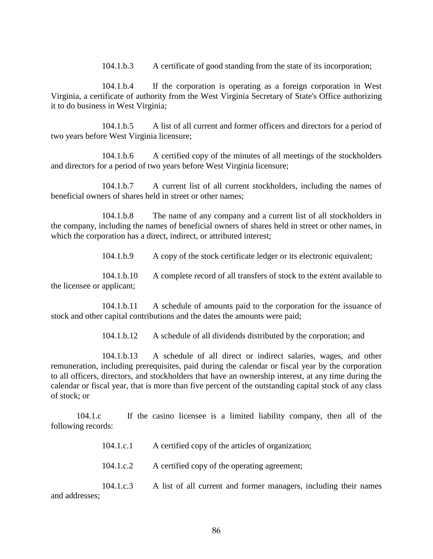104.1.b.3 A certificate of good standing from the state of its incorporation;

104.1.b.4 If the corporation is operating as a foreign corporation in West Virginia, a certificate of authority from the West Virginia Secretary of State's Office authorizing it to do business in West Virginia;

104.1.b.5 A list of all current and former officers and directors for a period of two years before West Virginia licensure;

104.1.b.6 A certified copy of the minutes of all meetings of the stockholders and directors for a period of two years before West Virginia licensure;

104.1.b.7 A current list of all current stockholders, including the names of beneficial owners of shares held in street or other names;

104.1.b.8 The name of any company and a current list of all stockholders in the company, including the names of beneficial owners of shares held in street or other names, in which the corporation has a direct, indirect, or attributed interest;

104.1.b.9 A copy of the stock certificate ledger or its electronic equivalent;

104.1.b.10 A complete record of all transfers of stock to the extent available to the licensee or applicant;

104.1.b.11 A schedule of amounts paid to the corporation for the issuance of stock and other capital contributions and the dates the amounts were paid;

104.1.b.12 A schedule of all dividends distributed by the corporation; and

104.1.b.13 A schedule of all direct or indirect salaries, wages, and other remuneration, including prerequisites, paid during the calendar or fiscal year by the corporation to all officers, directors, and stockholders that have an ownership interest, at any time during the calendar or fiscal year, that is more than five percent of the outstanding capital stock of any class of stock; or

104.1.c If the casino licensee is a limited liability company, then all of the following records:

104.1.c.1 A certified copy of the articles of organization;

104.1.c.2 A certified copy of the operating agreement;

104.1.c.3 A list of all current and former managers, including their names and addresses;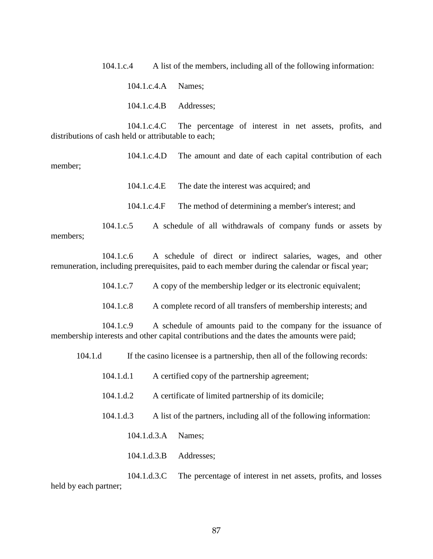104.1.c.4 A list of the members, including all of the following information:

104.1.c.4.A Names;

104.1.c.4.B Addresses;

104.1.c.4.C The percentage of interest in net assets, profits, and distributions of cash held or attributable to each;

104.1.c.4.D The amount and date of each capital contribution of each member;

104.1.c.4.E The date the interest was acquired; and

104.1.c.4.F The method of determining a member's interest; and

104.1.c.5 A schedule of all withdrawals of company funds or assets by members;

104.1.c.6 A schedule of direct or indirect salaries, wages, and other remuneration, including prerequisites, paid to each member during the calendar or fiscal year;

104.1.c.7 A copy of the membership ledger or its electronic equivalent;

104.1.c.8 A complete record of all transfers of membership interests; and

104.1.c.9 A schedule of amounts paid to the company for the issuance of membership interests and other capital contributions and the dates the amounts were paid;

104.1.d If the casino licensee is a partnership, then all of the following records:

104.1.d.1 A certified copy of the partnership agreement;

104.1.d.2 A certificate of limited partnership of its domicile;

104.1.d.3 A list of the partners, including all of the following information:

104.1.d.3.A Names;

104.1.d.3.B Addresses;

104.1.d.3.C The percentage of interest in net assets, profits, and losses held by each partner;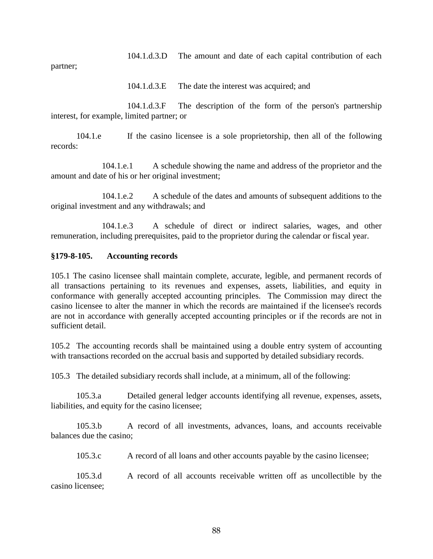104.1.d.3.D The amount and date of each capital contribution of each

partner;

104.1.d.3.E The date the interest was acquired; and

104.1.d.3.F The description of the form of the person's partnership interest, for example, limited partner; or

104.1.e If the casino licensee is a sole proprietorship, then all of the following records:

104.1.e.1 A schedule showing the name and address of the proprietor and the amount and date of his or her original investment;

104.1.e.2 A schedule of the dates and amounts of subsequent additions to the original investment and any withdrawals; and

104.1.e.3 A schedule of direct or indirect salaries, wages, and other remuneration, including prerequisites, paid to the proprietor during the calendar or fiscal year.

#### **§179-8-105. Accounting records**

105.1 The casino licensee shall maintain complete, accurate, legible, and permanent records of all transactions pertaining to its revenues and expenses, assets, liabilities, and equity in conformance with generally accepted accounting principles. The Commission may direct the casino licensee to alter the manner in which the records are maintained if the licensee's records are not in accordance with generally accepted accounting principles or if the records are not in sufficient detail.

105.2 The accounting records shall be maintained using a double entry system of accounting with transactions recorded on the accrual basis and supported by detailed subsidiary records.

105.3 The detailed subsidiary records shall include, at a minimum, all of the following:

105.3.a Detailed general ledger accounts identifying all revenue, expenses, assets, liabilities, and equity for the casino licensee;

105.3.b A record of all investments, advances, loans, and accounts receivable balances due the casino;

105.3.c A record of all loans and other accounts payable by the casino licensee;

105.3.d A record of all accounts receivable written off as uncollectible by the casino licensee;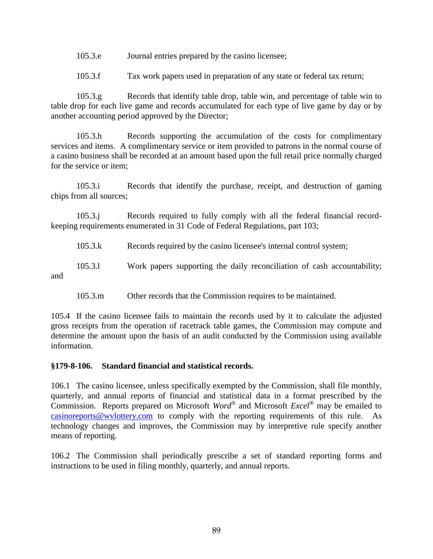105.3.e Journal entries prepared by the casino licensee;

105.3.f Tax work papers used in preparation of any state or federal tax return;

105.3.g Records that identify table drop, table win, and percentage of table win to table drop for each live game and records accumulated for each type of live game by day or by another accounting period approved by the Director;

105.3.h Records supporting the accumulation of the costs for complimentary services and items. A complimentary service or item provided to patrons in the normal course of a casino business shall be recorded at an amount based upon the full retail price normally charged for the service or item;

105.3.i Records that identify the purchase, receipt, and destruction of gaming chips from all sources;

105.3.j Records required to fully comply with all the federal financial recordkeeping requirements enumerated in 31 Code of Federal Regulations, part 103;

105.3.k Records required by the casino licensee's internal control system;

105.3.l Work papers supporting the daily reconciliation of cash accountability; and

105.3.m Other records that the Commission requires to be maintained.

105.4 If the casino licensee fails to maintain the records used by it to calculate the adjusted gross receipts from the operation of racetrack table games, the Commission may compute and determine the amount upon the basis of an audit conducted by the Commission using available information.

#### **§179-8-106. Standard financial and statistical records.**

106.1 The casino licensee, unless specifically exempted by the Commission, shall file monthly, quarterly, and annual reports of financial and statistical data in a format prescribed by the Commission. Reports prepared on Microsoft *Word*® and Microsoft *Excel®* may be emailed to [casinoreports@wvlottery.com](mailto:casinoreports@wvlottery.com) to comply with the reporting requirements of this rule. As technology changes and improves, the Commission may by interpretive rule specify another means of reporting.

106.2 The Commission shall periodically prescribe a set of standard reporting forms and instructions to be used in filing monthly, quarterly, and annual reports.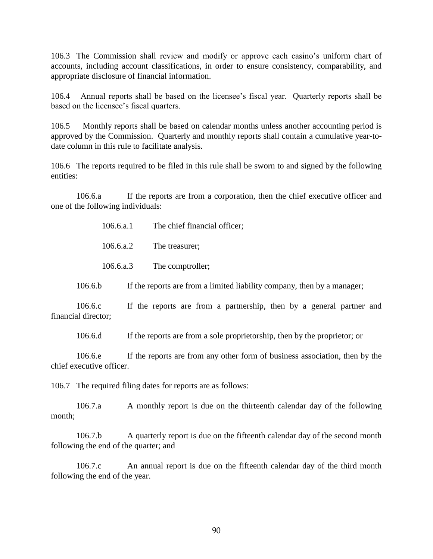106.3 The Commission shall review and modify or approve each casino's uniform chart of accounts, including account classifications, in order to ensure consistency, comparability, and appropriate disclosure of financial information.

106.4 Annual reports shall be based on the licensee's fiscal year. Quarterly reports shall be based on the licensee's fiscal quarters.

106.5 Monthly reports shall be based on calendar months unless another accounting period is approved by the Commission. Quarterly and monthly reports shall contain a cumulative year-todate column in this rule to facilitate analysis.

106.6 The reports required to be filed in this rule shall be sworn to and signed by the following entities:

106.6.a If the reports are from a corporation, then the chief executive officer and one of the following individuals:

106.6.a.1 The chief financial officer;

106.6.a.2 The treasurer;

106.6.a.3 The comptroller;

106.6.b If the reports are from a limited liability company, then by a manager;

106.6.c If the reports are from a partnership, then by a general partner and financial director;

106.6.d If the reports are from a sole proprietorship, then by the proprietor; or

106.6.e If the reports are from any other form of business association, then by the chief executive officer.

106.7 The required filing dates for reports are as follows:

106.7.a A monthly report is due on the thirteenth calendar day of the following month;

106.7.b A quarterly report is due on the fifteenth calendar day of the second month following the end of the quarter; and

106.7.c An annual report is due on the fifteenth calendar day of the third month following the end of the year.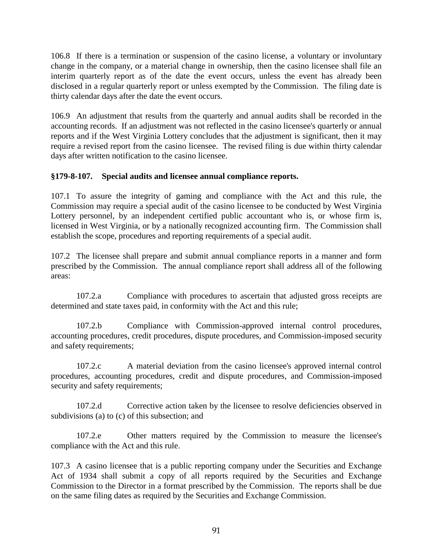106.8 If there is a termination or suspension of the casino license, a voluntary or involuntary change in the company, or a material change in ownership, then the casino licensee shall file an interim quarterly report as of the date the event occurs, unless the event has already been disclosed in a regular quarterly report or unless exempted by the Commission. The filing date is thirty calendar days after the date the event occurs.

106.9 An adjustment that results from the quarterly and annual audits shall be recorded in the accounting records. If an adjustment was not reflected in the casino licensee's quarterly or annual reports and if the West Virginia Lottery concludes that the adjustment is significant, then it may require a revised report from the casino licensee. The revised filing is due within thirty calendar days after written notification to the casino licensee.

# **§179-8-107. Special audits and licensee annual compliance reports.**

107.1 To assure the integrity of gaming and compliance with the Act and this rule, the Commission may require a special audit of the casino licensee to be conducted by West Virginia Lottery personnel, by an independent certified public accountant who is, or whose firm is, licensed in West Virginia, or by a nationally recognized accounting firm. The Commission shall establish the scope, procedures and reporting requirements of a special audit.

107.2 The licensee shall prepare and submit annual compliance reports in a manner and form prescribed by the Commission. The annual compliance report shall address all of the following areas:

107.2.a Compliance with procedures to ascertain that adjusted gross receipts are determined and state taxes paid, in conformity with the Act and this rule;

107.2.b Compliance with Commission-approved internal control procedures, accounting procedures, credit procedures, dispute procedures, and Commission-imposed security and safety requirements;

107.2.c A material deviation from the casino licensee's approved internal control procedures, accounting procedures, credit and dispute procedures, and Commission-imposed security and safety requirements;

107.2.d Corrective action taken by the licensee to resolve deficiencies observed in subdivisions (a) to (c) of this subsection; and

107.2.e Other matters required by the Commission to measure the licensee's compliance with the Act and this rule.

107.3 A casino licensee that is a public reporting company under the Securities and Exchange Act of 1934 shall submit a copy of all reports required by the Securities and Exchange Commission to the Director in a format prescribed by the Commission. The reports shall be due on the same filing dates as required by the Securities and Exchange Commission.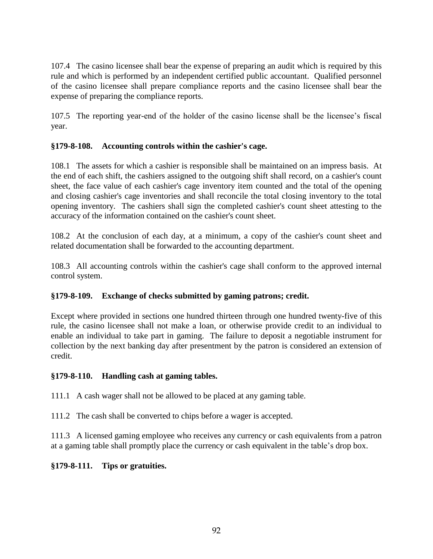107.4 The casino licensee shall bear the expense of preparing an audit which is required by this rule and which is performed by an independent certified public accountant. Qualified personnel of the casino licensee shall prepare compliance reports and the casino licensee shall bear the expense of preparing the compliance reports.

107.5 The reporting year-end of the holder of the casino license shall be the licensee's fiscal year.

# **§179-8-108. Accounting controls within the cashier's cage.**

108.1 The assets for which a cashier is responsible shall be maintained on an impress basis. At the end of each shift, the cashiers assigned to the outgoing shift shall record, on a cashier's count sheet, the face value of each cashier's cage inventory item counted and the total of the opening and closing cashier's cage inventories and shall reconcile the total closing inventory to the total opening inventory. The cashiers shall sign the completed cashier's count sheet attesting to the accuracy of the information contained on the cashier's count sheet.

108.2 At the conclusion of each day, at a minimum, a copy of the cashier's count sheet and related documentation shall be forwarded to the accounting department.

108.3 All accounting controls within the cashier's cage shall conform to the approved internal control system.

# **§179-8-109. Exchange of checks submitted by gaming patrons; credit.**

Except where provided in sections one hundred thirteen through one hundred twenty-five of this rule, the casino licensee shall not make a loan, or otherwise provide credit to an individual to enable an individual to take part in gaming. The failure to deposit a negotiable instrument for collection by the next banking day after presentment by the patron is considered an extension of credit.

# **§179-8-110. Handling cash at gaming tables.**

111.1 A cash wager shall not be allowed to be placed at any gaming table.

111.2 The cash shall be converted to chips before a wager is accepted.

111.3 A licensed gaming employee who receives any currency or cash equivalents from a patron at a gaming table shall promptly place the currency or cash equivalent in the table's drop box.

# **§179-8-111. Tips or gratuities.**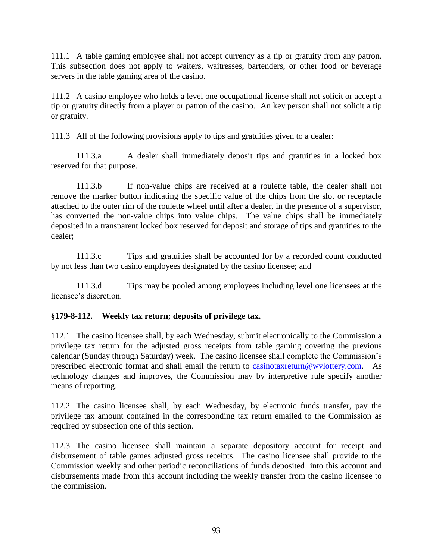111.1 A table gaming employee shall not accept currency as a tip or gratuity from any patron. This subsection does not apply to waiters, waitresses, bartenders, or other food or beverage servers in the table gaming area of the casino.

111.2 A casino employee who holds a level one occupational license shall not solicit or accept a tip or gratuity directly from a player or patron of the casino. An key person shall not solicit a tip or gratuity.

111.3 All of the following provisions apply to tips and gratuities given to a dealer:

111.3.a A dealer shall immediately deposit tips and gratuities in a locked box reserved for that purpose.

111.3.b If non-value chips are received at a roulette table, the dealer shall not remove the marker button indicating the specific value of the chips from the slot or receptacle attached to the outer rim of the roulette wheel until after a dealer, in the presence of a supervisor, has converted the non-value chips into value chips. The value chips shall be immediately deposited in a transparent locked box reserved for deposit and storage of tips and gratuities to the dealer;

111.3.c Tips and gratuities shall be accounted for by a recorded count conducted by not less than two casino employees designated by the casino licensee; and

111.3.d Tips may be pooled among employees including level one licensees at the licensee's discretion.

# **§179-8-112. Weekly tax return; deposits of privilege tax.**

112.1 The casino licensee shall, by each Wednesday, submit electronically to the Commission a privilege tax return for the adjusted gross receipts from table gaming covering the previous calendar (Sunday through Saturday) week. The casino licensee shall complete the Commission's prescribed electronic format and shall email the return to [casinotaxreturn@wvlottery.com.](mailto:casinotaxreturn@wvlottery.com) As technology changes and improves, the Commission may by interpretive rule specify another means of reporting.

112.2 The casino licensee shall, by each Wednesday, by electronic funds transfer, pay the privilege tax amount contained in the corresponding tax return emailed to the Commission as required by subsection one of this section.

112.3 The casino licensee shall maintain a separate depository account for receipt and disbursement of table games adjusted gross receipts. The casino licensee shall provide to the Commission weekly and other periodic reconciliations of funds deposited into this account and disbursements made from this account including the weekly transfer from the casino licensee to the commission.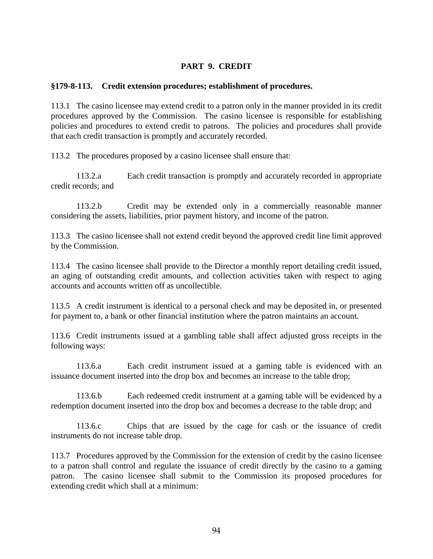#### **PART 9. CREDIT**

#### **§179-8-113. Credit extension procedures; establishment of procedures.**

113.1 The casino licensee may extend credit to a patron only in the manner provided in its credit procedures approved by the Commission. The casino licensee is responsible for establishing policies and procedures to extend credit to patrons. The policies and procedures shall provide that each credit transaction is promptly and accurately recorded.

113.2 The procedures proposed by a casino licensee shall ensure that:

113.2.a Each credit transaction is promptly and accurately recorded in appropriate credit records; and

113.2.b Credit may be extended only in a commercially reasonable manner considering the assets, liabilities, prior payment history, and income of the patron.

113.3 The casino licensee shall not extend credit beyond the approved credit line limit approved by the Commission.

113.4 The casino licensee shall provide to the Director a monthly report detailing credit issued, an aging of outstanding credit amounts, and collection activities taken with respect to aging accounts and accounts written off as uncollectible.

113.5 A credit instrument is identical to a personal check and may be deposited in, or presented for payment to, a bank or other financial institution where the patron maintains an account.

113.6 Credit instruments issued at a gambling table shall affect adjusted gross receipts in the following ways:

113.6.a Each credit instrument issued at a gaming table is evidenced with an issuance document inserted into the drop box and becomes an increase to the table drop;

113.6.b Each redeemed credit instrument at a gaming table will be evidenced by a redemption document inserted into the drop box and becomes a decrease to the table drop; and

113.6.c Chips that are issued by the cage for cash or the issuance of credit instruments do not increase table drop.

113.7 Procedures approved by the Commission for the extension of credit by the casino licensee to a patron shall control and regulate the issuance of credit directly by the casino to a gaming patron. The casino licensee shall submit to the Commission its proposed procedures for extending credit which shall at a minimum: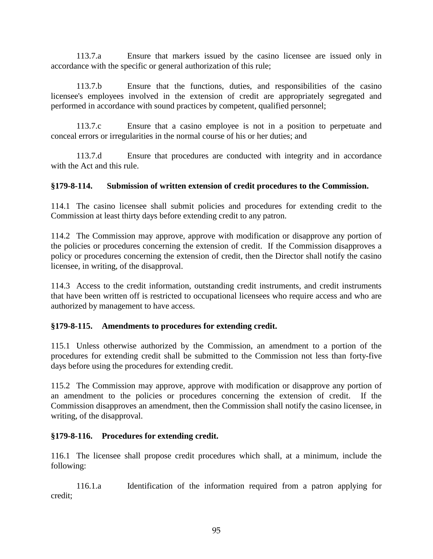113.7.a Ensure that markers issued by the casino licensee are issued only in accordance with the specific or general authorization of this rule;

113.7.b Ensure that the functions, duties, and responsibilities of the casino licensee's employees involved in the extension of credit are appropriately segregated and performed in accordance with sound practices by competent, qualified personnel;

113.7.c Ensure that a casino employee is not in a position to perpetuate and conceal errors or irregularities in the normal course of his or her duties; and

113.7.d Ensure that procedures are conducted with integrity and in accordance with the Act and this rule.

# **§179-8-114. Submission of written extension of credit procedures to the Commission.**

114.1 The casino licensee shall submit policies and procedures for extending credit to the Commission at least thirty days before extending credit to any patron.

114.2 The Commission may approve, approve with modification or disapprove any portion of the policies or procedures concerning the extension of credit. If the Commission disapproves a policy or procedures concerning the extension of credit, then the Director shall notify the casino licensee, in writing, of the disapproval.

114.3 Access to the credit information, outstanding credit instruments, and credit instruments that have been written off is restricted to occupational licensees who require access and who are authorized by management to have access.

# **§179-8-115. Amendments to procedures for extending credit.**

115.1 Unless otherwise authorized by the Commission, an amendment to a portion of the procedures for extending credit shall be submitted to the Commission not less than forty-five days before using the procedures for extending credit.

115.2 The Commission may approve, approve with modification or disapprove any portion of an amendment to the policies or procedures concerning the extension of credit. If the Commission disapproves an amendment, then the Commission shall notify the casino licensee, in writing, of the disapproval.

# **§179-8-116. Procedures for extending credit.**

116.1 The licensee shall propose credit procedures which shall, at a minimum, include the following:

116.1.a Identification of the information required from a patron applying for credit;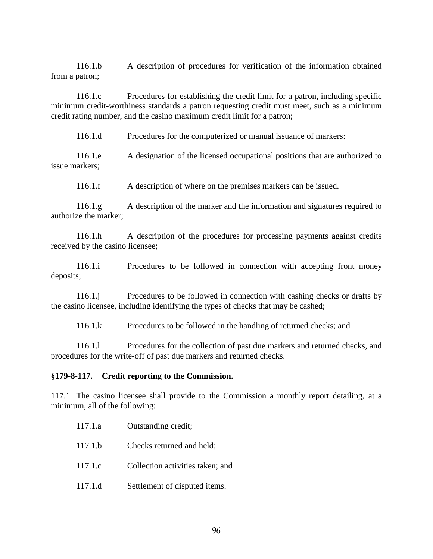116.1.b A description of procedures for verification of the information obtained from a patron;

116.1.c Procedures for establishing the credit limit for a patron, including specific minimum credit-worthiness standards a patron requesting credit must meet, such as a minimum credit rating number, and the casino maximum credit limit for a patron;

116.1.d Procedures for the computerized or manual issuance of markers:

116.1.e A designation of the licensed occupational positions that are authorized to issue markers;

116.1.f A description of where on the premises markers can be issued.

116.1.g A description of the marker and the information and signatures required to authorize the marker;

116.1.h A description of the procedures for processing payments against credits received by the casino licensee;

116.1.i Procedures to be followed in connection with accepting front money deposits;

116.1.j Procedures to be followed in connection with cashing checks or drafts by the casino licensee, including identifying the types of checks that may be cashed;

116.1.k Procedures to be followed in the handling of returned checks; and

 116.1.l Procedures for the collection of past due markers and returned checks, and procedures for the write-off of past due markers and returned checks.

#### **§179-8-117. Credit reporting to the Commission.**

117.1 The casino licensee shall provide to the Commission a monthly report detailing, at a minimum, all of the following:

| 117.1.a | Outstanding credit;       |
|---------|---------------------------|
| 117.1.b | Checks returned and held; |

- 117.1.c Collection activities taken; and
- 117.1.d Settlement of disputed items.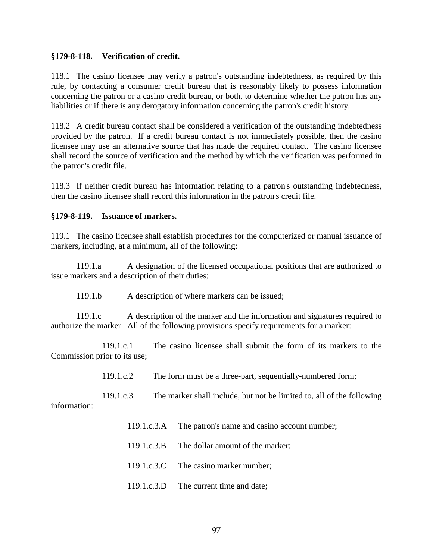#### **§179-8-118. Verification of credit.**

118.1 The casino licensee may verify a patron's outstanding indebtedness, as required by this rule, by contacting a consumer credit bureau that is reasonably likely to possess information concerning the patron or a casino credit bureau, or both, to determine whether the patron has any liabilities or if there is any derogatory information concerning the patron's credit history.

118.2 A credit bureau contact shall be considered a verification of the outstanding indebtedness provided by the patron. If a credit bureau contact is not immediately possible, then the casino licensee may use an alternative source that has made the required contact. The casino licensee shall record the source of verification and the method by which the verification was performed in the patron's credit file.

118.3 If neither credit bureau has information relating to a patron's outstanding indebtedness, then the casino licensee shall record this information in the patron's credit file.

#### **§179-8-119. Issuance of markers.**

119.1 The casino licensee shall establish procedures for the computerized or manual issuance of markers, including, at a minimum, all of the following:

119.1.a A designation of the licensed occupational positions that are authorized to issue markers and a description of their duties;

119.1.b A description of where markers can be issued;

119.1.c A description of the marker and the information and signatures required to authorize the marker. All of the following provisions specify requirements for a marker:

119.1.c.1 The casino licensee shall submit the form of its markers to the Commission prior to its use;

119.1.c.2 The form must be a three-part, sequentially-numbered form;

119.1.c.3 The marker shall include, but not be limited to, all of the following information:

- 119.1.c.3.A The patron's name and casino account number;
- 119.1.c.3.B The dollar amount of the marker;
- 119.1.c.3.C The casino marker number;
- 119.1.c.3.D The current time and date;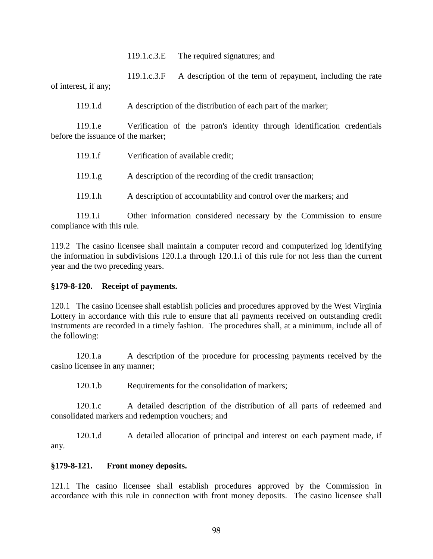119.1.c.3.E The required signatures; and

119.1.c.3.F A description of the term of repayment, including the rate of interest, if any;

119.1.d A description of the distribution of each part of the marker;

119.1.e Verification of the patron's identity through identification credentials before the issuance of the marker;

| 119.1.f | Verification of available credit;                                 |
|---------|-------------------------------------------------------------------|
| 119.1.g | A description of the recording of the credit transaction;         |
| 119.1.h | A description of accountability and control over the markers; and |

119.1.i Other information considered necessary by the Commission to ensure compliance with this rule.

119.2 The casino licensee shall maintain a computer record and computerized log identifying the information in subdivisions 120.1.a through 120.1.i of this rule for not less than the current year and the two preceding years.

#### **§179-8-120. Receipt of payments.**

120.1 The casino licensee shall establish policies and procedures approved by the West Virginia Lottery in accordance with this rule to ensure that all payments received on outstanding credit instruments are recorded in a timely fashion. The procedures shall, at a minimum, include all of the following:

120.1.a A description of the procedure for processing payments received by the casino licensee in any manner;

120.1.b Requirements for the consolidation of markers;

120.1.c A detailed description of the distribution of all parts of redeemed and consolidated markers and redemption vouchers; and

120.1.d A detailed allocation of principal and interest on each payment made, if any.

# **§179-8-121. Front money deposits.**

121.1 The casino licensee shall establish procedures approved by the Commission in accordance with this rule in connection with front money deposits. The casino licensee shall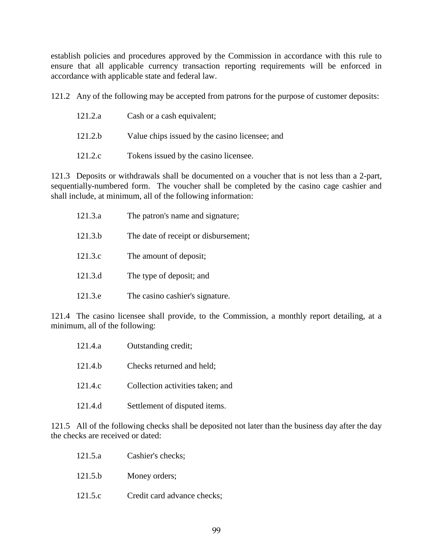establish policies and procedures approved by the Commission in accordance with this rule to ensure that all applicable currency transaction reporting requirements will be enforced in accordance with applicable state and federal law.

121.2 Any of the following may be accepted from patrons for the purpose of customer deposits:

| 121.2.a | Cash or a cash equivalent;                     |
|---------|------------------------------------------------|
| 121.2.b | Value chips issued by the casino licensee; and |
| 121.2.c | Tokens issued by the casino licensee.          |

121.3 Deposits or withdrawals shall be documented on a voucher that is not less than a 2-part, sequentially-numbered form. The voucher shall be completed by the casino cage cashier and shall include, at minimum, all of the following information:

| 121.3.a | The patron's name and signature;     |
|---------|--------------------------------------|
| 121.3.b | The date of receipt or disbursement; |
| 121.3.c | The amount of deposit;               |
| 121.3.d | The type of deposit; and             |
| 121.3.e | The casino cashier's signature.      |

121.4 The casino licensee shall provide, to the Commission, a monthly report detailing, at a minimum, all of the following:

| 121.4.a | Outstanding credit;              |
|---------|----------------------------------|
| 121.4.b | Checks returned and held;        |
| 121.4.c | Collection activities taken; and |
| 121.4.d | Settlement of disputed items.    |

121.5 All of the following checks shall be deposited not later than the business day after the day the checks are received or dated:

| 121.5.a            | Cashier's checks;           |
|--------------------|-----------------------------|
| 121.5 <sub>b</sub> | Money orders;               |
| 121.5.c            | Credit card advance checks; |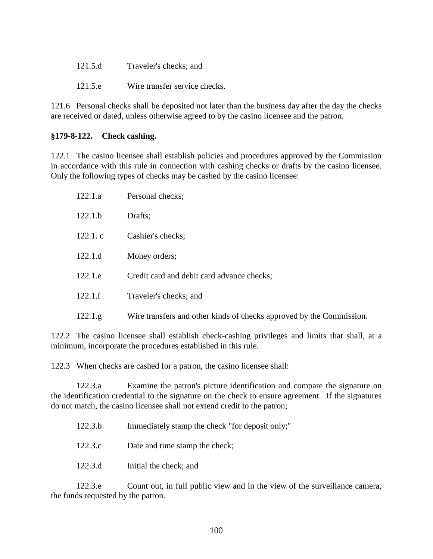| 121.5.d | Traveler's checks; and        |
|---------|-------------------------------|
| 121.5.e | Wire transfer service checks. |

121.6 Personal checks shall be deposited not later than the business day after the day the checks are received or dated, unless otherwise agreed to by the casino licensee and the patron.

# **§179-8-122. Check cashing.**

122.1 The casino licensee shall establish policies and procedures approved by the Commission in accordance with this rule in connection with cashing checks or drafts by the casino licensee. Only the following types of checks may be cashed by the casino licensee:

| 122.1.a  | Personal checks;                                                     |
|----------|----------------------------------------------------------------------|
| 122.1.b  | Drafts;                                                              |
| 122.1.c  | Cashier's checks;                                                    |
| 122.1.d  | Money orders;                                                        |
| 122.1.e  | Credit card and debit card advance checks;                           |
| 122.1.f  | Traveler's checks; and                                               |
| 122.1.g. | Wire transfers and other kinds of checks approved by the Commission. |

122.2 The casino licensee shall establish check-cashing privileges and limits that shall, at a minimum, incorporate the procedures established in this rule.

122.3 When checks are cashed for a patron, the casino licensee shall:

122.3.a Examine the patron's picture identification and compare the signature on the identification credential to the signature on the check to ensure agreement. If the signatures do not match, the casino licensee shall not extend credit to the patron;

| 122.3.b | Immediately stamp the check "for deposit only;" |  |
|---------|-------------------------------------------------|--|
|---------|-------------------------------------------------|--|

- 122.3.c Date and time stamp the check;
- 122.3.d Initial the check; and

122.3.e Count out, in full public view and in the view of the surveillance camera, the funds requested by the patron.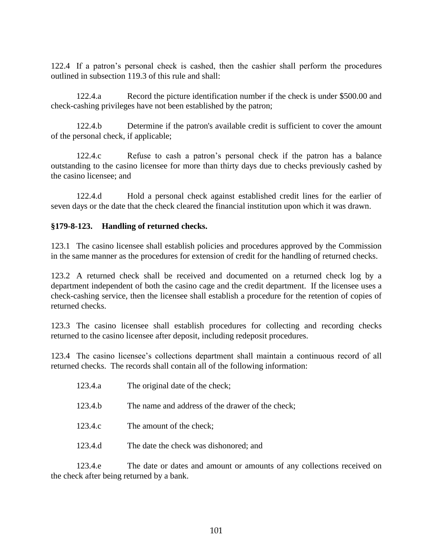122.4 If a patron's personal check is cashed, then the cashier shall perform the procedures outlined in subsection 119.3 of this rule and shall:

122.4.a Record the picture identification number if the check is under \$500.00 and check-cashing privileges have not been established by the patron;

122.4.b Determine if the patron's available credit is sufficient to cover the amount of the personal check, if applicable;

122.4.c Refuse to cash a patron's personal check if the patron has a balance outstanding to the casino licensee for more than thirty days due to checks previously cashed by the casino licensee; and

122.4.d Hold a personal check against established credit lines for the earlier of seven days or the date that the check cleared the financial institution upon which it was drawn.

#### **§179-8-123. Handling of returned checks.**

123.1 The casino licensee shall establish policies and procedures approved by the Commission in the same manner as the procedures for extension of credit for the handling of returned checks.

123.2 A returned check shall be received and documented on a returned check log by a department independent of both the casino cage and the credit department. If the licensee uses a check-cashing service, then the licensee shall establish a procedure for the retention of copies of returned checks.

123.3 The casino licensee shall establish procedures for collecting and recording checks returned to the casino licensee after deposit, including redeposit procedures.

123.4 The casino licensee's collections department shall maintain a continuous record of all returned checks. The records shall contain all of the following information:

| 123.4.a | The original date of the check;                  |
|---------|--------------------------------------------------|
| 123.4.b | The name and address of the drawer of the check; |
| 123.4.c | The amount of the check;                         |
| 123.4.d | The date the check was dishonored; and           |

123.4.e The date or dates and amount or amounts of any collections received on the check after being returned by a bank.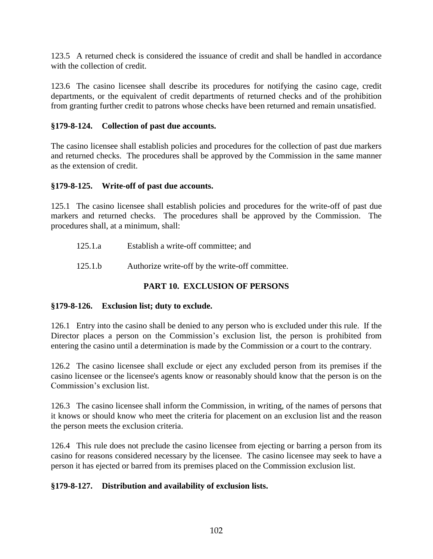123.5 A returned check is considered the issuance of credit and shall be handled in accordance with the collection of credit.

123.6 The casino licensee shall describe its procedures for notifying the casino cage, credit departments, or the equivalent of credit departments of returned checks and of the prohibition from granting further credit to patrons whose checks have been returned and remain unsatisfied.

#### **§179-8-124. Collection of past due accounts.**

The casino licensee shall establish policies and procedures for the collection of past due markers and returned checks. The procedures shall be approved by the Commission in the same manner as the extension of credit.

#### **§179-8-125. Write-off of past due accounts.**

125.1 The casino licensee shall establish policies and procedures for the write-off of past due markers and returned checks. The procedures shall be approved by the Commission. The procedures shall, at a minimum, shall:

- 125.1.a Establish a write-off committee; and
- 125.1.b Authorize write-off by the write-off committee.

# **PART 10. EXCLUSION OF PERSONS**

#### **§179-8-126. Exclusion list; duty to exclude.**

126.1 Entry into the casino shall be denied to any person who is excluded under this rule. If the Director places a person on the Commission's exclusion list, the person is prohibited from entering the casino until a determination is made by the Commission or a court to the contrary.

126.2 The casino licensee shall exclude or eject any excluded person from its premises if the casino licensee or the licensee's agents know or reasonably should know that the person is on the Commission's exclusion list.

126.3 The casino licensee shall inform the Commission, in writing, of the names of persons that it knows or should know who meet the criteria for placement on an exclusion list and the reason the person meets the exclusion criteria.

126.4 This rule does not preclude the casino licensee from ejecting or barring a person from its casino for reasons considered necessary by the licensee. The casino licensee may seek to have a person it has ejected or barred from its premises placed on the Commission exclusion list.

# **§179-8-127. Distribution and availability of exclusion lists.**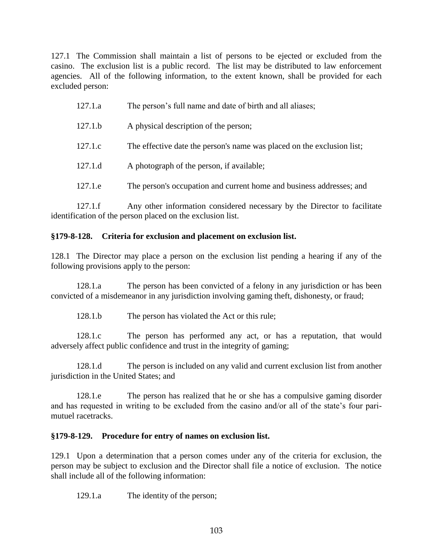127.1 The Commission shall maintain a list of persons to be ejected or excluded from the casino. The exclusion list is a public record. The list may be distributed to law enforcement agencies. All of the following information, to the extent known, shall be provided for each excluded person:

| The person's occupation and current home and business addresses; and |
|----------------------------------------------------------------------|

127.1.f Any other information considered necessary by the Director to facilitate identification of the person placed on the exclusion list.

# **§179-8-128. Criteria for exclusion and placement on exclusion list.**

128.1 The Director may place a person on the exclusion list pending a hearing if any of the following provisions apply to the person:

128.1.a The person has been convicted of a felony in any jurisdiction or has been convicted of a misdemeanor in any jurisdiction involving gaming theft, dishonesty, or fraud;

128.1.b The person has violated the Act or this rule;

128.1.c The person has performed any act, or has a reputation, that would adversely affect public confidence and trust in the integrity of gaming;

128.1.d The person is included on any valid and current exclusion list from another jurisdiction in the United States; and

128.1.e The person has realized that he or she has a compulsive gaming disorder and has requested in writing to be excluded from the casino and/or all of the state's four parimutuel racetracks.

# **§179-8-129. Procedure for entry of names on exclusion list.**

129.1 Upon a determination that a person comes under any of the criteria for exclusion, the person may be subject to exclusion and the Director shall file a notice of exclusion. The notice shall include all of the following information:

129.1.a The identity of the person;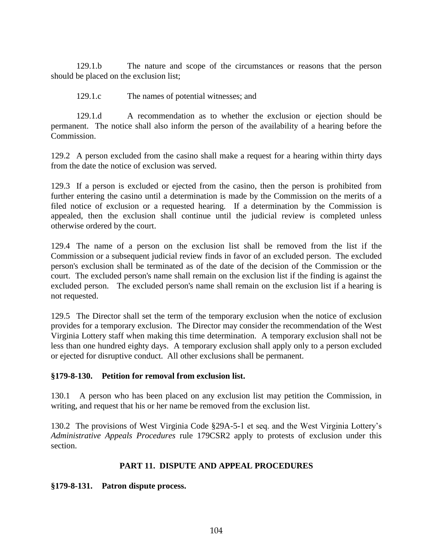129.1.b The nature and scope of the circumstances or reasons that the person should be placed on the exclusion list;

129.1.c The names of potential witnesses; and

129.1.d A recommendation as to whether the exclusion or ejection should be permanent. The notice shall also inform the person of the availability of a hearing before the Commission.

129.2 A person excluded from the casino shall make a request for a hearing within thirty days from the date the notice of exclusion was served.

129.3 If a person is excluded or ejected from the casino, then the person is prohibited from further entering the casino until a determination is made by the Commission on the merits of a filed notice of exclusion or a requested hearing. If a determination by the Commission is appealed, then the exclusion shall continue until the judicial review is completed unless otherwise ordered by the court.

129.4 The name of a person on the exclusion list shall be removed from the list if the Commission or a subsequent judicial review finds in favor of an excluded person. The excluded person's exclusion shall be terminated as of the date of the decision of the Commission or the court. The excluded person's name shall remain on the exclusion list if the finding is against the excluded person. The excluded person's name shall remain on the exclusion list if a hearing is not requested.

129.5 The Director shall set the term of the temporary exclusion when the notice of exclusion provides for a temporary exclusion. The Director may consider the recommendation of the West Virginia Lottery staff when making this time determination. A temporary exclusion shall not be less than one hundred eighty days. A temporary exclusion shall apply only to a person excluded or ejected for disruptive conduct. All other exclusions shall be permanent.

# **§179-8-130. Petition for removal from exclusion list.**

130.1 A person who has been placed on any exclusion list may petition the Commission, in writing, and request that his or her name be removed from the exclusion list.

130.2 The provisions of West Virginia Code §29A-5-1 et seq. and the West Virginia Lottery's *Administrative Appeals Procedures* rule 179CSR2 apply to protests of exclusion under this section.

# **PART 11. DISPUTE AND APPEAL PROCEDURES**

# **§179-8-131. Patron dispute process.**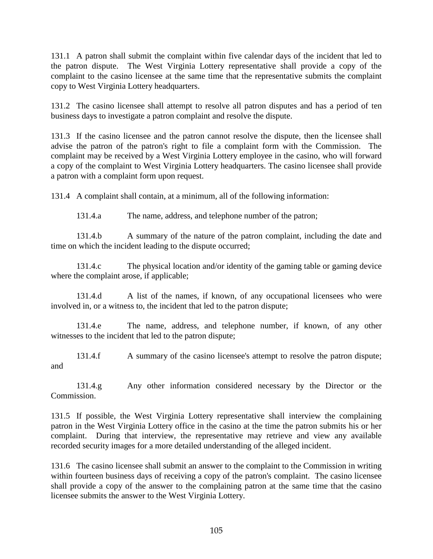131.1 A patron shall submit the complaint within five calendar days of the incident that led to the patron dispute. The West Virginia Lottery representative shall provide a copy of the complaint to the casino licensee at the same time that the representative submits the complaint copy to West Virginia Lottery headquarters.

131.2 The casino licensee shall attempt to resolve all patron disputes and has a period of ten business days to investigate a patron complaint and resolve the dispute.

131.3 If the casino licensee and the patron cannot resolve the dispute, then the licensee shall advise the patron of the patron's right to file a complaint form with the Commission. The complaint may be received by a West Virginia Lottery employee in the casino, who will forward a copy of the complaint to West Virginia Lottery headquarters. The casino licensee shall provide a patron with a complaint form upon request.

131.4 A complaint shall contain, at a minimum, all of the following information:

131.4.a The name, address, and telephone number of the patron;

131.4.b A summary of the nature of the patron complaint, including the date and time on which the incident leading to the dispute occurred;

131.4.c The physical location and/or identity of the gaming table or gaming device where the complaint arose, if applicable;

131.4.d A list of the names, if known, of any occupational licensees who were involved in, or a witness to, the incident that led to the patron dispute;

131.4.e The name, address, and telephone number, if known, of any other witnesses to the incident that led to the patron dispute;

131.4.f A summary of the casino licensee's attempt to resolve the patron dispute; and

131.4.g Any other information considered necessary by the Director or the Commission.

131.5 If possible, the West Virginia Lottery representative shall interview the complaining patron in the West Virginia Lottery office in the casino at the time the patron submits his or her complaint. During that interview, the representative may retrieve and view any available recorded security images for a more detailed understanding of the alleged incident.

131.6 The casino licensee shall submit an answer to the complaint to the Commission in writing within fourteen business days of receiving a copy of the patron's complaint. The casino licensee shall provide a copy of the answer to the complaining patron at the same time that the casino licensee submits the answer to the West Virginia Lottery.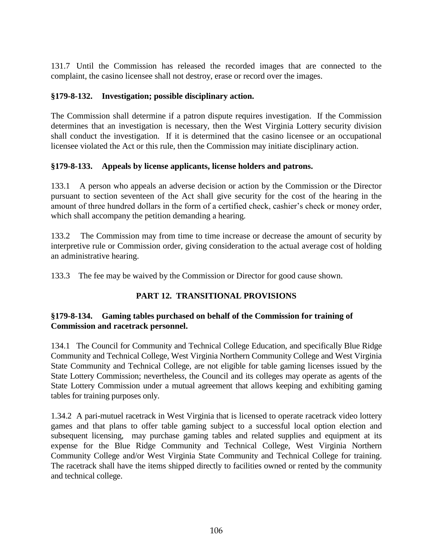131.7 Until the Commission has released the recorded images that are connected to the complaint, the casino licensee shall not destroy, erase or record over the images.

# **§179-8-132. Investigation; possible disciplinary action.**

The Commission shall determine if a patron dispute requires investigation. If the Commission determines that an investigation is necessary, then the West Virginia Lottery security division shall conduct the investigation. If it is determined that the casino licensee or an occupational licensee violated the Act or this rule, then the Commission may initiate disciplinary action.

# **§179-8-133. Appeals by license applicants, license holders and patrons.**

133.1 A person who appeals an adverse decision or action by the Commission or the Director pursuant to section seventeen of the Act shall give security for the cost of the hearing in the amount of three hundred dollars in the form of a certified check, cashier's check or money order, which shall accompany the petition demanding a hearing.

133.2 The Commission may from time to time increase or decrease the amount of security by interpretive rule or Commission order, giving consideration to the actual average cost of holding an administrative hearing.

133.3 The fee may be waived by the Commission or Director for good cause shown.

# **PART 12. TRANSITIONAL PROVISIONS**

# **§179-8-134. Gaming tables purchased on behalf of the Commission for training of Commission and racetrack personnel.**

134.1 The Council for Community and Technical College Education, and specifically Blue Ridge Community and Technical College, West Virginia Northern Community College and West Virginia State Community and Technical College, are not eligible for table gaming licenses issued by the State Lottery Commission; nevertheles*s*, the Council and its colleges may operate as agents of the State Lottery Commission under a mutual agreement that allows keeping and exhibiting gaming tables for training purposes only.

1.34.2 A pari-mutuel racetrack in West Virginia that is licensed to operate racetrack video lottery games and that plans to offer table gaming subject to a successful local option election and subsequent licensing, may purchase gaming tables and related supplies and equipment at its expense for the Blue Ridge Community and Technical College, West Virginia Northern Community College and/or West Virginia State Community and Technical College for training. The racetrack shall have the items shipped directly to facilities owned or rented by the community and technical college.